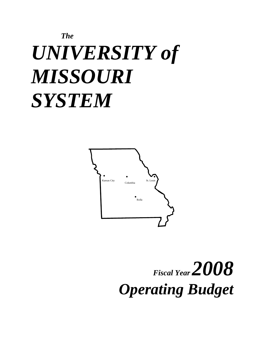# *The UNIVERSITY of MISSOURI SYSTEM*



*Fiscal Year 2008 Operating Budget*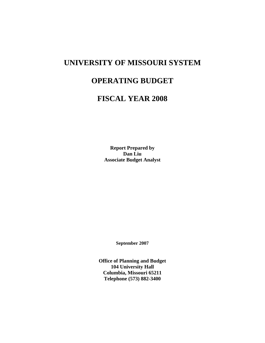## **UNIVERSITY OF MISSOURI SYSTEM**

## **OPERATING BUDGET**

## **FISCAL YEAR 2008**

**Report Prepared by Dan Liu Associate Budget Analyst** 

**September 2007** 

**Office of Planning and Budget 104 University Hall Columbia, Missouri 65211 Telephone (573) 882-3400**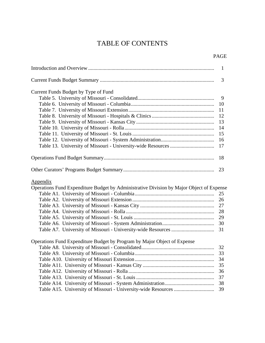## TABLE OF CONTENTS

#### PAGE

|                                                                                          | $\mathbf{1}$ |
|------------------------------------------------------------------------------------------|--------------|
|                                                                                          | 3            |
| Current Funds Budget by Type of Fund                                                     |              |
|                                                                                          | 9            |
|                                                                                          | 10           |
|                                                                                          | 11           |
|                                                                                          | 12           |
|                                                                                          | 13           |
|                                                                                          | 14           |
|                                                                                          | 15           |
|                                                                                          | 16           |
|                                                                                          | 17           |
|                                                                                          |              |
|                                                                                          | 18           |
|                                                                                          |              |
| <u>Appendix</u>                                                                          |              |
| Operations Fund Expenditure Budget by Administrative Division by Major Object of Expense |              |
|                                                                                          | 25           |
|                                                                                          |              |
|                                                                                          |              |
|                                                                                          | 28           |
|                                                                                          | 29           |
|                                                                                          |              |
|                                                                                          | 31           |
| Operations Fund Expenditure Budget by Program by Major Object of Expense                 |              |
|                                                                                          | 32           |
|                                                                                          |              |
|                                                                                          | 34           |
|                                                                                          | 35           |
|                                                                                          | 36           |
|                                                                                          | 37           |
|                                                                                          | 38           |
|                                                                                          | 39           |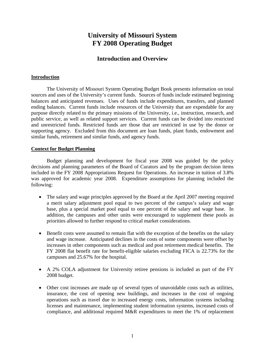### **University of Missouri System FY 2008 Operating Budget**

#### **Introduction and Overview**

#### **Introduction**

The University of Missouri System Operating Budget Book presents information on total sources and uses of the University's current funds. Sources of funds include estimated beginning balances and anticipated revenues. Uses of funds include expenditures, transfers, and planned ending balances. Current funds include resources of the University that are expendable for any purpose directly related to the primary missions of the University, i.e., instruction, research, and public service, as well as related support services. Current funds can be divided into restricted and unrestricted funds. Restricted funds are those that are restricted in use by the donor or supporting agency. Excluded from this document are loan funds, plant funds, endowment and similar funds, retirement and similar funds, and agency funds.

#### **Context for Budget Planning**

Budget planning and development for fiscal year 2008 was guided by the policy decisions and planning parameters of the Board of Curators and by the program decision items included in the FY 2008 Appropriations Request for Operations. An increase in tuition of 3.8% was approved for academic year 2008. Expenditure assumptions for planning included the following:

- The salary and wage principles approved by the Board at the April 2007 meeting required a merit salary adjustment pool equal to two percent of the campus's salary and wage base, plus a special market pool equal to one percent of the salary and wage base. In addition, the campuses and other units were encouraged to supplement these pools as priorities allowed to further respond to critical market considerations.
- Benefit costs were assumed to remain flat with the exception of the benefits on the salary and wage increase. Anticipated declines in the costs of some components were offset by increases in other components such as medical and post retirement medical benefits. The FY 2008 flat benefit rate for benefit-eligible salaries excluding FICA is 22.73% for the campuses and 25.67% for the hospital.
- A 2% COLA adjustment for University retiree pensions is included as part of the FY 2008 budget.
- Other cost increases are made up of several types of unavoidable costs such as utilities, insurance, the cost of opening new buildings, and increases in the cost of ongoing operations such as travel due to increased energy costs, information systems including licenses and maintenance, implementing student information systems, increased costs of compliance, and additional required M&R expenditures to meet the 1% of replacement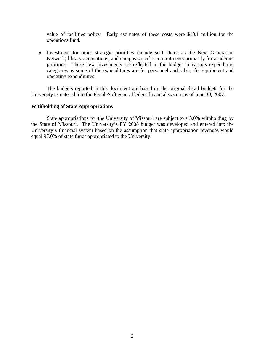value of facilities policy. Early estimates of these costs were \$10.1 million for the operations fund.

• Investment for other strategic priorities include such items as the Next Generation Network, library acquisitions, and campus specific commitments primarily for academic priorities. These new investments are reflected in the budget in various expenditure categories as some of the expenditures are for personnel and others for equipment and operating expenditures.

The budgets reported in this document are based on the original detail budgets for the University as entered into the PeopleSoft general ledger financial system as of June 30, 2007.

#### **Withholding of State Appropriations**

State appropriations for the University of Missouri are subject to a 3.0% withholding by the State of Missouri. The University's FY 2008 budget was developed and entered into the University's financial system based on the assumption that state appropriation revenues would equal 97.0% of state funds appropriated to the University.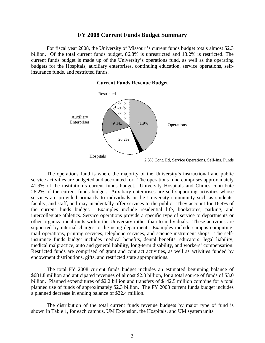#### **FY 2008 Current Funds Budget Summary**

For fiscal year 2008, the University of Missouri's current funds budget totals almost \$2.3 billion. Of the total current funds budget, 86.8% is unrestricted and 13.2% is restricted. The current funds budget is made up of the University's operations fund, as well as the operating budgets for the Hospitals, auxiliary enterprises, continuing education, service operations, selfinsurance funds, and restricted funds.

#### **Current Funds Revenue Budget**



 The operations fund is where the majority of the University's instructional and public service activities are budgeted and accounted for. The operations fund comprises approximately 41.9% of the institution's current funds budget. University Hospitals and Clinics contribute 26.2% of the current funds budget. Auxiliary enterprises are self-supporting activities whose services are provided primarily to individuals in the University community such as students, faculty, and staff, and may incidentally offer services to the public. They account for 16.4% of the current funds budget. Examples include residential life, bookstores, parking, and intercollegiate athletics. Service operations provide a specific type of service to departments or other organizational units within the University rather than to individuals. These activities are supported by internal charges to the using department. Examples include campus computing, mail operations, printing services, telephone services, and science instrument shops. The selfinsurance funds budget includes medical benefits, dental benefits, educators' legal liability, medical malpractice, auto and general liability, long-term disability, and workers' compensation. Restricted funds are comprised of grant and contract activities, as well as activities funded by endowment distributions, gifts, and restricted state appropriations.

The total FY 2008 current funds budget includes an estimated beginning balance of \$681.8 million and anticipated revenues of almost \$2.3 billion, for a total source of funds of \$3.0 billion. Planned expenditures of \$2.2 billion and transfers of \$142.5 million combine for a total planned use of funds of approximately \$2.3 billion. The FY 2008 current funds budget includes a planned decrease in ending balance of \$22.4 million.

The distribution of the total current funds revenue budgets by major type of fund is shown in Table 1, for each campus, UM Extension, the Hospitals, and UM system units.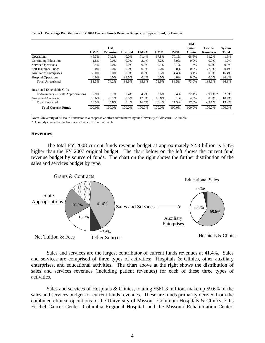#### **Table 1. Percentage Distribution of FY 2008 Current Funds Revenue Budgets by Type of Fund, by Campus**

|                                    |            | <b>UM</b>        |                 |             |            |             | <b>UM</b><br><b>System</b> | <b>U-wide</b>    | System |
|------------------------------------|------------|------------------|-----------------|-------------|------------|-------------|----------------------------|------------------|--------|
|                                    | <b>UMC</b> | <b>Extension</b> | <b>Hospital</b> | <b>UMKC</b> | <b>UMR</b> | <b>UMSL</b> | Admin.                     | <b>Resources</b> | Total  |
| Operations                         | 46.3%      | 74.2%            | 0.0%            | 71.4%       | 67.8%      | 70.1%       | 68.6%                      | 61.2%            | 41.9%  |
| <b>Continuing Education</b>        | 1.8%       | 0.0%             | 0.0%            | 3.1%        | 3.2%       | 3.9%        | 0.0%                       | 0.0%             | 1.7%   |
| <b>Service Operations</b>          | 0.4%       | 0.0%             | 0.0%            | 0.2%        | 0.1%       | 0.1%        | 1.3%                       | 0.0%             | 0.2%   |
| Self Insurance Funds               | 0.0%       | 0.0%             | 0.0%            | 0.0%        | 0.0%       | 0.0%        | 0.0%                       | 77.9%            | 0.4%   |
| <b>Auxiliaries Enterprises</b>     | 33.0%      | 0.0%             | $0.0\%$         | 8.6%        | 8.5%       | 14.4%       | 3.1%                       | 0.0%             | 16.4%  |
| <b>Hospital Operations</b>         | 0.0%       | 0.0%             | 99.6%           | 0.0%        | 0.0%       | 0.0%        | 0.0%                       | 0.0%             | 26.2%  |
| <b>Total Unrestricted</b>          | 81.5%      | 74.2%            | 99.6%           | 83.3%       | 79.6%      | 88.5%       | 73.0%                      | 139.1%           | 86.8%  |
| Restricted Expendable Gifts,       |            |                  |                 |             |            |             |                            |                  |        |
| Endowments, & State Appropriations | 2.9%       | 0.7%             | 0.4%            | 4.7%        | 3.6%       | 3.4%        | 22.1%                      | $-39.1\%$ *      | 2.8%   |
| <b>Grants and Contracts</b>        | 15.6%      | 25.1%            | 0.0%            | 12.0%       | 16.8%      | 8.1%        | 4.9%                       | 0.0%             | 10.4%  |
| <b>Total Restricted</b>            | 18.5%      | 25.8%            | 0.4%            | 16.7%       | 20.4%      | 11.5%       | 27.0%                      | $-39.1%$         | 13.2%  |
| <b>Total Current Funds</b>         | 100.0%     | 100.0%           | 100.0%          | 100.0%      | 100.0%     | 100.0%      | 100.0%                     | 100.0%           | 100.0% |

Note: University of Missouri Extension is a cooperative effort administered by the University of Missouri - Columbia

\* Anomaly created by the Endowed Chairs distribution match.

#### **Revenues**

 The total FY 2008 current funds revenue budget at approximately \$2.3 billion is 5.4% higher than the FY 2007 original budget. The chart below on the left shows the current fund revenue budget by source of funds. The chart on the right shows the further distribution of the sales and services budget by type.



Sales and services are the largest contributor of current funds revenues at 41.4%. Sales and services are comprised of three types of activities: Hospitals & Clinics, other auxiliary enterprises, and educational activities. The chart above at the right shows the distribution of sales and services revenues (including patient revenues) for each of these three types of activities.

Sales and services of Hospitals & Clinics, totaling \$561.3 million, make up 59.6% of the sales and services budget for current funds revenues. These are funds primarily derived from the combined clinical operations of the University of Missouri-Columbia Hospitals & Clinics, Ellis Fischel Cancer Center, Columbia Regional Hospital, and the Missouri Rehabilitation Center.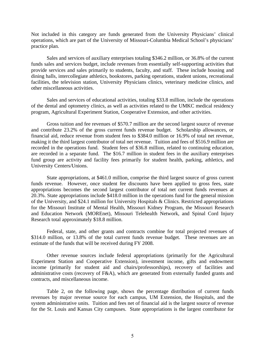Not included in this category are funds generated from the University Physicians' clinical operations, which are part of the University of Missouri-Columbia Medical School's physicians' practice plan.

Sales and services of auxiliary enterprises totaling \$346.2 million, or 36.8% of the current funds sales and services budget, include revenues from essentially self-supporting activities that provide services and sales primarily to students, faculty, and staff. These include housing and dining halls, intercollegiate athletics, bookstores, parking operations, student unions, recreational facilities, the television station, University Physicians clinics, veterinary medicine clinics, and other miscellaneous activities.

Sales and services of educational activities, totaling \$33.8 million, include the operations of the dental and optometry clinics, as well as activities related to the UMKC medical residency program, Agricultural Experiment Station, Cooperative Extension, and other activities.

Gross tuition and fee revenues of \$570.7 million are the second largest source of revenue and contribute 23.2% of the gross current funds revenue budget. Scholarship allowances, or financial aid, reduce revenue from student fees to \$384.0 million or 16.9% of total net revenue, making it the third largest contributor of total net revenue. Tuition and fees of \$516.9 million are recorded in the operations fund. Student fees of \$36.8 million, related to continuing education, are recorded in a separate fund. The \$16.7 million in student fees in the auxiliary enterprises fund group are activity and facility fees primarily for student health, parking, athletics, and University Centers/Unions.

State appropriations, at \$461.0 million, comprise the third largest source of gross current funds revenue. However, once student fee discounts have been applied to gross fees, state appropriations becomes the second largest contributor of total net current funds revenues at 20.3%. State appropriations include \$418.0 million in the operations fund for the general mission of the University, and \$24.1 million for University Hospitals & Clinics. Restricted appropriations for the Missouri Institute of Mental Health, Missouri Kidney Program, the Missouri Research and Education Network (MOREnet), Missouri Telehealth Network, and Spinal Cord Injury Research total approximately \$18.8 million.

Federal, state, and other grants and contracts combine for total projected revenues of \$314.0 million, or 13.8% of the total current funds revenue budget. These revenues are an estimate of the funds that will be received during FY 2008.

Other revenue sources include federal appropriations (primarily for the Agricultural Experiment Station and Cooperative Extension), investment income, gifts and endowment income (primarily for student aid and chairs/professorships), recovery of facilities and administrative costs (recovery of F&A), which are generated from externally funded grants and contracts, and miscellaneous income.

Table 2, on the following page, shows the percentage distribution of current funds revenues by major revenue source for each campus, UM Extension, the Hospitals, and the system administrative units. Tuition and fees net of financial aid is the largest source of revenue for the St. Louis and Kansas City campuses. State appropriations is the largest contributor for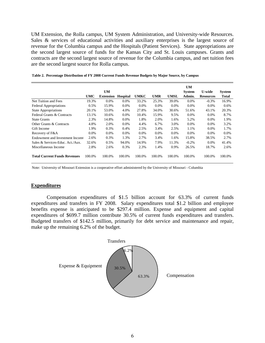UM Extension, the Rolla campus, UM System Administration, and University-wide Resources. Sales & services of educational activities and auxiliary enterprises is the largest source of revenue for the Columbia campus and the Hospitals (Patient Services). State appropriations are the second largest source of funds for the Kansas City and St. Louis campuses. Grants and contracts are the second largest source of revenue for the Columbia campus, and net tuition fees are the second largest source for Rolla campus.

|                                     |        | <b>UM</b>        |                 |             |            |         | <b>UM</b><br><b>System</b> | U-wide           | <b>System</b> |
|-------------------------------------|--------|------------------|-----------------|-------------|------------|---------|----------------------------|------------------|---------------|
|                                     | UMC    | <b>Extension</b> | <b>Hospital</b> | <b>UMKC</b> | <b>UMR</b> | UMSL    | Admin.                     | <b>Resources</b> | Total         |
| Net Tuition and Fees                | 19.3%  | $0.0\%$          | $0.0\%$         | 33.2%       | 25.3%      | 39.0%   | $0.0\%$                    | $-0.3%$          | 16.9%         |
| <b>Federal Appropriations</b>       | 0.5%   | 15.9%            | 0.0%            | $0.0\%$     | $0.0\%$    | $0.0\%$ | $0.0\%$                    | $0.0\%$          | 0.6%          |
| <b>State Appropriations</b>         | 20.1%  | 53.0%            | 4.0%            | 27.8%       | 34.0%      | 30.6%   | 51.6%                      | 43.1%            | 20.3%         |
| Federal Grants & Contracts          | 13.1%  | 10.6%            | $0.0\%$         | 10.4%       | 15.9%      | 9.5%    | $0.0\%$                    | $0.0\%$          | 8.7%          |
| <b>State Grants</b>                 | 2.3%   | 14.8%            | 0.0%            | 1.8%        | 2.0%       | 1.6%    | 5.2%                       | $0.0\%$          | 1.9%          |
| Other Grants & Contracts            | 4.8%   | 2.0%             | 0.0%            | 4.4%        | 6.7%       | 3.0%    | 0.0%                       | $0.0\%$          | 3.2%          |
| Gift Income                         | 1.9%   | 0.3%             | 0.4%            | 2.5%        | 3.4%       | 2.5%    | 1.1%                       | $0.0\%$          | 1.7%          |
| Recovery of F&A                     | 0.0%   | $0.0\%$          | $0.0\%$         | 0.0%        | 0.0%       | 0.0%    | $0.0\%$                    | 0.0%             | $0.0\%$       |
| Endowment and Investment Income     | 2.6%   | 0.3%             | 1.3%            | 2.7%        | 3.4%       | 1.6%    | 15.8%                      | 38.5%            | 2.7%          |
| Sales & Services-Educ. Act./Aux.    | 32.6%  | 0.5%             | 94.0%           | 14.9%       | 7.9%       | 11.3%   | $-0.2\%$                   | $0.0\%$          | 41.4%         |
| Miscellaneous Income                | 2.8%   | 2.6%             | 0.3%            | 2.3%        | 1.4%       | 0.9%    | 26.5%                      | 18.7%            | 2.6%          |
| <b>Total Current Funds Revenues</b> | 100.0% | 100.0%           | 100.0%          | 100.0%      | 100.0%     | 100.0%  | 100.0%                     | 100.0%           | 100.0%        |

**Table 2. Percentage Distribution of FY 2008 Current Funds Revenue Budgets by Major Source, by Campus**

Note: University of Missouri Extension is a cooperative effort administered by the University of Missouri - Columbia

#### **Expenditures**

 Compensation expenditures of \$1.5 billion account for 63.3% of current funds expenditures and transfers in FY 2008. Salary expenditures total \$1.2 billion and employee benefits expense is anticipated to be \$297.4 million. Expense and equipment and capital expenditures of \$699.7 million contribute 30.5% of current funds expenditures and transfers. Budgeted transfers of \$142.5 million, primarily for debt service and maintenance and repair, make up the remaining 6.2% of the budget.

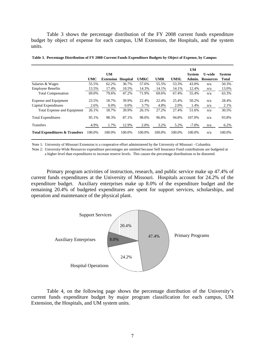Table 3 shows the percentage distribution of the FY 2008 current funds expenditure budget by object of expense for each campus, UM Extension, the Hospitals, and the system units.

|                                           |            |                  |                 |             |            |             | <b>UM</b>     |                  |               |
|-------------------------------------------|------------|------------------|-----------------|-------------|------------|-------------|---------------|------------------|---------------|
|                                           |            | <b>UM</b>        |                 |             |            |             | <b>System</b> | <b>U-wide</b>    | <b>System</b> |
|                                           | <b>UMC</b> | <b>Extension</b> | <b>Hospital</b> | <b>UMKC</b> | <b>UMR</b> | <b>UMSL</b> | Admin.        | <b>Resources</b> | <b>Total</b>  |
| Salaries & Wages                          | 55.5%      | 62.2%            | 36.7%           | 57.6%       | 55.5%      | 53.3%       | 43.0%         | n/a              | 50.3%         |
| <b>Employee Benefits</b>                  | 13.5%      | 17.4%            | 10.5%           | 14.3%       | 14.1%      | 14.1%       | 12.4%         | n/a              | 13.0%         |
| <b>Total Compensation</b>                 | 69.0%      | 79.6%            | 47.2%           | 71.9%       | 69.6%      | 67.4%       | 55.4%         | n/a              | 63.3%         |
| Expense and Equipment                     | 23.5%      | 18.7%            | 39.9%           | 22.4%       | 22.4%      | 25.4%       | 50.2%         | n/a              | 28.4%         |
| Capital Expenditures                      | 2.6%       | 0.0%             | 0.0%            | 3.7%        | 4.8%       | 2.0%        | 1.4%          | n/a              | 2.1%          |
| Total Expense and Equipment               | 26.1%      | 18.7%            | 39.9%           | 26.1%       | 27.2%      | 27.4%       | 51.6%         | n/a              | 30.5%         |
| <b>Total Expenditures</b>                 | 95.1%      | 98.3%            | 87.1%           | 98.0%       | 96.8%      | 94.8%       | 107.0%        | n/a              | 93.8%         |
| <b>Transfers</b>                          | 4.9%       | 1.7%             | 12.9%           | 2.0%        | 3.2%       | 5.2%        | $-7.0\%$      | n/a              | 6.2%          |
| <b>Total Expenditures &amp; Transfers</b> | 100.0%     | 100.0%           | 100.0%          | 100.0%      | 100.0%     | 100.0%      | 100.0%        | n/a              | 100.0%        |

**Table 3. Percentage Distribution of FY 2008 Current Funds Expenditure Budgets by Object of Expense, by Campus**

Note 1: University of Missouri Extension is a cooperative effort administered by the University of Missouri - Columbia

Note 2: University-Wide Resources expenditure percentages are omitted because Self Insurance Fund contributions are budgeted at a higher level than expenditures to increase reserve levels. This causes the percentage distributions to be distorted.

Primary program activities of instruction, research, and public service make up 47.4% of current funds expenditures at the University of Missouri. Hospitals account for 24.2% of the expenditure budget. Auxiliary enterprises make up 8.0% of the expenditure budget and the remaining 20.4% of budgeted expenditures are spent for support services, scholarships, and operation and maintenance of the physical plant.



Table 4, on the following page shows the percentage distribution of the University's current funds expenditure budget by major program classification for each campus, UM Extension, the Hospitals, and UM system units.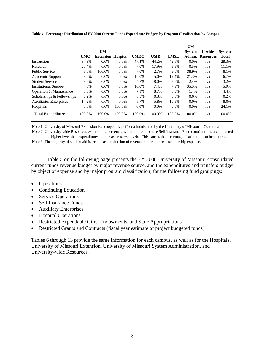|                                |            | <b>UM</b>        |                 |             |            |         | <b>UM</b><br><b>System</b> | <b>U-wide</b>    | <b>System</b> |
|--------------------------------|------------|------------------|-----------------|-------------|------------|---------|----------------------------|------------------|---------------|
|                                | <b>UMC</b> | <b>Extension</b> | <b>Hospital</b> | <b>UMKC</b> | <b>UMR</b> | UMSL    | Admin.                     | <b>Resources</b> | <b>Total</b>  |
| Instruction                    | 37.3%      | $0.0\%$          | $0.0\%$         | 47.4%       | 44.2%      | 42.6%   | $0.0\%$                    | n/a              | 28.3%         |
| Research                       | 20.4%      | $0.0\%$          | $0.0\%$         | 7.0%        | 17.9%      | 5.5%    | 0.5%                       | n/a              | 11.1%         |
| <b>Public Service</b>          | 6.0%       | 100.0%           | $0.0\%$         | 7.0%        | 2.7%       | 9.0%    | 38.9%                      | n/a              | 8.1%          |
| Academic Support               | 8.0%       | $0.0\%$          | $0.0\%$         | 10.0%       | 5.0%       | 12.4%   | 21.3%                      | n/a              | 6.7%          |
| <b>Student Services</b>        | 3.6%       | $0.0\%$          | $0.0\%$         | 4.7%        | 8.0%       | 5.6%    | 2.4%                       | n/a              | 3.2%          |
| <b>Institutional Support</b>   | 4.8%       | $0.0\%$          | $0.0\%$         | 10.6%       | 7.4%       | 7.9%    | 35.5%                      | n/a              | 5.9%          |
| Operation & Maintenance        | 5.5%       | $0.0\%$          | $0.0\%$         | 7.1%        | 8.7%       | 6.5%    | 1.4%                       | n/a              | 4.4%          |
| Scholarships & Fellowships     | 0.2%       | $0.0\%$          | $0.0\%$         | 0.5%        | 0.3%       | $0.0\%$ | $0.0\%$                    | n/a              | 0.2%          |
| <b>Auxiliaries Enterprises</b> | 14.2%      | $0.0\%$          | 0.0%            | 5.7%        | 5.8%       | 10.5%   | $0.0\%$                    | n/a              | 8.0%          |
| Hospitals                      | 0.0%       | $0.0\%$          | 100.0%          | $0.0\%$     | $0.0\%$    | 0.0%    | 0.0%                       | n/a              | 24.1%         |
| <b>Total Expenditures</b>      | 100.0%     | 100.0%           | 100.0%          | 100.0%      | 100.0%     | 100.0%  | 100.0%                     | n/a              | 100.0%        |

**Table 4. Percentage Distribution of FY 2008 Current Funds Expenditure Budgets by Program Classification, by Campus**

Note 1: University of Missouri Extension is a cooperative effort administered by the University of Missouri - Columbia

Note 2: University-wide Resources expenditure percentages are omitted because Self Insurance Fund contributions are budgeted at a higher level than expenditures to increase reserve levels. This causes the percentage distributions to be distorted.

Note 3: The majority of student aid is treated as a reduction of revenue rather than as a scholarship expense.

Table 5 on the following page presents the FY 2008 University of Missouri consolidated current funds revenue budget by major revenue source, and the expenditures and transfers budget by object of expense and by major program classification, for the following fund groupings:

- Operations
- Continuing Education
- Service Operations
- Self Insurance Funds
- Auxiliary Enterprises
- Hospital Operations
- Restricted Expendable Gifts, Endowments, and State Appropriations
- Restricted Grants and Contracts (fiscal year estimate of project budgeted funds)

Tables 6 through 13 provide the same information for each campus, as well as for the Hospitals, University of Missouri Extension, University of Missouri System Administration, and University-wide Resources.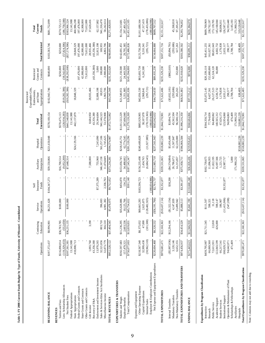|                                                       | Operations                  | Continuing<br>Education | Operations<br>Service    | $_{\text{Insurface}}$<br>Funds<br>Self | Enterprises<br>Auxiliary  | Operations<br>Hospital   | Unrestricted<br>Total              | Expendable Gifts,<br>Appropriations<br>Endowments,<br>Restricted<br>and State | Grants and<br>Restricted<br>Contracts | <b>Total Restricted</b>    | Current<br>Funds<br>Total          |
|-------------------------------------------------------|-----------------------------|-------------------------|--------------------------|----------------------------------------|---------------------------|--------------------------|------------------------------------|-------------------------------------------------------------------------------|---------------------------------------|----------------------------|------------------------------------|
| <b>BEGINNING BALANCE</b>                              | \$197,372,437               | \$8,996,901             | \$6,251,628              | \$104,347,273                          | \$39,550,866              | \$221,650,048            | \$578,169,154                      | \$102,943,746                                                                 | \$640,000                             | \$103,583,746              | \$681,752,899                      |
| Tuition and Fees<br><b>REVENUES</b>                   | \$516,890,814               | \$36,783,785            | \$100,000                |                                        | \$16,700,514              |                          | \$570,475,113                      |                                                                               | \$250,000                             | \$250,000                  | \$570,725,113                      |
| Less: Scholarship Allowances                          | (119, 329, 433)             | (552, 650)              |                          |                                        | (9,052,200)               |                          | (128, 934, 283)                    | (\$19,282,306)                                                                | (38, 542, 000)                        | (57,824,306)               | (186, 758, 588)                    |
| Federal Appropriations<br>Net Student Fees            | 13,141,988<br>\$397,561,381 | \$36,231,135            | \$100,000                |                                        | \$7,648,314               |                          | \$441,540,830<br>13,141,988        | ( \$19, 282, 306)                                                             | $(*38,292,000)$                       | ( \$57,574,306)            | 13,141,988<br>\$383,966,524        |
| State Appropriations                                  | 418,008,713                 |                         |                          |                                        |                           | \$24,129,166             | 442,137,879                        | 18,848,329                                                                    |                                       | 18,848,329                 | 460,986,208                        |
| Federal Grants and Contracts                          |                             |                         |                          |                                        |                           |                          |                                    |                                                                               | 197,476,000                           | 197,476,000                | 197,476,000                        |
| State Grants and Contracts                            |                             |                         |                          |                                        |                           |                          |                                    |                                                                               | 42,908,000                            | 42,908,000                 | 42,908,000                         |
| Other Grants and Contracts                            |                             |                         |                          |                                        |                           |                          |                                    |                                                                               | 73,612,000                            | 73,612,000                 | 73,612,000                         |
| Recovery of F&A<br>Gift Income                        | 1,093,760<br>43,356,380     | 3,190                   |                          |                                        | 7,588,000                 |                          | 8,684,950<br>43,356,380            | 28,935,466                                                                    | (43, 356, 380)                        | (43,356,380)<br>28,935,466 | 37,620,416                         |
| Endowment and Investment Income                       | 13,970,265                  |                         |                          | \$7,375,289                            | 755,960                   | 7,243,090                | 29,344,604                         | 32,808,198                                                                    | 5,000                                 | 32,813,198                 | 62,157,802                         |
| Sales & Services-Educ Act/Auxiliaries                 | 32,521,856                  | 803,710                 | 396,693                  | 2,336,763                              | 346,167,158<br>11,074,849 | 561,257,106<br>1,745,625 | 941,146,523<br>53,378,908          | 1,963,706<br>69,955                                                           | 100,000<br>2,900,000                  | 169,955<br>4,863,706       | 941,316,478                        |
| Miscellaneous Income<br>TOTAL REVENUES                | 32,873,779<br>\$952,528,122 | 366,510<br>\$37,404,545 | 4,981,382<br>\$5,478,075 | \$9,712,052                            | \$373,234,281             | \$594,374,987            | \$1,972,732,062                    | \$63,343,348                                                                  | \$235,352,620                         | \$298,695,968              | 58,242,614<br>\$2,271,428,031      |
| EXPENDITURES & TRANSFERS<br>Salaries and Wages        | \$592,597,683               | \$11,236,295            | \$35,628,886             | \$456,870                              | \$153,056,745             | \$218,545,751            | \$1,011,522,229                    | \$21,540,951                                                                  | \$121,150,500                         | \$142,691,451              | \$1,154,213,681                    |
| Employee Benefits                                     | 157,479,321                 | 2,603,536               | 10,125,766               | 134,270                                | 34,488,602                | 62,774,545               | 267,606,040                        | 5,351,885                                                                     | 24,443,500                            | 29,795,385                 | 297,401,424                        |
| Total Compensation                                    | \$750,077,003               | \$13,839,831            | \$45,754,652             | \$591,140                              | \$187,545,747             | \$281,320,296            | \$1,279,128,269                    | \$26,892,836                                                                  | \$145,594,000                         | \$172,486,836              | \$1,451,615,105                    |
| Other Operating Expense<br>Expense and Equipment      | \$218,567,540               | \$8,375,032             | \$69,665,283             | \$183,596,723                          | \$156,235,498             | \$249,489,828            | \$885,929,905                      | \$42,056,530                                                                  | \$83,693,730                          | \$125,750,260              | \$1,011,680,164                    |
| Capital Expenditures                                  | 32,999,438                  | 47,000                  | 2,625,875                |                                        | 2,434,765                 |                          | 38,107,078                         | 2,968,841                                                                     | 6,241,500                             | 9,210,341                  | 47,317,419                         |
| Employer & Employee Contributions<br>Internal Sales   | (30,962,510)                | (101,500)               | (128, 482, 925)          | (180, 834, 986)                        | (6,684,545)               | (11,927,885)             | (178, 159, 365)<br>(180, 834, 986) | (295, 721)                                                                    |                                       | (295, 721)                 | (178, 455, 086)<br>(180, 834, 986) |
| Net Expense and Equipment Expenditures                | \$220,604,468               | \$8,320,532             | $(\$56, 191, 766)$       | \$2,761,737                            | \$151,985,718             | \$237,561,943            | \$565,042,632                      | \$44,729,650                                                                  | \$89,935,230                          | \$134,664,880              | \$699,707,512                      |
| TOTAL EXPENDITURES                                    | 147189'026\$                | \$22,160,363            | (\$10,437,114)           | \$3,352,877                            | \$339,531,065             | \$518,882,239            | \$1,844,170,901                    | \$71,622,486                                                                  | \$235,529,230                         | \$307,151,716              | \$2,151,322,617                    |
| Internal Transfers                                    | ( \$5,997,036)              | \$12,294,166            | $(\$1,322,154)$          | \$38,200                               | (\$4,574,884)             | \$3,456,498              | \$3,894,791                        | ( \$3,032,181)                                                                | ( \$862, 610)                         | (33,894,791)               |                                    |
| Non-Mandatory Transfers<br>Mandatory Transfers        | 3,120,146<br>6,652,355      |                         | 4,147,839<br>13,499,942  |                                        | 26,786,672<br>14,215,857  | 11,507,847<br>62,220,000 | 45,562,504<br>96,588,154           | (293, 686)<br>265,263                                                         | 352,000                               | (293, 686)<br>617,263      | 45,268,818<br>97,205,417           |
| TOTAL EXPENDITURES AND TRANSFERS                      | £6'957'726\$                | \$34,454,529            | \$5,888,513              | \$3,391,077                            | \$375,958,711             | \$596,066,584            | \$1,990,216,350                    | \$68,561,882                                                                  | \$235,018,620                         | \$303,580,502              | \$2,293,796,852                    |
| <b>ENDING BALANCE</b>                                 | \$175,443,623               | \$11,946,918            | \$5,841,190              | \$110,668,248                          | \$36,826,436              | \$219,958,451            | \$560,684,866                      | \$97,725,212                                                                  | \$974,000                             | \$98,699,212               | \$659,384,078                      |
|                                                       |                             |                         |                          |                                        |                           |                          |                                    |                                                                               |                                       |                            |                                    |
| Expenditures by Program Classification<br>Instruction | \$439,795,987               | \$21,711,545            | \$111,507                |                                        | \$102,739,675             |                          | \$564,358,714                      | \$25,072,145                                                                  | \$20,339,110                          | \$45,411,255               | \$609,769,969                      |
| Research                                              | 66,069,560                  |                         | 598,321                  |                                        | 11,096,955                |                          | 77,764,836                         | 8,427,361                                                                     | 152,600,000                           | 161,027,361                | 238,792,197                        |
| Public Service                                        | 72,611,931                  | 22,818                  | 31,118                   |                                        | 11,822,195                |                          | 84,488,062                         | 26,127,523                                                                    | 62,524,120                            | 88,651,643                 | 173,139,705                        |
| Academic Support                                      | 122,843,599                 | 426,000                 | 598,147                  |                                        | 16,697,566                |                          | 40,565,312                         | 4,536,732                                                                     | 66,000                                | 4,602,732                  | 145,168,044                        |
| Institutional Support<br><b>Student Services</b>      | 108,029,372<br>66,217,541   |                         | 11,415,906)<br>186,907   | \$3,352,877                            | 1,221,725<br>23,987,717   |                          | 123,954,060<br>67,626,173          | 1,179,838<br>2,633,117                                                        |                                       | 1,179,838<br>2,633,117     | 68,806,011<br>126,587,177          |
| Operation & Maintenance of Plant                      | 94,642,071                  |                         | (547, 208)               |                                        |                           |                          | 94,094,863                         | 298,577                                                                       |                                       | 298,577                    | 94,393,440                         |
| Scholarships & Fellowships                            | 471,409                     |                         |                          |                                        | 5,000                     |                          | 476,409                            | 2,708,784                                                                     |                                       | 2,708,784                  | 3,185,193                          |
| Auxiliaries<br>Hospitals                              |                             |                         |                          |                                        | 171,960,232               | \$518,882,239            | 171,960,232<br>518,882.239         | 638,409                                                                       |                                       | 638,409                    | 171,960,232<br>519,520,648         |
| Total Expenditures by Program Classification          | \$970,681,471               | \$22,160,363            | $(\$10,437,114)$         | \$3,352,877                            | \$339,531,065             | \$518,882,239            | \$1,844,170,901                    | \$71,622,485                                                                  | \$235,529,230                         | \$307,151,715              | \$2,151,322,617                    |

Table 5. FY 2008 Current Funds Budget by Type of Funds, University of Missouri - Consolidated **Table 5. FY 2008 Current Funds Budget by Type of Funds, University of Missouri - Consolidated**

Note: Columns may not add due to rounding. Note: Columns may not add due to rounding.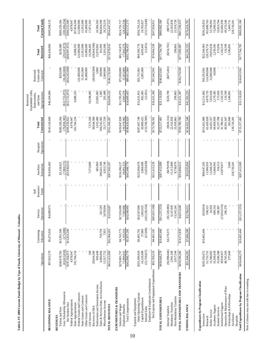|                                                                             |                                 | Continuing                | Service                   | Insurance<br>Self | Auxiliary                      | Hospital   | Total                           | Expendable Gifts,<br>Endowments,<br>Restricted<br>and State | Grants and<br>Restricted         | Total                            | Total                          |
|-----------------------------------------------------------------------------|---------------------------------|---------------------------|---------------------------|-------------------|--------------------------------|------------|---------------------------------|-------------------------------------------------------------|----------------------------------|----------------------------------|--------------------------------|
|                                                                             | Operations                      | Education                 | Operations                | Funds             | Enterprises                    | Operations | Unrestricted                    | Appropriations                                              | Contracts                        | Restricted                       | <b>Current Funds</b>           |
| <b>BEGINNING BALANCE</b>                                                    | \$97,832,570                    | \$5,675,024               | \$4,689,973               |                   | \$34,936,482                   |            | \$143,134,049                   | \$46,434,084                                                |                                  | \$46,434,084                     | \$189,568,133                  |
| Tuition and Fees<br>REVENUES                                                | \$260,978,783                   | \$15,991,500              |                           |                   | \$3,138,921                    |            | \$280,109,204                   |                                                             | \$250,000                        | \$250,000                        | \$280,359,204                  |
| Less: Scholarship Allowances<br>Net Student Fees                            | (63, 613, 810)<br>\$197,364,973 | (175.000)<br>\$15,816,500 |                           |                   | $(\$3,930,651)$<br>(7,069,572) |            | (70, 858, 382)<br>\$209,250,822 | $(\$12,755,873)$<br>$(\$12,755,873)$                        | $(\$16,242,000)$<br>(16,492,000) | (\$28,997,873)<br>(29, 247, 873) | (100.106.254)<br>\$180,252,949 |
| Federal Appropriations                                                      | 4,978,047                       |                           |                           |                   |                                |            | 4,978,047                       |                                                             |                                  |                                  | 4,978,047                      |
| State Appropriations                                                        | 181,766,234                     |                           |                           |                   |                                |            | 181,766,234                     | 6,088,355                                                   |                                  | 6,088,355                        | 187,854,589                    |
| Federal Grants and Contracts                                                |                                 |                           |                           |                   |                                |            |                                 |                                                             | 122,000,000                      | 122,000,000                      | 122,000,000                    |
| Other Grants and Contracts<br>State Grants and Contracts                    |                                 |                           |                           |                   |                                |            |                                 |                                                             | 21,052,000<br>45,008,000         | 45,008,000<br>21,052,000         | 45,008,000<br>21,052,000       |
| Gift Income                                                                 | 160                             |                           |                           |                   | 7,573,000                      |            | 7,573,160                       | 10,298,405                                                  |                                  | 10,298,405                       | 17,871,565                     |
| Recovery of F&A                                                             | 28,644,500                      |                           |                           |                   |                                |            | 28,644,500                      |                                                             | (28, 644, 500)                   | (28, 644, 500)                   |                                |
| Sales & Services-Educ Act/Auxiliaries<br>Endowment and Investment Income    | 949,440<br>6,900,894            | 759,750                   |                           |                   | 685,960<br>296,641,348         |            | 1,635,400<br>304,543,585        | 22,865,963                                                  | 100,000<br>5,000                 | 22,870,963<br>101,005            | 304,644,590<br>24,506,363      |
| Miscellaneous Income                                                        | 12,557,752                      | 7,953                     | 241,593<br>3,678,094      |                   | 6,933,740                      |            | 23,177,539                      | 1,005<br>201,680                                            | 2,900,000                        | 3,101,680                        | 26,279,219                     |
| TOTAL REVENUES                                                              | \$433,162,000                   | \$16,584,203              | \$3,919,687               |                   | \$307,903,397                  |            | \$761,569,287                   | \$26,699,535                                                | \$146,178,500                    | \$172,878,035                    | \$934,447,323                  |
| EXPENDITURES & TRANSFERS                                                    |                                 |                           |                           |                   |                                |            |                                 |                                                             |                                  |                                  |                                |
| Salaries and Wages<br>Employee Benefits                                     | \$270,981,737<br>71,909,032     | 1,193,510<br>\$4,743,775  | \$27,016,089<br>7,583,906 |                   | 29,692,533<br>\$136,306,237    |            | \$439,047,838<br>110,378,982    | 2,903,576<br>\$11,785,879                                   | 15,053,000<br>\$73,958,000       | \$85,743,879<br>17,956,576       | 128,335,558<br>\$524,791,717   |
| Total Compensation                                                          | 8342,890,770                    | \$5,937,285               | \$34,599,995              |                   | \$165,998,770                  |            | \$549,426,820                   | \$14,689,455                                                | \$89,011,000                     | \$103,700,455                    | \$653,127,275                  |
| Expense and Equipment                                                       |                                 |                           |                           |                   |                                |            |                                 |                                                             |                                  |                                  |                                |
| Other Operating Expense<br>Capital Expenditures                             | \$103,399,929<br>16,120,408     | 37,000<br>\$4,495,781     | \$54,507,060<br>1,863,925 |                   | \$125,004,978<br>2,068,089     |            | \$287,407,748<br>20,089,422     | 802,405<br>\$15,631,815                                     | 3,891,000<br>\$53,751,961        | \$69,383,776<br>4,693,405        | \$356,791,524<br>24,782,827    |
| Internal Sales                                                              | (25,750,827)                    | (67, 600)                 | (102, 228, 334)           |                   | (5,659,828)                    |            | (133,706,589)                   | (12, 851)                                                   |                                  | (12, 851)                        | (133, 719, 440)                |
| Net Expense and Equipment Expenditures<br>Employer & Employee Contributions | \$93,769,510                    | \$4,465,181               | ( \$45, 857, 348)         |                   | \$121,413,239                  |            | \$173,790,581                   | \$16,421,369                                                | \$57,642,961                     | \$74,064,330                     | \$247,854,911                  |
| TOTAL EXPENDITURES                                                          | \$436,660,279                   | \$10,402,466              | (\$11,257,353)            |                   | \$287,412,009                  |            | \$723,217,401                   | \$31,110,824                                                | \$146,653,961                    | \$177,764,785                    | \$900,982,186                  |
| Internal Transfers                                                          | (\$2,988,646)                   | \$4,170,373               | $(\$1,320,083)$           |                   | (8479, 959)                    |            | ( \$618, 314)                   | \$220,700                                                   | $(*475,461)$                     | $(\$254,761)$                    | (8873,075)                     |
| Mandatory Transfers                                                         | 2,901,108                       |                           | 4,147,839                 |                   | 15,113,889                     |            | 22,162,836                      |                                                             |                                  |                                  | 22,162,836                     |
| Non-Mandatory Transfers                                                     | 3,017,544                       |                           | 13,243,245                |                   | 8,758,076                      |            | 25,018,865                      | 299,863                                                     |                                  | 299,863                          | 25,318,728                     |
| TOTAL EXPENDITURES AND TRANSFERS                                            | \$439,590,286                   | \$14,572,839              | \$4,813,648               |                   | \$310,804,015                  |            | \$769,780,788                   | \$31,631,387                                                | \$146,178,500                    | 177,809,87                       | \$947,590,675                  |
| <b>ENDING BALANCE</b>                                                       | 887,404,285                     | \$7,686,388               | 96,012<br>\$3,7           |                   | \$32,035,864                   |            | \$134,922,548                   | \$41,502,233                                                |                                  | \$41,502,233                     | \$176,424,781                  |
| Expenditures by Program Classification                                      |                                 |                           |                           |                   |                                |            |                                 |                                                             |                                  |                                  |                                |
| Instruction                                                                 | \$205,392,072                   | \$10,402,466              | $($19,854)$<br>$598,321$  |                   | \$98,047,205                   |            | \$313,821,889                   | \$12,211,002                                                | \$10,293,961                     | \$22,504,963                     | \$336,326,853                  |
| Public Service<br>Research                                                  | 51,733,752<br>12,380,092        |                           | 24,918                    |                   | 11,096,955<br>11,648,347       |            | 63,429,028<br>24,053,357        | 6,079,735<br>7,653,636                                      | 114,300,000<br>22,000,000        | 120,379,735<br>29,653,636        | 183,808,763<br>53,706,993      |
| Academic Support                                                            | 55,509,438                      |                           | 689,510                   |                   | 13,660,991                     |            | 69,859,939                      | 2,179,385                                                   | 60,000                           | 2,239,385                        | 72,099,324                     |
| <b>Student Services</b>                                                     | 31,696,588                      |                           | 186,907                   |                   | 354,213                        |            | 32,237,708                      | 573,056                                                     |                                  | 573,056                          | 32,810,764                     |
| Institutional Support                                                       | 30,924,927                      |                           | (13,023,533)              |                   | 23,879,017                     |            | 41,780,411                      | 1,102,519                                                   |                                  | 1,102,519                        | 42,882,930<br>49,176,546       |
| Operation & Maintenance of Plant<br>Scholarships & Fellowships              | 48,765,569<br>257,840           |                           | 286,378                   |                   | 5,000                          |            | 262,840<br>49,051,947           | 124,599<br>1,186,891                                        |                                  | 124,599<br>1,186,891             | 1,449,731                      |
| Auxiliaries                                                                 |                                 |                           |                           |                   | 128,720,281                    |            | 128,720,281                     |                                                             |                                  |                                  | 128,720,281                    |
| Total Expenditures by Program Classification<br>Hospitals                   | \$436,660,279                   | \$10,402,466              | $(\$11,257,353)$          |                   | \$287,412,009                  |            | \$723,217,401                   | \$31,110,824                                                | \$146,653,961                    | \$177,764,785                    | \$900,982,186                  |
|                                                                             |                                 |                           |                           |                   |                                |            |                                 |                                                             |                                  |                                  |                                |

**Table 6. FY 2008 Current Funds Budget by Type of Funds, University of Missouri - Columbia**

Table 6. FY 2008 Current Funds Budget by Type of Funds, University of Missouri - Columbia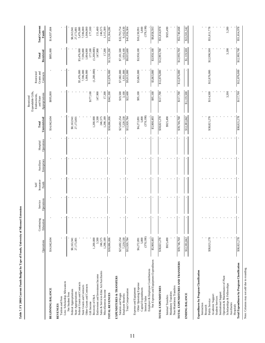Table 7. FY 2008 Current Funds Budget by Type of Funds, University of Missouri Extension **Table 7. FY 2008 Current Funds Budget by Type of Funds, University of Missouri Extension**

|                                                                             |              | Continuing | Service    | Insurance<br>Self | Auxiliary   | Hospital   | Total        | Expendable Gifts,<br>Endowments,<br>Restricted<br>and State | Grants and<br>Restricted | Total                  | <b>Total Current</b> |
|-----------------------------------------------------------------------------|--------------|------------|------------|-------------------|-------------|------------|--------------|-------------------------------------------------------------|--------------------------|------------------------|----------------------|
|                                                                             | Operations   | Education  | Operations | Funds             | Enterprises | Operations | Unrestricted | Appropriations                                              | Contracts                | Restricted             | <b>Funds</b>         |
| <b>BEGINNING BALANCE</b>                                                    | \$14,042,604 |            |            |                   |             |            | \$14,042,604 | \$895,000                                                   |                          | \$895,000              | \$14,937,604         |
| <b>REVENUES</b>                                                             |              |            |            |                   |             |            |              |                                                             |                          |                        |                      |
| Tuition and Fees                                                            |              |            |            |                   |             |            |              |                                                             |                          |                        |                      |
| Less: Scholarship Allowances                                                |              |            |            |                   |             |            |              |                                                             |                          |                        |                      |
| Federal Appropriations<br>Net Student Fees                                  | \$8,163,941  |            |            |                   |             |            | \$8,163,941  |                                                             |                          |                        | \$8,163,941          |
| State Appropriations                                                        | 27,173,801   |            |            |                   |             |            | 27,173,801   |                                                             |                          |                        | 27,173,801           |
| Federal Grants and Contracts                                                |              |            |            |                   |             |            |              |                                                             | \$5,476,000              | \$5,476,000            | 5,476,000            |
| State Grants and Contracts                                                  |              |            |            |                   |             |            |              |                                                             | 7,596,000                | 7,596,000              | 7,596,000            |
| Other Grants and Contracts                                                  |              |            |            |                   |             |            |              |                                                             | 1,004,000                | 1,004,000              | 1,004,000            |
| Gift Income                                                                 | 1,200,000    |            |            |                   |             |            | 1,200,000    | \$177,100                                                   | (1,200,000)              | (1,200,000)<br>177,100 | 177,100              |
| Endowment and Investment Income<br>Recovery of F&A                          | 3,500        |            |            |                   |             |            | 3,500        | 147,900                                                     |                          | 147,900                | 151,400              |
| Sales & Services-Educ Act/Auxiliaries                                       | 246,575      |            |            |                   |             |            | 246,575      |                                                             |                          |                        | 246,575              |
| Miscellaneous Income                                                        | 1,298,189    |            |            |                   |             |            | 1,298,189    | 17,200                                                      |                          | 17,200                 | 1,315,389            |
| <b>TOTAL REVENUES</b>                                                       | \$38,086,006 |            |            |                   |             |            | \$38,086,006 | \$342,200                                                   | \$12,876,000             | \$13,218,200           | \$51,304,206         |
|                                                                             |              |            |            |                   |             |            |              |                                                             |                          |                        |                      |
| EXPENDITURES & TRANSFERS<br>Salaries and Wages                              | \$25,692,254 |            |            |                   |             |            | \$25,692,254 | \$19,500                                                    | \$7,082,000              | \$7,101,500            | \$32,793,754         |
| Employee Benefits                                                           | 7,228,530    |            |            |                   |             |            | 7,228,530    | 3,100                                                       | 1,931,000                | 1,934,100              | 9,162,630            |
| Total Compensation                                                          | \$32,920,784 |            |            |                   |             |            | \$32,920,784 | \$22,600                                                    | \$9,013,000              | \$9,035,000            | \$41,956,384         |
| Expense and Equipment                                                       |              |            |            |                   |             |            |              |                                                             |                          |                        |                      |
| Other Operating Expense                                                     | \$6,272,891  |            |            |                   |             |            | \$6,272,891  | \$95,100                                                    | \$3,863,000              | \$3,958,100            | \$10,230,991         |
| Capital Expenditures                                                        | 5,800        |            |            |                   |             |            | 5,800        |                                                             |                          |                        | 5,800                |
| Internal Sales                                                              | (378, 198)   |            |            |                   |             |            | (378, 198)   |                                                             |                          |                        | (378, 198)           |
| Net Expense and Equipment Expenditures<br>Employer & Employee Contributions | £67'006'S\$  |            |            |                   |             |            | \$5,900,493  | \$95,100                                                    | \$3,863,000              | \$3,958,100            | \$9,858,593          |
|                                                                             |              |            |            |                   |             |            |              |                                                             |                          |                        |                      |
| TOTAL EXPENDITURES                                                          | \$38,821,278 |            |            |                   |             |            | \$38,821,278 | \$117,700                                                   | \$12,876,000             | \$12,993,700           | \$51,814,978         |
| Internal Transfers                                                          | \$925,490    |            |            |                   |             |            | \$925,490    |                                                             |                          |                        | \$925,490            |
| Mandatory Transfers                                                         |              |            |            |                   |             |            |              |                                                             |                          |                        |                      |
| Non-Mandatory Transfers                                                     |              |            |            |                   |             |            |              |                                                             |                          |                        |                      |
| TOTAL EXPENDITURES AND TRANSFERS                                            | \$39,746,768 |            |            |                   |             |            | 839,746,768  | \$117,700                                                   | \$12,876,000             | \$12,993,700           | \$52,740,468         |
| ENDING BALANCE                                                              | \$12,381,842 |            |            |                   |             |            | \$12,381,842 | 005'611'1\$                                                 |                          | 81,119,500             | \$13,501,342         |
|                                                                             |              |            |            |                   |             |            |              |                                                             |                          |                        |                      |
| Expenditures by Program Classification                                      |              |            |            |                   |             |            |              |                                                             |                          |                        |                      |
| Instruction                                                                 |              |            |            |                   |             |            |              |                                                             |                          |                        |                      |
| Public Service<br>Research                                                  | \$38,821,278 |            |            |                   |             |            | \$38,821,278 | \$114,500                                                   | \$12,876,000             | \$12,990,500           | \$51,811,778         |
| Academic Support                                                            |              |            |            |                   |             |            |              |                                                             |                          |                        |                      |
| <b>Student Services</b>                                                     |              |            |            |                   |             |            |              |                                                             |                          |                        |                      |
| Institutional Support                                                       |              |            |            |                   |             |            |              |                                                             |                          |                        |                      |
| Operation & Maintenance of Plant                                            |              |            |            |                   |             |            |              |                                                             |                          |                        |                      |
| Scholarships & Fellowships<br>Auxiliaries                                   |              |            |            |                   |             |            |              | 3,200                                                       |                          | 3,200                  | 3,200                |
| Hospitals                                                                   |              |            |            |                   |             |            |              |                                                             |                          |                        |                      |
| Total Expenditures by Program Classification                                | \$38,821,278 |            |            |                   |             |            | \$38,821,278 | \$117,700                                                   | \$12,876,000             | \$12,993,700           | 871,814,978          |

Hospitals<br>Total Expenditures by Program Classification 538,821,278<br>Note: Columns may not add due to rounding. Note: Columns may not add due to rounding.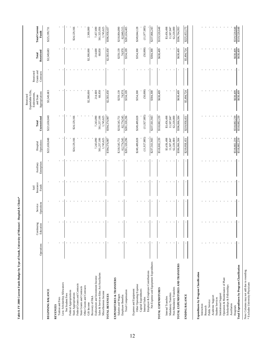| i<br>List                                                       |  |
|-----------------------------------------------------------------|--|
| j<br>֖֧֧֧֧֧֧֪֧֧֚֚֚֚֚֚֚֚֚֚֚֚֚֚֚֚֚֚֚֚֚֚֚֡֬֕֝֬֝֓֝֬֝֬֝֓֝֬֝֓֝֬֝֬֝֬֝֬ |  |
|                                                                 |  |
|                                                                 |  |
|                                                                 |  |
| ;<br>;                                                          |  |
|                                                                 |  |
|                                                                 |  |
|                                                                 |  |
| Î                                                               |  |
|                                                                 |  |
| j                                                               |  |
|                                                                 |  |
|                                                                 |  |
|                                                                 |  |
|                                                                 |  |
|                                                                 |  |
|                                                                 |  |
| ť                                                               |  |
|                                                                 |  |
| $\ddot{ }$                                                      |  |
| ī                                                               |  |
|                                                                 |  |
|                                                                 |  |
|                                                                 |  |
|                                                                 |  |
|                                                                 |  |
|                                                                 |  |
|                                                                 |  |
|                                                                 |  |
|                                                                 |  |
|                                                                 |  |
|                                                                 |  |
|                                                                 |  |
|                                                                 |  |
|                                                                 |  |
| Table 8. FY 2008 Ct<br>d                                        |  |

|                                                      | Operations | Continuing<br>Education | Operations<br>Service | Insurance<br>Funds<br>Self | Enterprises<br>Auxiliary | Operations<br>Hospital         | Unrestricted<br>Total          | Expendable Gifts,<br>Appropriations<br>Endowments,<br>Restricted<br>and State | Grants and<br>Restricted<br>Contracts | Restricted<br>Total | <b>Total Current</b><br><b>Funds</b> |
|------------------------------------------------------|------------|-------------------------|-----------------------|----------------------------|--------------------------|--------------------------------|--------------------------------|-------------------------------------------------------------------------------|---------------------------------------|---------------------|--------------------------------------|
| <b>BEGINNING BALANCE</b>                             |            |                         |                       |                            |                          | \$221,650,048                  | \$221,650,048                  | \$3,549,683                                                                   |                                       | \$3,549,683         | \$225,199,731                        |
|                                                      |            |                         |                       |                            |                          |                                |                                |                                                                               |                                       |                     |                                      |
| Tuition and Fees<br><b>REVENUES</b>                  |            |                         |                       |                            |                          |                                |                                |                                                                               |                                       |                     |                                      |
| Less: Scholarship Allowances                         |            |                         |                       |                            |                          |                                |                                |                                                                               |                                       |                     |                                      |
| Net Student Fees                                     |            |                         |                       |                            |                          |                                |                                |                                                                               |                                       |                     |                                      |
| Federal Appropriations                               |            |                         |                       |                            |                          | \$24,129,166                   |                                |                                                                               |                                       |                     |                                      |
| Federal Grants and Contracts<br>State Appropriations |            |                         |                       |                            |                          |                                | \$24,129,166                   |                                                                               |                                       |                     | \$24,129,166                         |
| State Grants and Contracts                           |            |                         |                       |                            |                          |                                |                                |                                                                               |                                       |                     |                                      |
| Other Grants and Contracts                           |            |                         |                       |                            |                          |                                |                                |                                                                               |                                       |                     |                                      |
| Recovery of F&A<br>Gift Income                       |            |                         |                       |                            |                          |                                |                                | \$2,300,000                                                                   |                                       | \$2,300,000         | 2,300,000                            |
| Endowment and Investment Income                      |            |                         |                       |                            |                          | 7,243,090                      | 7,243,090                      | 214,600                                                                       |                                       | 214,600             | 7,457,690                            |
| Sales & Services-Educ Act/Auxiliaries                |            |                         |                       |                            |                          | 561,257,106                    | 561,257,106                    | 68,850                                                                        |                                       | 68,850              | 561,325,956                          |
| Miscellaneous Income                                 |            |                         |                       |                            |                          | 1,745,625                      | 1,745,625                      |                                                                               |                                       |                     | 1,745,625                            |
| TOTAL REVENUES                                       |            |                         |                       |                            |                          | \$594,374,987                  | £86'r4'314'85                  | \$2,583,450                                                                   |                                       | \$2,583,450         | \$596,958,437                        |
| EXPENDITURES & TRANSFERS                             |            |                         |                       |                            |                          |                                |                                |                                                                               |                                       |                     |                                      |
| Salaries and Wages                                   |            |                         |                       |                            |                          | \$218,545,751                  | \$218,545,751                  | \$259,139                                                                     |                                       | \$259,139           | \$218,804,890                        |
| Total Compensation<br><b>Employee Benefits</b>       |            |                         |                       |                            |                          | \$281,320,296<br>62,774,545    | \$281,320,296<br>62,774,545    | \$334,109<br>74,970                                                           |                                       | \$334,109<br>74,970 | 62,849,515<br>\$281,654,405          |
|                                                      |            |                         |                       |                            |                          |                                |                                |                                                                               |                                       |                     |                                      |
| Other Operating Expense<br>Expense and Equipment     |            |                         |                       |                            |                          | \$249,489,828                  | \$249,489,828                  | \$354,300                                                                     |                                       | \$354,300           | \$249,844,128                        |
| Capital Expenditures                                 |            |                         |                       |                            |                          |                                |                                |                                                                               |                                       |                     |                                      |
| Employer & Employee Contributions<br>Internal Sales  |            |                         |                       |                            |                          | (11,927,885)                   | (11, 927, 885)                 | (50,000)                                                                      |                                       | (50,000)            | (11,977,885)                         |
| Net Expense and Equipment Expenditures               |            |                         |                       |                            |                          | \$237,561,943                  | \$237,561,943                  | \$304,300                                                                     |                                       | \$304,300           | \$237,866,243                        |
| TOTAL EXPENDITURES                                   |            |                         |                       |                            |                          | \$518,882,239                  | \$518,882,239                  | \$638,409                                                                     |                                       | \$638,409           | \$519,520,648                        |
|                                                      |            |                         |                       |                            |                          |                                |                                |                                                                               |                                       |                     |                                      |
| Internal Transfers                                   |            |                         |                       |                            |                          | \$3,456,498                    | \$3,456,498                    |                                                                               |                                       |                     | \$3,456,498<br>11,507,847            |
| Non-Mandatory Transfers<br>Mandatory Transfers       |            |                         |                       |                            |                          | 11,507,847<br>62,220,000       | 11,507,847<br>62,220,000       |                                                                               |                                       |                     | 62,220,000                           |
| TOTAL EXPENDITURES AND TRANSFERS                     |            |                         |                       |                            |                          | \$596,066,584                  | \$596,066,584                  | \$638,409                                                                     |                                       | 8638,409            | \$596,704,993                        |
| <b>ENDING BALANCE</b>                                |            |                         |                       |                            |                          | \$219,958,451                  | \$219,958,451                  | \$5,494,724                                                                   |                                       | \$5,494,724         | \$225,453,175                        |
|                                                      |            |                         |                       |                            |                          |                                |                                |                                                                               |                                       |                     |                                      |
| Expenditures by Program Classification               |            |                         |                       |                            |                          |                                |                                |                                                                               |                                       |                     |                                      |
| Instruction                                          |            |                         |                       |                            |                          |                                |                                |                                                                               |                                       |                     |                                      |
| Research                                             |            |                         |                       |                            |                          |                                |                                |                                                                               |                                       |                     |                                      |
| Public Service                                       |            |                         |                       |                            |                          |                                |                                |                                                                               |                                       |                     |                                      |
| Academic Support<br><b>Student Services</b>          |            |                         |                       |                            |                          |                                |                                |                                                                               |                                       |                     |                                      |
| Institutional Support                                |            |                         |                       |                            |                          |                                |                                |                                                                               |                                       |                     |                                      |
| Operation & Maintenance of Plant                     |            |                         |                       |                            |                          |                                |                                |                                                                               |                                       |                     |                                      |
| Scholarships & Fellowships<br>Auxiliaries            |            |                         |                       |                            |                          |                                |                                |                                                                               |                                       |                     |                                      |
| Hospitals                                            |            |                         |                       |                            |                          |                                |                                | \$638,409                                                                     |                                       | \$638,409           | \$519,520,648                        |
| Total Expenditures by Program Classification         |            |                         |                       |                            |                          | \$518,882,239<br>\$518,882,239 | \$518,882,239<br>\$518,882,239 | \$638,409                                                                     |                                       | \$638,409           | \$519,520,648                        |
|                                                      |            |                         |                       |                            |                          |                                |                                |                                                                               |                                       |                     |                                      |

Note: Columns may not add due to rounding.<br>  $\ast$  Excludes University Physicians Note: Columns may not add due to rounding. \* Excludes University Physicians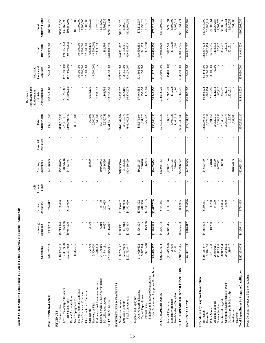|                                                                                                                                                                                                                                                                                                                  | Operations                                                                                                                  | Continuing<br>Education                 | Operations<br>Service                                          | Insurance<br><b>Funds</b><br>Self | Enterprises<br>Auxiliary                                                              | Operations<br>Hospital | Unrestricted<br>Total                                                                                                                     | Expendable Gifts,<br>Appropriations<br>Endowments,<br>Restricted<br>and State                                     | Grants and<br>Restricted<br>Contracts                            | Restricted<br>Total                                                                                                   | <b>Current Funds</b><br>Total                                                                                                                 |
|------------------------------------------------------------------------------------------------------------------------------------------------------------------------------------------------------------------------------------------------------------------------------------------------------------------|-----------------------------------------------------------------------------------------------------------------------------|-----------------------------------------|----------------------------------------------------------------|-----------------------------------|---------------------------------------------------------------------------------------|------------------------|-------------------------------------------------------------------------------------------------------------------------------------------|-------------------------------------------------------------------------------------------------------------------|------------------------------------------------------------------|-----------------------------------------------------------------------------------------------------------------------|-----------------------------------------------------------------------------------------------------------------------------------------------|
| <b>BEGINNING BALANCE</b>                                                                                                                                                                                                                                                                                         | \$28,157,793                                                                                                                | \$369,233                               | \$244,812                                                      |                                   | \$4,146,323                                                                           |                        | \$32,918,161                                                                                                                              | \$28,749,068                                                                                                      | \$640,000                                                        | \$29,389,068                                                                                                          | \$62,307,229                                                                                                                                  |
| Less: Scholarship Allowances<br>Net Student Fees<br>Tuition and Fees<br><b>REVENUES</b>                                                                                                                                                                                                                          | $(24, 401, 983)$<br>$$92, 501, 652$<br>\$116,903,635                                                                        | (146,000)<br>\$9,213,390<br>\$9,067,390 | \$100,000<br>\$100,000                                         |                                   | (865, 628)<br>\$4,432,445<br>\$5,298,073                                              |                        | (25, 413, 611)<br>\$131,515,098<br>\$106,101,487                                                                                          | (1,996,985)<br>$(\$1,996,985)$                                                                                    | (\$7,750,000)                                                    | $(89,746,985)$<br>$(89,746,985)$                                                                                      | (35,160,596)<br>\$131,515,098<br>\$96,354,502                                                                                                 |
| Federal Grants and Contracts<br>State Grants and Contracts<br>Federal Appropriations<br>State Appropriations                                                                                                                                                                                                     | 80,616,686                                                                                                                  |                                         |                                                                |                                   |                                                                                       |                        | 80,616,686                                                                                                                                |                                                                                                                   | 30,000,000<br>5,300,000                                          | 30,000,000<br>5,300,000                                                                                               | 80,616,686<br>30,000,000<br>5,300,000                                                                                                         |
| Sales & Services-Educ Act/Auxiliaries<br>Endowment and Investment Income<br>Other Grants and Contracts<br>Miscellaneous Income<br>Recovery of F&A<br>Gift Income                                                                                                                                                 | 5,500,000<br>142,700<br>640,000<br>24,100,816<br>3,544,111                                                                  | 3,190<br>6,210<br>40,057                | 155,100<br>202,025                                             |                                   | 15,000<br>19,052,043<br>1,549,556                                                     |                        | 5,500,000<br>640,000<br>43,314,169<br>160,890<br>5,335,749                                                                                | 6,919,136<br>7,333,813<br>1,462,786                                                                               | (5,500,000)<br>12,600,000                                        | (5,500,000)<br>12,600,000<br>6,919,136<br>7,333,813<br>1,462,786                                                      | 12,600,000<br>43,314,169<br>7,080,026<br>7,973,813<br>6,798,535                                                                               |
| TOTAL REVENUES                                                                                                                                                                                                                                                                                                   | \$207,045,965                                                                                                               | \$9,116,847                             | \$457,125                                                      |                                   | \$25,049,044                                                                          |                        | \$241,668,981                                                                                                                             | \$13,718,750                                                                                                      | \$34,650,000                                                     | \$48,368,750                                                                                                          | \$290,037,731                                                                                                                                 |
| EXPENDITURES & TRANSFERS<br>Total Compensation<br>Salaries and Wages<br><b>Employee Benefits</b>                                                                                                                                                                                                                 | \$130,265,147<br>32,527,900<br>\$162,793,047                                                                                | 461,912<br>\$2,805,823<br>\$2,343,911   | ,018,048<br>1,372,650<br>\$3,354,602<br> ऊ                     |                                   | 3,105,515<br>\$10,383,944<br>\$13,489,459                                             |                        | 37,113,375<br>\$183,460,979<br>\$146,347,604                                                                                              | \$5,033,572<br>\$6,370,673<br>1,337,101                                                                           | \$19,277,500<br>3,855,500<br>\$23,133,000                        | \$24,311,072<br>5,192,601<br>\$29,503,673                                                                             | 42,305,976<br>\$170,658,676<br>\$212,964,652                                                                                                  |
| Net Expense and Equipment Expenditures<br>Employer & Employee Contributions<br>Other Operating Expense<br>Capital Expenditures<br>Expense and Equipment<br>Internal Sales                                                                                                                                        | (977, 679)<br>\$41,099,692<br>9,377,944<br>LS6'66t'6t\$                                                                     | (6,000)<br>\$1,526,325<br>\$1,520,325   | (\$87,785)<br>,720,127)<br>,685,392<br>416,950<br>Ş<br>p<br>l£ |                                   | (56, 217)<br>\$9,265,195<br>256,676<br>\$9,465,654                                    |                        | (8,760,023)<br>10,051,570<br>\$55,576,604<br>\$56,868,151                                                                                 | (17,550)<br>\$8,543,256<br>\$7,969,853<br>590,953                                                                 | 811,917,000<br>\$11,566,500<br>350,500                           | (17,550)<br>\$20,460,256<br>\$19,536,353<br>941,453                                                                   | (8,777,573)<br>10,993,023<br>\$77,328,407<br>\$75,112,957                                                                                     |
| TOTAL EXPENDITURES                                                                                                                                                                                                                                                                                               | \$212,293,004                                                                                                               | \$4,326,148                             | \$754,865                                                      |                                   | \$22,955,113                                                                          |                        | \$240,329,130                                                                                                                             | \$14,913,929                                                                                                      | \$35,050,000                                                     | \$49,963,929                                                                                                          | \$290,293,059                                                                                                                                 |
| TOTAL EXPENDITURES AND TRANSFERS<br>Non-Mandatory Transfers<br>Mandatory Transfers<br>Internal Transfers                                                                                                                                                                                                         | ( \$1,649,320)<br>25,000<br>\$210,762,615<br>93,931                                                                         | \$4,349,515<br>\$8,675,663              | \$136,130<br>\$890,995                                         |                                   | $(\$2,802,154)$<br>1,370,688<br>\$24,906,772<br>3,383,125                             |                        | 1,464,619<br>\$245,236,045<br>3,408,125<br>\$34,171                                                                                       | (11,823)<br>\$1,262,220<br>\$16,165,726<br>1,400                                                                  | $(*400,000)$<br>\$34,650,000                                     | (11, 823)<br>\$862,220<br>\$50,815,726<br>1,400                                                                       | 1,466,019<br>3,396,302<br>\$296,051,771<br>\$896,391                                                                                          |
| ENDING BALANCE                                                                                                                                                                                                                                                                                                   | \$24,441,143                                                                                                                | \$810,417                               | \$189,058)                                                     |                                   | \$4,288,595                                                                           |                        | \$29,351,097                                                                                                                              | \$26,302,092                                                                                                      | \$640,000                                                        | \$26,942,092                                                                                                          | \$56,293,189                                                                                                                                  |
| Total Expenditures by Program Classification<br><b>Expenditures by Program Classification</b><br>Operation & Maintenance of Plant<br>Scholarships & Fellowships<br>Institutional Support<br>Academic Support<br><b>Student Services</b><br>Public Service<br>Auxiliaries<br>Instruction<br>Hospitals<br>Research | \$212,293,004<br>3,378,158<br>3,701,568<br>12,472,346<br>20,554,973<br>\$116,168,847<br>28,912,054<br>119,047<br>26,986,011 | 10,250<br>\$4,326,148<br>\$4,315,898    | \$754,865<br>6,200<br>84,500<br>5,000<br>528,804<br>\$130,361  |                                   | \$22,955,113<br>173,848<br>458,500<br>16,654,083<br>\$4,692,470<br>867,512<br>108,700 |                        | \$240,329,130<br>29,549,558<br>20,559,973<br>\$125,307,576<br>3,378,158<br>3,891,866<br>13,339,858<br>16,654,083<br>27,529,011<br>119,047 | \$14,913,929<br>1,002,754<br>2,716,795<br>172,978<br>\$6,863,324<br>1,432,873<br>167,917<br>,221,511<br>1,335,777 | \$35,050,000<br>16,000,000<br>\$5,444,000<br>13,600,000<br>6,000 | \$49,963,929<br>172,978<br>17,002,754<br>16,316,795<br>\$12,307,324<br>1,438,873<br>167,917<br>1,221,511<br>1,335,777 | 28,967,884<br>13,507,775<br>30,885,335<br>1,340,558<br>16,654,083<br>\$290,293,059<br>\$137,614,900<br>20,380,912<br>20,208,661<br>20,732,951 |

Table 9. FY 2008 Current Funds Budget by Type of Funds, University of Missouri - Kansas City **Table 9. FY 2008 Current Funds Budget by Type of Funds, University of Missouri - Kansas City**

Note: Columns may not add due to rounding. Note: Columns may not add due to rounding.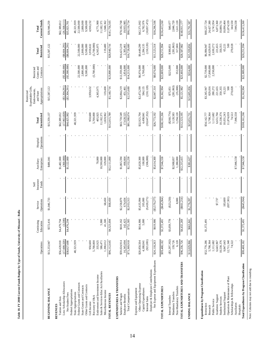|                                                 |                           |                         |                        | Self               |                          |                        |                            | Expendable Gifts,<br>Endowments,<br>Restricted | Restricted               |                          |                            |
|-------------------------------------------------|---------------------------|-------------------------|------------------------|--------------------|--------------------------|------------------------|----------------------------|------------------------------------------------|--------------------------|--------------------------|----------------------------|
|                                                 | Operations                | Continuing<br>Education | Operations<br>Service  | Insurance<br>Funds | Enterprises<br>Auxiliary | Operations<br>Hospital | Unrestricted<br>Total      | Appropriations<br>and State                    | Grants and<br>Contracts  | Restricted<br>Total      | Current Funds<br>Total     |
| BEGINNING BALANCE                               | \$13,253,947              | \$572,416               | \$1,046,733            |                    | \$486,041                |                        | \$15,359,137               | \$15,587,122                                   |                          | \$15,587,122             | \$30,946,259               |
| Tuition and Fees<br><b>REVENUES</b>             | \$56,428,018              | \$4,479,794             |                        |                    | \$1,482,000              |                        | \$62,389,812               |                                                |                          |                          | \$62,389,812               |
| Less: Scholarship Allowances                    | (17,600,320)              | (3,500)                 |                        |                    | (360,000)                |                        | (17,963,820)               | ( \$3,304,291)                                 | ( \$5, 300, 000)         | ( \$8,604,291)           | (26, 568, 111)             |
| Net Student Fees                                | \$38,827,698              | \$4,476,294             |                        |                    | \$1,122,000              |                        | \$44,425,992               | $(\$3,304,291)$                                | $(*5,300,000)$           | (88,604,291)             | \$35,821,701               |
| Federal Appropriations<br>State Appropriations  | 48,321,939                |                         |                        |                    |                          |                        | 48,321,939                 |                                                |                          |                          | 48,321,939                 |
| Federal Grants and Contracts                    |                           |                         |                        |                    |                          |                        |                            |                                                | 22,500,000               | 22,500,000               | 22,500,000                 |
| State Grants and Contracts                      |                           |                         |                        |                    |                          |                        |                            |                                                | 2,800,000                | 2,800,000                | 2,800,000                  |
| Other Grants and Contracts<br>Gift Income       | 950,600                   |                         |                        |                    |                          |                        | 950,600                    | 3,959,632                                      | 9,500,000                | 9,500,000<br>3,959,632   | 9,500,000<br>4,910,232     |
| Recovery of F&A                                 | 5,700,000                 |                         |                        |                    |                          |                        | 5,700,000                  |                                                | (5,700,000)              | (5,700,000)              |                            |
| Endowment and Investment Income                 | 335,925                   |                         |                        |                    | 70,000                   |                        | 405,925                    | 4,365,975                                      |                          | 4,365,975                | 4,771,900                  |
| Sales & Services-Educ Act/Auxiliaries           | 586,471                   | 5,900                   |                        |                    | 10,590,000               |                        | 11,182,371                 |                                                |                          |                          | 11,182,371                 |
| Miscellaneous Income<br>TOTAL REVENUES          | \$96,112,645<br>1,390,012 | 41,500<br>\$4,523,694   | 68,450<br>\$68,450     |                    | \$12,111,000<br>329,000  |                        | \$112,815,789<br>1,828,962 | \$5,140,716<br>119,400                         | \$23,800,000             | \$28,940,716<br>119,400  | \$141,756,505<br>1,948,362 |
|                                                 |                           |                         |                        |                    |                          |                        |                            |                                                |                          |                          |                            |
| EXPENDITURES & TRANSFERS<br>Salaries and Wages  | \$59,024,914              | \$610,162               | \$2,258,879            |                    | \$1,865,594              |                        | \$63,759,549               | \$2,064,219                                    | \$12,359,000             | \$14,423,219             | \$78,182,768               |
| Employee Benefits                               | 16,345,004                | 142,423                 | 674,434                |                    | 466,664                  |                        | 17,628,525                 | 451,461                                        | 1,854,000                | 2,305,461                | 19,933,985                 |
| Total Compensation                              | \$75,369,918              | \$752,585               | \$2,933,313            |                    | \$2,332,258              |                        | \$81,388,074               | \$2,515,680                                    | \$14,213,000             | \$16,728,680             | \$98,116,754               |
| Expense and Equipment                           |                           |                         |                        |                    |                          |                        |                            |                                                |                          |                          |                            |
| Other Operating Expense<br>Capital Expenditures | \$20,850,504<br>4,188,841 | 5,000<br>\$614,906      | 205,000<br>\$5,635,994 |                    | \$5,820,300<br>100,000   |                        | \$32,921,704<br>4,498,841  | \$2,473,299<br>584,135                         | \$6,976,000<br>1,700,000 | \$9,449,299<br>2,284,135 | \$42,371,002<br>6,782,976  |
| Internal Sales                                  | (921,081)                 |                         | (9,420,271)            |                    | (306,000)                |                        | (10, 647, 352)             | (210, 120)                                     |                          | (210, 120)               | (10, 857, 472)             |
| Employer & Employee Contributions               |                           |                         |                        |                    |                          |                        |                            |                                                |                          |                          |                            |
| Net Expense and Equipment Expenditures          | \$24,118,263              | \$619,906               | (5, 579, 277)          |                    | \$5,614,300              |                        | \$26,773,192               | \$2,847,314                                    | \$8,676,000              | \$11,523,314             | \$38,296,506               |
| TOTAL EXPENDITURES                              | \$99,488,182              | \$1,372,491             | (\$645,964)            |                    | \$7,946,58               |                        | \$108,161,266              | \$5,362,994                                    | \$22,889,000             | \$28,251,994             | \$136,413,260              |
| Internal Transfers                              | ( \$3,297,302)            | \$3,059,778             | (\$23,250)             |                    |                          |                        | $(\$260,774)$              | \$75,851                                       | \$225,000                | \$300,851                | \$40,077                   |
| Non-Mandatory Transfers<br>Mandatory Transfers  | 139,726<br>6,120          |                         | 8,000                  |                    | \$2,988,857<br>1,280,000 |                        | 3,128,583<br>1,294,120     | (281, 863)<br>(35,000)                         | 352,000                  | (281, 863)<br>317,000    | 2,846,720<br>1,611,120     |
| TOTAL EXPENDITURES AND TRANSFERS                | \$96,336,726              | \$4,432,269             | ( \$661, 214)          |                    | \$12,215,415             |                        | \$112,323,195              | \$5,121,982                                    | \$23,466,000             | \$28,587,982             | \$140,911,177              |
|                                                 |                           |                         |                        |                    |                          |                        |                            |                                                |                          |                          |                            |
| <b>ENDING BALANCE</b>                           | \$13,029,866              | \$663,841               | \$1,776,397            |                    | \$381,627                |                        | \$15,851,731               | \$15,605,856                                   | \$334,000                | \$15,939,856             | \$31,791,587               |
| Expenditures by Program Classification          |                           |                         |                        |                    |                          |                        |                            |                                                |                          |                          |                            |
| Instruction                                     | \$52,770,286              | \$1,372,491             |                        |                    |                          |                        | \$54,142,777               | \$3,345,947                                    | \$2,739,000              | \$6,084,947              | \$60,227,724               |
| Research                                        | 5,798,364                 |                         |                        |                    |                          |                        | 5,798,364                  | 829,016                                        | 17,800,000               | 18,629,016               | 24,427,380                 |
| Public Service                                  | 1,111,682                 |                         |                        |                    |                          |                        | 1,111,682                  | 280,272                                        | 2,350,000                | 2,630,272                | 3,741,954                  |
| Academic Support<br><b>Student Services</b>     | 10,530,376<br>6,643,967   |                         | \$7,737                |                    |                          |                        | 6,651,704<br>0,530,376     | 350,355<br>221,655                             |                          | 350,355<br>221,655       | 6,873,360<br>10,880,731    |
| Institutional Support                           | 9,847,643                 |                         | 183,600                |                    |                          |                        | 10,031,243                 | 65,221                                         |                          | 65,221                   | 10,096,464                 |
| Operation & Maintenance of Plant                | 12,711,340                |                         | (837,301)              |                    |                          |                        | 11,874,039                 | 500                                            |                          | 500                      | 11,874,539                 |
| Scholarships & Fellowships<br>Auxiliaries       | 74,522                    |                         |                        |                    | \$7,946,558              |                        | 7,946,558<br>74,522        | 270,028                                        |                          | 270,028                  | 7,946,558<br>344,550       |
| Hospitals                                       |                           |                         |                        |                    |                          |                        |                            |                                                |                          |                          |                            |
| Total Expenditures by Program Classification    | \$99,488,182              | \$1,372,491             | $(\$645,964)$          |                    | \$7,946,58               |                        | \$108,161,266              | \$5,362,994                                    | \$22,889,000             | \$28,251,994             | \$136,413,260              |

Total Expenditures by Program Classification<br>Note: Columns may not add due to rounding. Note: Columns may not add due to rounding.

**Table 10. FY 2008 Current Funds Budget by Type of Funds, University of Missouri - Rolla**

Table 10. FY 2008 Current Funds Budget by Type of Funds, University of Missouri - Rolla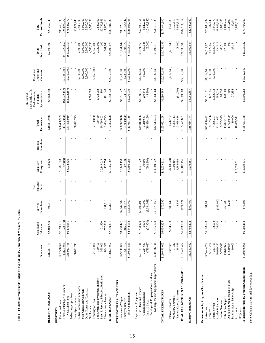|                                                                          | Operations                    | Continuing<br>Education   | Operations<br>Service  | Insurance<br>Funds<br>Self | Enterprises<br>Auxiliary | Operations<br>Hospital | Unrestricted<br>Total          | Expendable Gifts,<br>Appropriations<br>Endowments,<br>Restricted<br>and State | Grants and<br>Restricted<br>Contracts | Restricted<br>Total       | <b>Current Funds</b><br>Total |
|--------------------------------------------------------------------------|-------------------------------|---------------------------|------------------------|----------------------------|--------------------------|------------------------|--------------------------------|-------------------------------------------------------------------------------|---------------------------------------|---------------------------|-------------------------------|
| <b>BEGINNING BALANCE</b>                                                 | \$16,313,189                  | \$2,380,229               | \$92,510               |                            | \$78,020                 |                        | \$18,863,948                   | \$7,403,993                                                                   |                                       | \$7,403,993               | \$26,267,940                  |
| Less: Scholarship Allowances<br>Tuition and Fees<br><b>REVENUES</b>      | (13,666,920)<br>\$82,580,378  | (228, 150)<br>\$7,099,101 |                        |                            | (757,000)<br>\$6,781,520 |                        | (14, 652, 070)<br>\$96,460,999 | (\$1,222,157)                                                                 | $(\$9,000,000)$                       | (\$10,222,157)            | (24,874,227)<br>\$96,460,999  |
| Federal Appropriations<br>Net Student Fees                               | \$68,913,458                  | \$6,870,951               |                        |                            | \$6,024,520              |                        | \$81,808,929                   | (\$1,222,157)                                                                 | $(*9,000,000)$                        | (\$10,222,157)            | \$71,586,772                  |
| Federal Grants and Contracts<br>State Appropriations                     | 56,071,743                    |                           |                        |                            |                          |                        | 56,071,743                     |                                                                               | 17,500,000                            | 17,500,000                | 56,071,743<br>17,500,000      |
| State Grants and Contracts                                               |                               |                           |                        |                            |                          |                        |                                |                                                                               | 3,000,000                             | 3,000,000                 | 3,000,000                     |
| Other Grants and Contracts<br>Gift Income                                |                               |                           |                        |                            |                          |                        |                                | 4,586,393                                                                     | 5,500,000                             | 5,500,000<br>4,586,393    | 5,500,000<br>4,586,393        |
| Recovery of F&A                                                          | 2,150,000                     |                           |                        |                            |                          |                        | 2,150,000                      |                                                                               | (2,150,000)                           | (2,150,000)               |                               |
| Sales & Services-Educ Act/Auxiliaries<br>Endowment and Investment Income | 160,400<br>556,000<br>804,356 | 31,850                    |                        |                            | 20,149,013               |                        | 160,400<br>20,736,863          | 2,722,902<br>100                                                              |                                       | 100<br>2,722,902          | 20,736,963<br>2,883,302       |
| Miscellaneous Income<br>TOTAL REVENUES                                   | \$128,655,957                 | 277,000<br>\$7,179,801    | \$251,113<br>251,113   |                            | 132,254<br>\$26,305,787  |                        | \$162,392,658<br>1,464,723     | \$6,248,878<br>161,640                                                        | \$14,850,000                          | \$21,098,878<br>161,640   | \$183,491,536<br>1,626,363    |
| <b>EXPENDITURES &amp; TRANSFERS</b><br>Salaries and Wages                | \$79,148,097                  | \$3,538,447               | \$2,847,982            |                            | \$3,443,150              |                        | \$88,977,676                   | \$2,351,642                                                                   | \$8,400,000                           | \$10,751,642              | \$99,729,318                  |
| Total Compensation<br>Employee Benefits                                  | 21,541,762<br>\$100,689,859   | \$4,344,138<br>805,691    | \$3,653,460<br>805,478 |                            | 907,139<br>\$4,350,289   |                        | 24,060,070<br>\$113,037,746    | \$2,926,019<br>574,377                                                        | 1,730,000<br>\$10,130,000             | \$13,056,019<br>2,304,377 | \$126,093,765<br>26,364,447   |
| Other Operating Expense<br>Expense and Equipment                         | \$27,727,146                  | \$1,738,020               | \$5,407,198            |                            | \$14,941,522             |                        |                                | \$3,539,816                                                                   | \$4,632,149                           | \$8,171,965               |                               |
| Capital Expenditures                                                     | 3,214,687                     | 5,000                     | 60,000                 |                            | 10,000                   |                        | \$49,813,886<br>3,289,687      | 230,348                                                                       | 300,000                               | 530,348                   | $$57,985,851$<br>3,820,035    |
| Employer & Employee Contributions<br>Internal Sales                      | (755, 687)                    | (27,900)                  | ,044,063)<br>ಲಿ        |                            | (662,500)                |                        | (10, 490, 150)                 | (5,200)                                                                       |                                       | (5,200)                   | (10, 495, 350)                |
| Net Expense and Equipment Expenditures                                   | \$30,186,146                  | \$1,715,120               | (33,576,865)           |                            | \$14,289,022             |                        | \$42,613,423                   | \$3,764,964                                                                   | \$4,932,149                           | \$8,697,113               | \$51,310,536                  |
| TOTAL EXPENDITURES                                                       | \$130,876,005                 | \$6,059,258               | \$76,595               |                            | \$18,639,311             |                        | \$155,651,168                  | \$6,690,983                                                                   | \$15,062,149                          | \$21,753,132              | \$177,404,300                 |
| Internal Transfers                                                       | \$337,339                     | \$714,500                 | \$85,642               |                            | ( \$560,749)             |                        | \$576,732                      |                                                                               | (S212, 149)                           | (\$212,149)               | \$364,583                     |
| Non-Mandatory Transfers<br>Mandatory Transfers                           | 54,312<br>1,188,838           |                           | 11,887                 |                            | 5,300,801<br>2,788,093   |                        | 5,355,113<br>3,988,818         | (\$1,000]                                                                     |                                       | (1,000)                   | 5,355,113<br>3,987,818        |
| TOTAL EXPENDITURES AND TRANSFERS                                         | \$132,456,494                 | \$6,773,758               | \$174,124              |                            | \$26,167,456             |                        | \$165,571,831                  | \$6,689,983                                                                   | \$14,850,000                          | \$21,539,983              | \$187,111,814                 |
| ENDING BALANCE                                                           | \$12,512,652                  | \$2,786,272               | \$169,499              |                            | \$216,351                |                        | \$15,684,774                   | \$6,962,887                                                                   |                                       | \$6,962,887               | \$22,647,662                  |
| Expenditures by Program Classification                                   |                               |                           |                        |                            |                          |                        |                                |                                                                               |                                       |                           |                               |
| Instruction                                                              | \$65,464,782                  | \$5,620,690               | \$1,000                |                            |                          |                        | \$71,086,472                   | \$2,651,871                                                                   | \$1,862,149                           | \$4,514,020               | \$75,600,492                  |
| Research                                                                 | 5,159,286                     |                           |                        |                            |                          |                        | 5,159,286                      | 127,856                                                                       | 4,500,000                             | 4,627,856                 | 9,787,142                     |
| Academic Support<br>Public Service                                       | 4,223,729<br>20,999,272       | 12,568<br>426,000         | (183,600)              |                            |                          |                        | 4,236,297<br>21,241,672        | 2,982,473<br>684,019                                                          | 8,700,000                             | 11,682,473<br>684,019     | 15,918,770<br>21,925,691      |
| <b>Student Services</b>                                                  | 9,795,375                     |                           |                        |                            |                          |                        | 9,795,375                      | 88,510                                                                        |                                       | 88,510                    | 9,883,885                     |
| Operation & Maintenance of Plant<br>Institutional Support                | 11,610,884<br>13,612,677      |                           | (1, 285)<br>260,480    |                            |                          |                        | 11,609,599<br>13,873,157       | 128,600<br>500                                                                |                                       | 128,600<br>500            | 11,610,099<br>14,001,757      |
| Scholarships & Fellowships                                               | 10,000                        |                           |                        |                            |                          |                        | 10,000                         | 27,154                                                                        |                                       | 27,154                    | 37,154                        |
| Auxiliaries<br>Hospitals                                                 |                               |                           |                        |                            | \$18,639,311             |                        | 18,639,311                     |                                                                               |                                       |                           | 18,639,311                    |
| Total Expenditures by Program Classification                             | \$130,876,005                 | \$6,059,258               | \$76,595               |                            | \$18,639,311             |                        | \$155,651,168                  | \$6,690,983                                                                   | \$15,062,149                          | \$21,753,132              | \$177,404,300                 |

Table 11. FY 2008 Current Funds Budget by Type of Funds, University of Missouri - St. Louis **Table 11. FY 2008 Current Funds Budget by Type of Funds, University of Missouri - St. Louis**

Note: Columns may not add due to rounding. Note: Columns may not add due to rounding.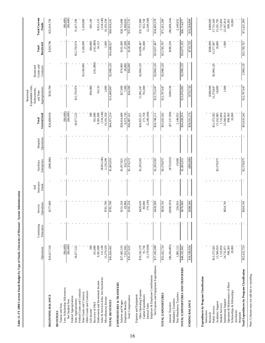|                                                            | Operations                | Continuing<br>Education | Operations<br>Service     | Insurance<br>Funds<br>Self | Enterprises<br>Auxiliary | Operations<br>Hospital | Unrestricted<br>Total     | Expendable Gifts,<br>Appropriations<br>Endowments,<br>Restricted<br>and State | Grants and<br>Restricted<br>Contracts | Restricted<br>Total     | <b>Total Current</b><br>Funds |
|------------------------------------------------------------|---------------------------|-------------------------|---------------------------|----------------------------|--------------------------|------------------------|---------------------------|-------------------------------------------------------------------------------|---------------------------------------|-------------------------|-------------------------------|
| <b>BEGINNING BALANCE</b>                                   | \$24,617,334              |                         | \$177,600                 |                            | (96,000)                 |                        | \$24,698,934              | \$320,796                                                                     |                                       | \$320,796               | \$25,019,730                  |
| Tuition and Fees<br><b>REVENUES</b>                        |                           |                         |                           |                            |                          |                        |                           |                                                                               |                                       |                         |                               |
| Less: Scholarship Allowances<br>Net Student Fees           | ( \$6,400)                |                         |                           |                            |                          |                        | ( \$6,400)                |                                                                               |                                       |                         | $(*6,400)$<br>$(*6,400)$      |
| Federal Appropriations                                     | (86, 400)                 |                         |                           |                            |                          |                        | $(*6,400)$                |                                                                               |                                       |                         |                               |
| State Appropriations                                       | 18,677,222                |                         |                           |                            |                          |                        | 18,677,222                | \$12,759,974                                                                  |                                       | \$12,759,974            | 31,437,196                    |
| Federal Grants and Contracts<br>State Grants and Contracts |                           |                         |                           |                            |                          |                        |                           |                                                                               | \$3,160,000                           | 3,160,000               | 3,160,000                     |
| Other Grants and Contracts                                 |                           |                         |                           |                            |                          |                        |                           |                                                                               |                                       |                         |                               |
| Gift Income                                                | 300                       |                         |                           |                            |                          |                        | 300                       | 694,800                                                                       |                                       | 694,800                 | 695,100                       |
| Endowment and Investment Income<br>Recovery of F&A         | 161,880<br>9,581,000      |                         |                           |                            |                          |                        | 161,880<br>9,581,000      | 34,133                                                                        | (161, 880)                            | (161, 880)<br>34,133    | 9,615,133                     |
| Sales & Services-Educ Act/Auxiliaries                      | 131,100                   |                         |                           |                            | $(*265,246)$             |                        | (134, 146)                |                                                                               |                                       |                         | (134, 146)                    |
| Miscellaneous Income                                       | 13,279,359                |                         | \$781,700                 |                            | 2,130,299                |                        | 16,191,358                | 1,000                                                                         |                                       | 1,000                   | 16,192,358                    |
| TOTAL REVENUES                                             | \$41,824,461              |                         | 8781,700                  |                            | \$1,865,053              |                        | \$44,471,214              | 206'687'51\$                                                                  | \$2,998,120                           | \$16,488,027            | \$60,959,241                  |
| EXPENDITURES & TRANSFERS                                   |                           |                         |                           |                            |                          |                        |                           |                                                                               |                                       |                         |                               |
| Salaries and Wages<br>Employee Benefits                    | \$27,405,533<br>7,912,092 |                         | 151,334<br>43,900<br>مخ   |                            | \$1,057,821<br>316,751   |                        | \$28,614,688<br>8,272,743 | \$27,000<br>7,300                                                             | \$74,000<br>20,000                    | \$101,000<br>27,300     | \$28,715,688<br>8,300,043     |
| Total Compensation                                         | \$35,317,625              |                         | 195,234<br>$\overline{S}$ |                            | \$1,374,572              |                        | \$36,887,431              | \$34,300                                                                      | \$94,000                              | \$128,300               | \$37,015,731                  |
| Expense and Equipment                                      |                           |                         |                           |                            |                          |                        |                           |                                                                               |                                       |                         |                               |
| Other Operating Expense<br>Capital Expenditures            | \$19,192,379<br>91,758    |                         | \$429,639<br>80,000       |                            | \$1,203,503              |                        | 171,758<br>\$20,825,521   | 761,000<br>11,992,347                                                         | \$2,904,120                           | 761,000<br>\$14,896,467 | \$35,721,988<br>932,758       |
| Internal Sales                                             | (2,179,038)               |                         | (70, 130)                 |                            |                          |                        | (2,249,168)               |                                                                               |                                       |                         | (2,249,168)                   |
| Employer & Employee Contributions                          |                           |                         |                           |                            |                          |                        |                           |                                                                               |                                       |                         |                               |
| Net Expense and Equipment Expenditures                     | \$17,105,099              |                         | \$439,509                 |                            | \$1,203,503              |                        | \$18,748,111              | \$12,753,347                                                                  | \$2,904,120                           | \$15,657,467            | \$34,405,578                  |
| TOTAL EXPENDITURES                                         | \$52,422,724              |                         | \$634,743                 |                            | \$2,578,075              |                        | \$55,635,542              | \$12,787,647                                                                  | \$2,998,120                           | \$15,785,767            | \$71,421,309                  |
| Internal Transfers                                         | ( \$6,204,885)            |                         | $(\$200, 593)$            |                            | $(*732,022)$             |                        | ( \$7, 137, 500)          | \$289,336                                                                     |                                       | \$289,336               | ( \$6,848,164)                |
| Non-Mandatory Transfers<br>Mandatory Transfers             | 1,885,122                 |                         | 236,810                   |                            | 19,000                   |                        | 2,140,932                 |                                                                               |                                       |                         | 2,140,932                     |
| TOTAL EXPENDITURES AND TRANSFERS                           | \$48,102,961              |                         | \$670,960                 |                            | \$1,865,053              |                        | \$50,638,974              | \$13,076,983                                                                  | \$2,998,120                           | \$16,075,103            | \$66,714,077                  |
| ENDING BALANCE                                             | \$18,338,834              |                         | \$288,340                 |                            | (96,000)                 |                        | \$18,531,174              | \$733,720                                                                     |                                       | \$733,720               | \$19,264,894                  |
| Expenditures by Program Classification                     |                           |                         |                           |                            |                          |                        |                           |                                                                               |                                       |                         |                               |
| Instruction                                                |                           |                         |                           |                            |                          |                        |                           | \$388,000                                                                     |                                       | \$388,000               | \$388,000                     |
| Public Service<br>Research                                 | \$12,373,582              |                         |                           |                            |                          |                        | \$12,373,582              | 12,379,847                                                                    | \$2,998,120                           | 15,377,967              | 27,751,549                    |
| Academic Support                                           | 12,584,910                |                         |                           |                            | \$2,578,075              |                        | 15,162,985                | 18,800                                                                        |                                       | 18,800                  | 15,181,785                    |
| <b>Student Services</b>                                    | 1,722,856                 |                         |                           |                            |                          |                        | 1,722,856                 |                                                                               |                                       |                         | 1,722,856                     |
| Operation & Maintenance of Plant<br>Institutional Support  | 999,305<br>24,732,071     |                         | \$634,743                 |                            |                          |                        | 25,366,814<br>999,305     | 1,000                                                                         |                                       | 1,000                   | 25,367,814<br>999,305         |
| Scholarships & Fellowships                                 | 10,000                    |                         |                           |                            |                          |                        | 10,000                    |                                                                               |                                       |                         | 10,000                        |
| Auxiliaries<br>Hospitals                                   |                           |                         |                           |                            |                          |                        |                           |                                                                               |                                       |                         |                               |
| Total Expenditures by Program Classification               | \$52,422,724              |                         | \$634,743                 |                            | \$2,578,075              |                        | \$55,635,542              | \$12,787,647                                                                  | 2,998,120                             | \$15,785,767            | \$71,421,309                  |

Note: Columns may not add due to rounding. Note: Columns may not add due to rounding.

**Table 12. FY 2008 Current Funds Budget by Type of Funds, University of Missouri - System Administration**

Table 12. FY 2008 Current Funds Budget by Type of Funds, University of Missouri - System Administration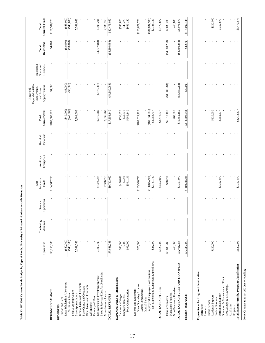|                                                                             | Operations         | Continuing<br>Education | perations<br>Service<br>O | Insurance<br><b>Funds</b><br>Self   | Enterprises<br>Auxiliary | Operations<br>Hospital | Unrestricted<br>Total              | Expendable Gifts,<br>Appropriations<br>Endowments,<br>Restricted<br>and State | Grants and<br>Restricted<br>Contracts | Restricted<br>Total | <b>Current Funds</b><br>Total     |
|-----------------------------------------------------------------------------|--------------------|-------------------------|---------------------------|-------------------------------------|--------------------------|------------------------|------------------------------------|-------------------------------------------------------------------------------|---------------------------------------|---------------------|-----------------------------------|
| <b>BEGINNING BALANCE</b>                                                    | \$3,155,000        |                         |                           | \$104,347,273                       |                          |                        | \$107,502,273                      | \$4,000                                                                       |                                       | \$4,000             | \$107,506,273                     |
| <b>REVENUES</b>                                                             |                    |                         |                           |                                     |                          |                        |                                    |                                                                               |                                       |                     |                                   |
| Less: Scholarship Allowances<br>Tuition and Fees                            | $(*40,000)$        |                         |                           |                                     |                          |                        | $(*40,000)$                        | $(*3,000)$                                                                    |                                       | $(*3,000)$          | $(*3,000)$                        |
| Net Student Fees                                                            | $(*40,000)$        |                         |                           |                                     |                          |                        | $(*40,000)$                        | ( \$3,000)                                                                    |                                       | $(*3,000)$          | $(*3,000)$                        |
| Federal Appropriations                                                      |                    |                         |                           |                                     |                          |                        |                                    |                                                                               |                                       |                     |                                   |
| Federal Grants and Contracts<br>State Appropriations                        | 5,381,088          |                         |                           |                                     |                          |                        | 5,381,088                          |                                                                               |                                       |                     | 5,381,088                         |
| State Grants and Contracts                                                  |                    |                         |                           |                                     |                          |                        |                                    |                                                                               |                                       |                     |                                   |
| Other Grants and Contracts                                                  |                    |                         |                           |                                     |                          |                        |                                    |                                                                               |                                       |                     |                                   |
| Gift Income                                                                 |                    |                         |                           |                                     |                          |                        |                                    |                                                                               |                                       |                     |                                   |
| Endowment and Investment Income<br>Recovery of F&A                          | 2,300,000          |                         |                           | \$7,375,289                         |                          |                        | 9,675,289                          | (4, 877, 088)                                                                 |                                       | (4,877,088)         | 4,798,201                         |
| Sales & Services-Educ Act/Auxiliaries                                       |                    |                         |                           |                                     |                          |                        |                                    |                                                                               |                                       |                     |                                   |
| Miscellaneous Income                                                        |                    |                         |                           | 2,336,763                           |                          |                        | 2,336,763                          |                                                                               |                                       |                     | 2,336,763                         |
| TOTAL REVENUES                                                              | \$7,641,088        |                         |                           | \$9,712,052                         |                          |                        | \$17,353,140                       | (880,088)                                                                     |                                       | (\$4,880,088)       | \$12,473,052                      |
| EXPENDITURES & TRANSFERS                                                    |                    |                         |                           |                                     |                          |                        |                                    |                                                                               |                                       |                     |                                   |
| Salaries and Wages<br>Employee Benefits                                     | \$80,000<br>15,000 |                         |                           | \$456,870                           |                          |                        | \$536,870                          |                                                                               |                                       |                     | \$536,870                         |
| Total Compensation                                                          | \$95,000           |                         |                           | 134,270<br>\$591,140                |                          |                        | 149,270<br>\$686,140               |                                                                               |                                       |                     | 149,270<br>\$686,140              |
| Expense and Equipment                                                       |                    |                         |                           |                                     |                          |                        |                                    |                                                                               |                                       |                     |                                   |
| Other Operating Expense                                                     | \$25,000           |                         |                           | \$183,596,723                       |                          |                        | \$183,621,723                      |                                                                               |                                       |                     | \$183,621,723                     |
| Capital Expenditures<br>Internal Sales                                      |                    |                         |                           |                                     |                          |                        |                                    |                                                                               |                                       |                     |                                   |
| Net Expense and Equipment Expenditures<br>Employer & Employee Contributions | \$25,000           |                         |                           | $(180, 834, 986)$<br>$$2, 761, 737$ |                          |                        | $(180, 834, 986)$<br>$$2,786, 737$ |                                                                               |                                       |                     | $(180, 834, 986)$<br>$$2,786,737$ |
|                                                                             |                    |                         |                           |                                     |                          |                        |                                    |                                                                               |                                       |                     |                                   |
| TOTAL EXPENDITURES                                                          | \$120,000          |                         |                           | \$3,352,877                         |                          |                        | \$3,472,877                        |                                                                               |                                       |                     | \$3,472,877                       |
| Internal Transfers                                                          | \$6,880,288        |                         |                           | \$38,200                            |                          |                        | \$6,918,488                        | $(*4,880,288)$                                                                |                                       | $(*4,880,288)$      | \$2,038,200                       |
| Non-Mandatory Transfers<br>Mandatory Transfers                              | 460,800            |                         |                           |                                     |                          |                        | 460,800                            |                                                                               |                                       |                     | 460,800                           |
| TOTAL EXPENDITURES AND TRANSFERS                                            | 880'197'28         |                         |                           | \$3,391,077                         |                          |                        | \$10,852,165                       | $(*4,880,288)$                                                                |                                       | $(*4,880,288)$      | \$5,971,877                       |
| <b>ENDING BALANCE</b>                                                       | \$3,335,000        |                         |                           | \$110,668,248                       |                          |                        | \$114,003,248                      | \$4,200                                                                       |                                       | \$4,200             | 8114,007.448                      |
| Expenditures by Program Classification                                      |                    |                         |                           |                                     |                          |                        |                                    |                                                                               |                                       |                     |                                   |
| Instruction                                                                 |                    |                         |                           |                                     |                          |                        |                                    |                                                                               |                                       |                     |                                   |
| Research                                                                    |                    |                         |                           |                                     |                          |                        |                                    |                                                                               |                                       |                     |                                   |
| Academic Support<br>Public Service                                          | \$120,000          |                         |                           |                                     |                          |                        | \$120,000                          |                                                                               |                                       |                     | \$120,000                         |
| <b>Student Services</b>                                                     |                    | $\blacksquare$          |                           |                                     |                          |                        |                                    |                                                                               |                                       |                     |                                   |
| Operation & Maintenance of Plant<br>Institutional Support                   |                    |                         |                           | \$3,352,877                         |                          |                        | 3,352,877                          |                                                                               |                                       |                     | 3,352,877                         |
| Scholarships & Fellowships                                                  |                    |                         |                           |                                     |                          |                        |                                    |                                                                               |                                       |                     |                                   |
| Auxiliaries<br>Hospitals                                                    |                    |                         |                           |                                     |                          |                        |                                    |                                                                               |                                       |                     |                                   |
| Total Expenditures by Program Classification                                | \$120,000          |                         |                           | \$3,352,877                         |                          |                        | \$3,472,877                        |                                                                               |                                       |                     | \$3,472,877                       |
| Note: Columns may not add due to rounding.                                  |                    |                         |                           |                                     |                          |                        |                                    |                                                                               |                                       |                     |                                   |

Table 13. FY 2008 Current Funds Budget by Type of Funds, University of Missouri - University-wide Resources **Table 13. FY 2008 Current Funds Budget by Type of Funds, University of Missouri - University-wide Resources**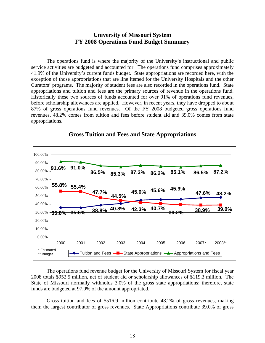#### **University of Missouri System FY 2008 Operations Fund Budget Summary**

The operations fund is where the majority of the University's instructional and public service activities are budgeted and accounted for. The operations fund comprises approximately 41.9% of the University's current funds budget. State appropriations are recorded here, with the exception of those appropriations that are line itemed for the University Hospitals and the other Curators' programs. The majority of student fees are also recorded in the operations fund. State appropriations and tuition and fees are the primary sources of revenue in the operations fund. Historically these two sources of funds accounted for over 91% of operations fund revenues, before scholarship allowances are applied. However, in recent years, they have dropped to about 87% of gross operations fund revenues. Of the FY 2008 budgeted gross operations fund revenues, 48.2% comes from tuition and fees before student aid and 39.0% comes from state appropriations.



#### **Gross Tuition and Fees and State Appropriations**

The operations fund revenue budget for the University of Missouri System for fiscal year 2008 totals \$952.5 million, net of student aid or scholarship allowances of \$119.3 million. The State of Missouri normally withholds 3.0% of the gross state appropriations; therefore, state funds are budgeted at 97.0% of the amount appropriated.

Gross tuition and fees of \$516.9 million contribute 48.2% of gross revenues, making them the largest contributor of gross revenues. State Appropriations contribute 39.0% of gross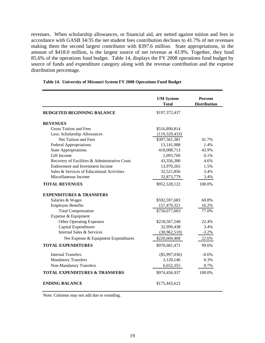revenues. When scholarship allowances, or financial aid, are netted against tuition and fees in accordance with GASB 34/35 the net student fees contribution declines to 41.7% of net revenues making them the second largest contributor with \$397.6 million. State appropriations, in the amount of \$418.0 million, is the largest source of net revenue at 43.9%. Together, they fund 85.6% of the operations fund budget. Table 14, displays the FY 2008 operations fund budget by source of funds and expenditure category along with the revenue contribution and the expense distribution percentage.

|                                               | <b>UM System</b><br><b>Total</b> | <b>Percent</b><br><b>Distribution</b> |
|-----------------------------------------------|----------------------------------|---------------------------------------|
| <b>BUDGETED BEGINNING BALANCE</b>             | \$197,372,437                    |                                       |
| <b>REVENUES</b>                               |                                  |                                       |
| <b>Gross Tuition and Fees</b>                 | \$516,890,814                    |                                       |
| Less: Scholarship Allowances                  | (119, 329, 433)                  |                                       |
| Net Tuition and Fees                          | \$397,561,381                    | 41.7%                                 |
| <b>Federal Appropriations</b>                 | 13,141,988                       | 1.4%                                  |
| <b>State Appropriations</b>                   | 418,008,713                      | 43.9%                                 |
| Gift Income                                   | 1,093,760                        | $0.1\%$                               |
| Recovery of Facilities & Administrative Costs | 43,356,380                       | 4.6%                                  |
| Endowment and Investment Income               | 13,970,265                       | 1.5%                                  |
| Sales & Services of Educational Activities    | 32,521,856                       | 3.4%                                  |
| Miscellaneous Income                          | 32,873,779                       | 3.4%                                  |
| <b>TOTAL REVENUES</b>                         | \$952,528,122                    | 100.0%                                |
| <b>EXPENDITURES &amp; TRANSFERS</b>           |                                  |                                       |
| Salaries & Wages                              | \$592,597,683                    | 60.8%                                 |
| <b>Employee Benefits</b>                      | 157,479,321                      | 16.2%                                 |
| <b>Total Compensation</b>                     | \$750,077,003                    | 77.0%                                 |
| Expense & Equipment                           |                                  |                                       |
| <b>Other Operating Expenses</b>               | \$218,567,540                    | 22.4%                                 |
| Capital Expenditures                          | 32,999,438                       | 3.4%                                  |
| Internal Sales & Services                     | (30,962,510)                     | $-3.2%$                               |
| Net Expense & Equipment Expenditures          | \$220,604,468                    | 22.6%                                 |
| <b>TOTAL EXPENDITURES</b>                     | \$970,681,471                    | 99.6%                                 |
| <b>Internal Transfers</b>                     | $(\$5,997,036)$                  | $-0.6\%$                              |
| <b>Mandatory Transfers</b>                    | 3,120,146                        | 0.3%                                  |
| Non-Mandatory Transfers                       | 6,652,355                        | 0.7%                                  |
| <b>TOTAL EXPENDITURES &amp; TRANSFERS</b>     | \$974,456,937                    | 100.0%                                |
| <b>ENDING BALANCE</b>                         | \$175,443,623                    |                                       |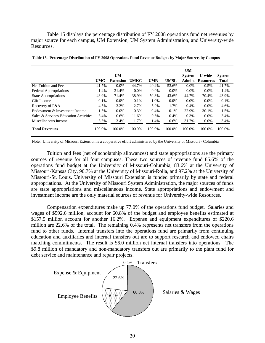Table 15 displays the percentage distribution of FY 2008 operations fund net revenues by major source for each campus, UM Extension, UM System Administration, and University-wide Resources.

|                                       |        |                  |             |            |             | <b>UM</b>     |                  |               |
|---------------------------------------|--------|------------------|-------------|------------|-------------|---------------|------------------|---------------|
|                                       |        | UM               |             |            |             | <b>System</b> | <b>U-wide</b>    | <b>System</b> |
|                                       | UMC    | <b>Extension</b> | <b>UMKC</b> | <b>UMR</b> | <b>UMSL</b> | Admin.        | <b>Resources</b> | <b>Total</b>  |
| Net Tuition and Fees                  | 41.7%  | $0.0\%$          | 44.7%       | 40.4%      | 53.6%       | $0.0\%$       | $-0.5\%$         | 41.7%         |
| <b>Federal Appropriations</b>         | 1.4%   | 21.4%            | $0.0\%$     | $0.0\%$    | $0.0\%$     | $0.0\%$       | $0.0\%$          | 1.4%          |
| <b>State Appropriations</b>           | 43.9%  | 71.4%            | 38.9%       | 50.3%      | 43.6%       | 44.7%         | 70.4%            | 43.9%         |
| Gift Income                           | 0.1%   | $0.0\%$          | 0.1%        | 1.0%       | $0.0\%$     | $0.0\%$       | $0.0\%$          | $0.1\%$       |
| Recovery of F&A                       | 4.5%   | 3.2%             | 2.7%        | 5.9%       | 1.7%        | $0.4\%$       | $0.0\%$          | 4.6%          |
| Endowment & Investment Income         | 1.5%   | $0.0\%$          | 0.3%        | 0.4%       | 0.1%        | 22.9%         | 30.1%            | 1.5%          |
| Sales & Services-Education Activities | 3.4%   | 0.6%             | 11.6%       | 0.6%       | 0.4%        | 0.3%          | $0.0\%$          | 3.4%          |
| Miscellaneous Income                  | 3.5%   | 3.4%             | 1.7%        | 1.4%       | 0.6%        | 31.7%         | $0.0\%$          | 3.4%          |
| <b>Total Revenues</b>                 | 100.0% | 100.0%           | 100.0%      | 100.0%     | 100.0%      | 100.0%        | 100.0%           | 100.0%        |

**Table 15. Percentage Distribution of FY 2008 Operations Fund Revenue Budgets by Major Source, by Campus**

Note: University of Missouri Extension is a cooperative effort administered by the University of Missouri - Columbia

Tuition and fees (net of scholarship allowances) and state appropriations are the primary sources of revenue for all four campuses. These two sources of revenue fund 85.6% of the operations fund budget at the University of Missouri-Columbia, 83.6% at the University of Missouri-Kansas City, 90.7% at the University of Missouri-Rolla, and 97.2% at the University of Missouri-St. Louis. University of Missouri Extension is funded primarily by state and federal appropriations. At the University of Missouri System Administration, the major sources of funds are state appropriations and miscellaneous income. State appropriations and endowment and investment income are the only material sources of revenue for University-wide Resources.

Compensation expenditures make up 77.0% of the operations fund budget. Salaries and wages of \$592.6 million, account for 60.8% of the budget and employee benefits estimated at \$157.5 million account for another 16.2%. Expense and equipment expenditures of \$220.6 million are 22.6% of the total. The remaining 0.4% represents net transfers from the operations fund to other funds. Internal transfers into the operations fund are primarily from continuing education and auxiliaries and internal transfers out are to support research and endowed chairs matching commitments. The result is \$6.0 million net internal transfers into operations. The \$9.8 million of mandatory and non-mandatory transfers out are primarily to the plant fund for debt service and maintenance and repair projects.

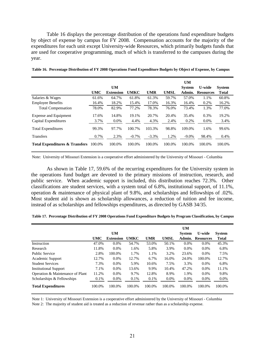Table 16 displays the percentage distribution of the operations fund expenditure budgets by object of expense by campus for FY 2008. Compensation accounts for the majority of the expenditures for each unit except University-wide Resources, which primarily budgets funds that are used for cooperative programming, much of which is transferred to the campuses during the year.

|                                           |            |                  |             |            |             | <b>UM</b>     |                  |               |
|-------------------------------------------|------------|------------------|-------------|------------|-------------|---------------|------------------|---------------|
|                                           |            | <b>UM</b>        |             |            |             | <b>System</b> | <b>U-wide</b>    | <b>System</b> |
|                                           | <b>UMC</b> | <b>Extension</b> | <b>UMKC</b> | <b>UMR</b> | <b>UMSL</b> | Admin.        | <b>Resources</b> | <b>Total</b>  |
| Salaries & Wages                          | 61.6%      | 64.7%            | 61.8%       | 61.3%      | 59.7%       | 57.0%         | 1.1%             | 60.8%         |
| <b>Employee Benefits</b>                  | 16.4%      | 18.2%            | 15.4%       | 17.0%      | 16.3%       | 16.4%         | 0.2%             | 16.2%         |
| <b>Total Compensation</b>                 | 78.0%      | 82.9%            | 77.2%       | 78.3%      | 76.0%       | 73.4%         | 1.3%             | 77.0%         |
| <b>Expense and Equipment</b>              | 17.6%      | 14.8%            | 19.1%       | 20.7%      | 20.4%       | 35.4%         | 0.3%             | 19.2%         |
| Capital Expenditures                      | 3.7%       | $0.0\%$          | 4.4%        | 4.3%       | 2.4%        | 0.2%          | $0.0\%$          | 3.4%          |
| <b>Total Expenditures</b>                 | 99.3%      | 97.7%            | 100.7%      | 103.3%     | 98.8%       | 109.0%        | 1.6%             | 99.6%         |
| <b>Transfers</b>                          | 0.7%       | 2.3%             | $-0.7\%$    | $-3.3%$    | 1.2%        | $-9.0\%$      | 98.4%            | 0.4%          |
| <b>Total Expenditures &amp; Transfers</b> | 100.0%     | 100.0%           | 100.0%      | 100.0%     | 100.0%      | 100.0%        | 100.0%           | 100.0%        |

| Table 16. Percentage Distribution of FY 2008 Operations Fund Expenditure Budgets by Object of Expense, by Campus |  |  |  |
|------------------------------------------------------------------------------------------------------------------|--|--|--|
|------------------------------------------------------------------------------------------------------------------|--|--|--|

Note: University of Missouri Extension is a cooperative effort administered by the University of Missouri - Columbia

As shown in Table 17, 59.6% of the recurring expenditures for the University system in the operations fund budget are devoted to the primary missions of instruction, research, and public service. When academic support is included, this distribution reaches 72.3%. Other classifications are student services, with a system total of 6.8%, institutional support, of 11.1%, operation & maintenance of physical plant of 9.8%, and scholarships and fellowships of .02%. Most student aid is shown as scholarship allowances, a reduction of tuition and fee income, instead of as scholarships and fellowships expenditures, as directed by GASB 34/35.

|                                  |            |                  |             |            |             | <b>UM</b>     |                  |               |
|----------------------------------|------------|------------------|-------------|------------|-------------|---------------|------------------|---------------|
|                                  |            | <b>UM</b>        |             |            |             | <b>System</b> | <b>U-wide</b>    | <b>System</b> |
|                                  | <b>UMC</b> | <b>Extension</b> | <b>UMKC</b> | <b>UMR</b> | <b>UMSL</b> | Admin.        | <b>Resources</b> | <b>Total</b>  |
| Instruction                      | 47.0%      | $0.0\%$          | 54.7%       | 53.0%      | 50.1%       | $0.0\%$       | $0.0\%$          | 45.3%         |
| Research                         | 11.8%      | $0.0\%$          | 1.6%        | 5.8%       | 3.9%        | $0.0\%$       | $0.0\%$          | 6.8%          |
| <b>Public Service</b>            | 2.8%       | 100.0%           | 1.7%        | 1.1%       | 3.2%        | 23.6%         | $0.0\%$          | 7.5%          |
| Academic Support                 | 12.7%      | $0.0\%$          | 12.7%       | 6.7%       | 16.0%       | 24.0%         | 100.0%           | 12.7%         |
| <b>Student Services</b>          | 7.3%       | $0.0\%$          | 5.9%        | 10.6%      | 7.5%        | 3.3%          | $0.0\%$          | 6.8%          |
| <b>Institutional Support</b>     | 7.1%       | $0.0\%$          | 13.6%       | 9.9%       | 10.4%       | 47.2%         | $0.0\%$          | 11.1%         |
| Operation & Maintenance of Plant | 11.2%      | $0.0\%$          | 9.7%        | 12.8%      | 8.9%        | 1.9%          | $0.0\%$          | 9.8%          |
| Scholarships & Fellowships       | 0.1%       | 0.0%             | 0.1%        | 0.1%       | $0.0\%$     | $0.0\%$       | $0.0\%$          | $0.0\%$       |
| <b>Total Expenditures</b>        | 100.0%     | 100.0%           | 100.0%      | 100.0%     | 100.0%      | 100.0%        | 100.0%           | 100.0%        |

Note 1: University of Missouri Extension is a cooperative effort administered by the University of Missouri - Columbia Note 2: The majority of student aid is treated as a reduction of revenue rather than as a scholarship expense.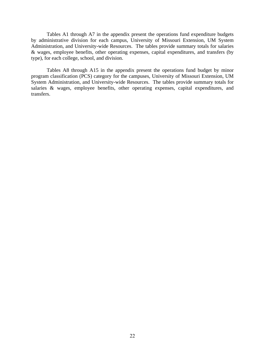Tables A1 through A7 in the appendix present the operations fund expenditure budgets by administrative division for each campus, University of Missouri Extension, UM System Administration, and University-wide Resources. The tables provide summary totals for salaries & wages, employee benefits, other operating expenses, capital expenditures, and transfers (by type), for each college, school, and division.

Tables A8 through A15 in the appendix present the operations fund budget by minor program classification (PCS) category for the campuses, University of Missouri Extension, UM System Administration, and University-wide Resources. The tables provide summary totals for salaries & wages, employee benefits, other operating expenses, capital expenditures, and transfers.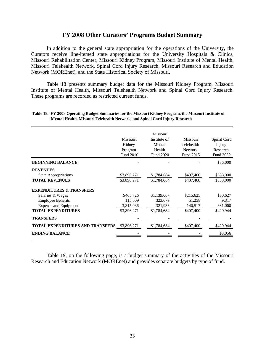#### **FY 2008 Other Curators' Programs Budget Summary**

 In addition to the general state appropriation for the operations of the University, the Curators receive line-itemed state appropriations for the University Hospitals & Clinics, Missouri Rehabilitation Center, Missouri Kidney Program, Missouri Institute of Mental Health, Missouri Telehealth Network, Spinal Cord Injury Research, Missouri Research and Education Network (MOREnet), and the State Historical Society of Missouri.

 Table 18 presents summary budget data for the Missouri Kidney Program, Missouri Institute of Mental Health, Missouri Telehealth Network and Spinal Cord Injury Research. These programs are recorded as restricted current funds.

|                                         |             | Missouri     |                |             |
|-----------------------------------------|-------------|--------------|----------------|-------------|
|                                         | Missouri    | Institute of | Missouri       | Spinal Cord |
|                                         | Kidney      | Mental       | Telehealth     | Injury      |
|                                         | Program     | Health       | <b>Network</b> | Research    |
|                                         | Fund 2010   | Fund 2020    | Fund 2015      | Fund 2050   |
| <b>BEGINNING BALANCE</b>                |             |              |                | \$36,000    |
| <b>REVENUES</b>                         |             |              |                |             |
| <b>State Appropriations</b>             | \$3,896,271 | \$1,784,684  | \$407,400      | \$388,000   |
| <b>TOTAL REVENUES</b>                   | \$3,896,271 | \$1,784,684  | \$407,400      | \$388,000   |
| <b>EXPENDITURES &amp; TRANSFERS</b>     |             |              |                |             |
| Salaries & Wages                        | \$465,726   | \$1,139,067  | \$215,625      | \$30,627    |
| <b>Employee Benefits</b>                | 115,509     | 323,679      | 51,258         | 9,317       |
| <b>Expense and Equipment</b>            | 3,315,036   | 321,938      | 140,517        | 381,000     |
| <b>TOTAL EXPENDITURES</b>               | \$3,896,271 | \$1,784,684  | \$407,400      | \$420,944   |
| <b>TRANSFERS</b>                        |             |              |                |             |
| <b>TOTAL EXPENDITURES AND TRANSFERS</b> | \$3,896,271 | \$1,784,684  | \$407,400      | \$420,944   |
| <b>ENDING BALANCE</b>                   |             |              |                | \$3,056     |
|                                         |             |              |                |             |

#### **Table 18. FY 2008 Operating Budget Summaries for the Missouri Kidney Program, the Missouri Institute of Mental Health, Missouri Telehealth Network, and Spinal Cord Injury Research**

Table 19, on the following page, is a budget summary of the activities of the Missouri Research and Education Network (MOREnet) and provides separate budgets by type of fund.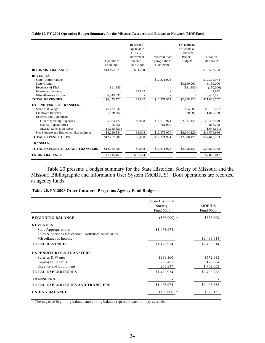**Table 19. FY 2008 Operating Budget Summary for the Missouri Research and Education Network (MOREnet)**

|                                         | Operations<br><b>Fund 0000</b> | Restricted<br>Expendable<br>Gifts $\&$<br>Endowment<br>Income<br><b>Fund 2000</b> | <b>Restricted State</b><br>Appropriations<br>Fund 2040 | <b>FY Estimate</b><br>of Grants &<br>Contracts<br>Project<br><b>Budgets</b> | Total for<br><b>MOREnet</b> |
|-----------------------------------------|--------------------------------|-----------------------------------------------------------------------------------|--------------------------------------------------------|-----------------------------------------------------------------------------|-----------------------------|
| <b>BEGINNING BALANCE</b>                | \$13,492,573                   | \$94,720                                                                          |                                                        |                                                                             | \$13,587,293                |
| <b>REVENUES</b>                         |                                |                                                                                   |                                                        |                                                                             |                             |
| <b>State Appropriations</b>             |                                |                                                                                   | \$12,371,974                                           |                                                                             | \$12,371,974                |
| <b>State Grants</b>                     |                                |                                                                                   |                                                        | \$3,160,000                                                                 | 3,160,000                   |
| Recovery of F&A                         | \$11,880                       |                                                                                   |                                                        | (161,880)                                                                   | (150,000)                   |
| <b>Investment Income</b>                |                                | \$2,842                                                                           |                                                        |                                                                             | 2,842                       |
| Miscellaneous Income                    | 6,443,891                      |                                                                                   |                                                        |                                                                             | 6,443,891                   |
| <b>TOTAL REVENUES</b>                   | \$6,455,771                    | \$2.842                                                                           | \$12,371,974                                           | \$2,998,120                                                                 | \$21,828,707                |
| <b>EXPENDITURES &amp; TRANSFERS</b>     |                                |                                                                                   |                                                        |                                                                             |                             |
| Salaries & Wages                        | \$6,122,037                    |                                                                                   |                                                        | \$74,000                                                                    | \$6,196,037                 |
| <b>Employee Benefits</b>                | 1,820,260                      |                                                                                   |                                                        | 20,000                                                                      | 1,840,260                   |
| <b>Expense and Equipment</b>            |                                |                                                                                   |                                                        |                                                                             |                             |
| <b>Other Operating Expenses</b>         | 5,883,477                      | \$8,008                                                                           | \$11,610,974                                           | 2,904,120                                                                   | 20,406,579                  |
| Capital Expenditures                    | 55,758                         |                                                                                   | 761,000                                                |                                                                             | 816,758                     |
| Internal Sales & Services               | (1,648,651)                    |                                                                                   |                                                        |                                                                             | (1,648,651)                 |
| Net Expense and Equipment Expenditures  | \$4,290,584                    | \$8,008                                                                           | \$12,371,974                                           | \$2,904,120                                                                 | \$19,574,686                |
| <b>TOTAL EXPENDITURES</b>               | \$12,232,881                   | \$8,008                                                                           | \$12,371,974                                           | \$2,998,120                                                                 | \$27,610,983                |
| <b>TRANSFERS</b>                        |                                |                                                                                   |                                                        |                                                                             |                             |
| <b>TOTAL EXPENDITURES AND TRANSFERS</b> | \$12,232,881                   | \$8,008                                                                           | \$12,371,974                                           | \$2,998,120                                                                 | \$27,610,983                |
| <b>ENDING BALANCE</b>                   | \$7,715,463                    | \$89,554                                                                          |                                                        |                                                                             | \$7,805,017                 |

 Table 20 presents a budget summary for the State Historical Society of Missouri and the Missouri Bibliographic and Information User System (MOBIUS). Both operations are recorded as agency funds.

#### **Table 20. FY 2008 Other Curators' Programs Agency Fund Budgets**

|                                                     | <b>State Historical</b> |               |
|-----------------------------------------------------|-------------------------|---------------|
|                                                     | Society                 | <b>MOBIUS</b> |
|                                                     | Fund 6030               | Fund 6020     |
| <b>BEGINNING BALANCE</b>                            | $(\$66,000)*$           | \$375,209     |
| <b>REVENUES</b>                                     |                         |               |
| <b>State Appropriations</b>                         | \$1,473,974             |               |
| Sales & Services-Educational Activities/Auxiliaries |                         |               |
| Miscellaneous Income                                |                         | \$2,498,614   |
| <b>TOTAL REVENUES</b>                               | \$1,473,974             | \$2,498,614   |
| <b>EXPENDITURES &amp; TRANSFERS</b>                 |                         |               |
| Salaries & Wages                                    | \$938,160               | \$572,695     |
| <b>Employee Benefits</b>                            | 280,467                 | 173,984       |
| Expense and Equipment                               | 255,347                 | 1,752,009     |
| <b>TOTAL EXPENDITURES</b>                           | \$1,473,974             | \$2,498,688   |
| <b>TRANSFERS</b>                                    |                         |               |
| <b>TOTAL EXPENDITURES AND TRANSFERS</b>             | \$1,473,974             | \$2,498,688   |
| <b>ENDING BALANCE</b>                               | $(\$66,000)$            | \$375,135     |
|                                                     |                         |               |

\* The negative beginning balance and ending balance represent vacation pay accruals.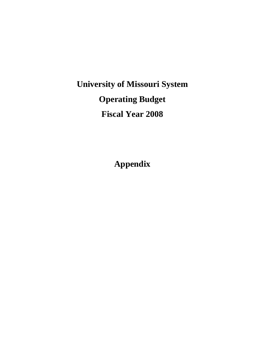## **University of Missouri System Operating Budget Fiscal Year 2008**

**Appendix**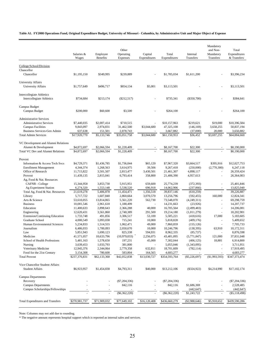#### **Table A1. FY2008 Operations Fund, Original Expenditure Budget, University of Missouri - Columbia, by Administrative Unit and Major Object of Expense**

|                                            | Salaries &<br>Wages    | Employee<br>Benefits   | Other<br>Operating<br>Expenses | Capital<br>Expenditures | Total<br>Expenditures   | Internal<br>Transfers    | Mandatory<br>and Non-<br>Mandatory<br>Transfers | Total<br>Expenditures<br>& Transfers |
|--------------------------------------------|------------------------|------------------------|--------------------------------|-------------------------|-------------------------|--------------------------|-------------------------------------------------|--------------------------------------|
|                                            |                        |                        |                                |                         |                         |                          |                                                 |                                      |
| College/School/Division<br>Chancellor      |                        |                        |                                |                         |                         |                          |                                                 |                                      |
| Chancellor                                 | \$1,195,150            | \$349,995              | \$239,889                      |                         | \$1,785,034             | \$1,611,200              |                                                 | \$3,396,234                          |
| <b>University Affairs</b>                  |                        |                        |                                |                         |                         |                          |                                                 |                                      |
| <b>University Affairs</b>                  | \$1,757,649            | \$496,717              | \$854,134                      | \$5,001                 | \$3,113,501             |                          |                                                 | \$3,113,501                          |
| <b>Intercollegiate Athletics</b>           |                        |                        |                                |                         |                         |                          |                                                 |                                      |
| <b>Intercollegiate Athletics</b>           | \$734,684              | \$213,174              | $(\$212,517)$                  |                         | \$735,341               | $(\$350,700)$            |                                                 | \$384,641                            |
| Campus Budget                              |                        |                        |                                |                         |                         |                          |                                                 |                                      |
| Campus Budget                              | \$200,000              | \$60,600               | \$3,500                        |                         | \$264,100               |                          |                                                 | \$264,100                            |
| <b>Administrative Services</b>             |                        |                        |                                |                         |                         |                          |                                                 |                                      |
| <b>Administrative Services</b>             | \$7,440,035            | \$2,007,414            | \$710,515                      |                         | \$10,157,963            | \$219,621                | \$19,000                                        | \$10,396,584                         |
| <b>Campus Facilities</b>                   | 9,843,097              | 2,974,831              | 31,462,500                     | \$3,044,680             | 47,325,108              | (146, 169)               | 3,658,255                                       | 50,837,194                           |
| <b>Business Services-Gen Admin</b>         | 637,638                | 151,501                | 2,878,743                      |                         | 3,667,882               | (37,000)                 | 20,000                                          | 3,650,882                            |
| <b>Total Admin Services</b>                | \$17,920,770           | \$5,133,746            | \$35,051,758                   | \$3,044,680             | \$61,150,953            | \$36,452                 | \$3,697,255                                     | \$64,884,660                         |
| VC Development and Alumni Relations        |                        |                        |                                |                         |                         |                          |                                                 |                                      |
| Alumni & Development                       | \$4,872,697            | \$2,066,594            | \$1,228,409                    |                         | \$8,167,700             | \$22,300                 |                                                 | \$8,190,000                          |
| Total VC Dev and Alumni Relations          | \$4,872,697            | \$2,066,594            | \$1,228,409                    |                         | \$8,167,700             | \$22,300                 |                                                 | \$8,190,000                          |
| Provost                                    |                        |                        |                                |                         |                         |                          |                                                 |                                      |
| Information & Access Tech Svcs             | \$4,729,371            | \$1,436,785            | \$1,736,044                    | \$65,120                | \$7,967,320             | \$3,664,517              | \$395,916                                       | \$12,027,753                         |
| <b>Enrollment Management</b>               | 4,344,374              | 1,268,563              | 3,614,975                      | 39,506                  | 9,267,418               | (250,000)                | (2,770,300)                                     | 6,247,118                            |
| Office of Research                         | 11,715,822             | 3,501,507              | 2,813,477                      | 3,430,501               | 21,461,307              | 4,898,117                |                                                 | 26,359,424                           |
| Provost                                    | 11,439,135             | 2,815,041              | 6,793,414                      | 358,800                 | 21,406,390              | 4,957,613                | ä,                                              | 26,364,003                           |
| Ag, Food & Nat. Resources                  |                        |                        |                                |                         |                         |                          |                                                 |                                      |
| CAFNR - College                            | 15,344,958             | 3,853,730              | 5,915,951                      | 659,600                 | 25,774,239              | (372, 393)               |                                                 | 25,401,846                           |
| Ag Experiment Station                      | 6,274,320              | 1,553,148              | 5,538,520                      | 696,918                 | 14,062,906              | (237, 866)               |                                                 | 13,825,040                           |
| Total Ag, Food & Nat. Resources            | 21,619,278             | 5,406,878              | 11,454,471                     | 1,356,518               | 39,837,146              | (610, 259)               | $\blacksquare$                                  | 39,226,887                           |
| Library                                    | 5,717,722              | 1,607,840              | 2,860,664                      | 3,070,570               | 13,256,796              | (592, 455)               | 160,000                                         | 12,824,341                           |
| Arts & Science                             | 53,610,055             | 13,814,065             | 5,561,220                      | 562,730                 | 73,548,070              | (4,249,311)              |                                                 | 69,298,759                           |
| <b>Business</b>                            | 10,081,546             | 2,961,618              | 1,188,499                      |                         | 14,231,663              | (23, 926)                | $\sim$                                          | 14,207,737                           |
| Education                                  | 11,400,633             | 2,898,643              | 2,366,288                      | 40,000                  | 16,705,564              | (2, 499, 483)            | $\overline{\phantom{a}}$                        | 14,206,081                           |
| Engineering                                | 12,620,431             | 3,561,860              | 2,740,389                      | 291,500                 | 19,214,180              | (1,011,279)              |                                                 | 18,202,901                           |
| Extension/Continuing Education             | 1,733,748              | 491,856                | 3,306,517                      | 53,100                  | 5,585,221               | (418,616)                | 17,000                                          | 5,183,605                            |
| Graduate School                            | 4,000,549              | 1,093,038              | 715,241                        | 10,000                  | 5,818,828               | (409, 176)               |                                                 | 5,409,652                            |
| Human Environmental Sciences<br>Journalism | 5,234,833<br>6,486,033 | 1,514,555<br>1,700,093 | 1,062,471<br>2,050,670         | 49,000<br>10,000        | 7,860,859<br>10,246,796 | (155, 126)<br>(138, 395) | 63,910                                          | 7,705,733<br>10,172,311              |
| Law                                        | 5,851,943              | 1,690,123              | 825,338                        | 594,931                 | 8,962,335               | (85, 737)                |                                                 | 8,876,598                            |
| Medicine                                   | 41,571,057             | 10,633,796             | (10,979,033)                   | 2,256,075               | 43,481,895              | (5,771,847)              | 121,000                                         | 37,831,048                           |
| School of Health Professions               | 5,481,163              | 1,578,650              | 197,231                        | 45,000                  | 7,302,044               | (406, 125)               | 18,881                                          | 6,914,800                            |
| Nursing                                    | 3,639,453              | 1,033,793              | 381,800                        |                         | 5,055,046               | (1,343,095)              |                                                 | 3,711,951                            |
| Veterinary Medicine                        | 12,945,376             | 2,344,064              | 2,779,358                      | 632,811                 | 18,701,609              | (782, 114)               |                                                 | 17,919,495                           |
| Food for the 21st Century                  | 3,154,308              | 780,600                | 583,804                        | 164,565                 | 4,683,277               |                          |                                                 | 4,683,277                            |
| <b>Total Provost</b>                       | \$237,376,831          | \$62,133,368           | \$42,052,838                   | \$13,030,727            | \$354,593,764           | $(\$5,226,697)$          | (\$1,993,593)                                   | \$347,373,474                        |
| Vice Chancellor Student Affairs            |                        |                        |                                |                         |                         |                          |                                                 |                                      |
| <b>Student Affairs</b>                     | \$6,923,957            | \$1,454,838            | \$4,793,311                    | \$40,000                | \$13,212,106            | $(\$324,922)$            | \$4,214,990                                     | \$17,102,174                         |
| <b>Campus Departments</b>                  |                        |                        |                                |                         |                         |                          |                                                 |                                      |
| Recovery                                   |                        |                        | $(\$7,204,336)$                |                         | $(\$7,204,336)$         |                          |                                                 | $(\$7,204,336)$                      |
| <b>Campus Departments</b>                  |                        |                        | 842,116                        |                         | 842,116                 | \$1,686,369              |                                                 | 2,528,485                            |
| Campus Scholarships/Fellowships            |                        |                        |                                |                         |                         | (442, 647)               |                                                 | (442, 647)                           |
|                                            |                        | $\omega$               | $(\$6,362,220)$                | $\sim$                  | $(\$6,362,220)$         | \$1,243,722              | $\overline{\phantom{a}}$                        | $(\$5,118,498)$                      |
| <b>Total Expenditures and Transfers</b>    | \$270,981,737          | \$71,909,032           | \$77,649,102                   | \$16,120,408            | \$436,660,279           | (\$2,988,646)            | \$5,918,652                                     | \$439,590,286                        |

Note: Columns may not add due to rounding.

\* The negative amount represents hospital support which is reported as internal sales and services.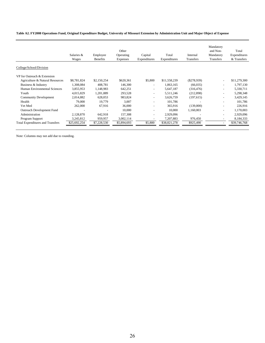#### **Table A2. FY2008 Operations Fund, Original Expenditure Budget, University of Missouri Extension by Administration Unit and Major Object of Expense**

|                                         | Salaries &<br>Wages | Employee<br><b>Benefits</b> | Other<br>Operating<br>Expenses | Capital<br>Expenditures  | Total<br>Expenditures | Internal<br>Transfers | Mandatory<br>and Non-<br>Mandatory<br>Transfers | Total<br>Expenditures<br>& Transfers |
|-----------------------------------------|---------------------|-----------------------------|--------------------------------|--------------------------|-----------------------|-----------------------|-------------------------------------------------|--------------------------------------|
| College/School/Division                 |                     |                             |                                |                          |                       |                       |                                                 |                                      |
| VP for Outreach & Extension             |                     |                             |                                |                          |                       |                       |                                                 |                                      |
| Agriculture & Natural Resources         | \$8,781,824         | \$2,150,254                 | \$620,361                      | \$5,800                  | \$11,558,239          | $(\$278,939)$         | $\overline{\phantom{a}}$                        | \$11,279,300                         |
| Business & Industry                     | 1,308,084           | 408,781                     | 146,300                        |                          | 1,863,165             | (66, 035)             |                                                 | 1,797,130                            |
| Human Environmental Sciences            | 3,855,953           | 1,148,983                   | 642,251                        | $\overline{\phantom{a}}$ | 5,647,187             | (316, 476)            | $\overline{\phantom{a}}$                        | 5,330,711                            |
| Youth                                   | 4,015,829           | 1,201,889                   | 293,528                        | $\overline{\phantom{a}}$ | 5,511,246             | (212,898)             | $\overline{\phantom{a}}$                        | 5,298,348                            |
| <b>Community Development</b>            | 2,014,882           | 628,053                     | 983,824                        | $\overline{\phantom{a}}$ | 3,626,759             | (197, 615)            | $\overline{\phantom{a}}$                        | 3,429,145                            |
| Health                                  | 79,000              | 19,779                      | 3,007                          | $\overline{\phantom{a}}$ | 101,786               | ٠                     | $\overline{\phantom{a}}$                        | 101,786                              |
| Vet Med                                 | 262,000             | 67,916                      | 36,000                         |                          | 365.916               | (139,000)             |                                                 | 226,916                              |
| Outreach Development Fund               |                     |                             | 10,000                         |                          | 10,000                | 1,160,003             |                                                 | 1,170,003                            |
| Administration                          | 2,128,870           | 642,918                     | 157,308                        | $\overline{\phantom{a}}$ | 2,929,096             |                       |                                                 | 2,929,096                            |
| Program Support                         | 3,245,812           | 959,957                     | 3,002,114                      |                          | 7,207,883             | 976,450               |                                                 | 8,184,333                            |
| <b>Total Expenditures and Transfers</b> | \$25,692,254        | \$7,228,530                 | \$5,894,693                    | \$5,800                  | \$38,821,278          | \$925,490             |                                                 | \$39,746,768                         |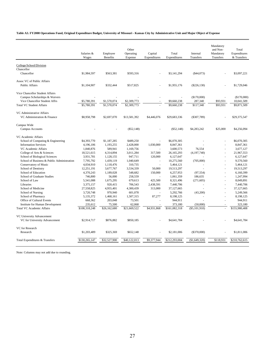#### **Table A3. FY2008 Operations Fund, Original Expenditure Budget, University of Missouri - Kansas City by Administrative Unit and Major Object of Expense**

|                                                                     | Salaries &<br>Wages    | Employee<br><b>Benefits</b> | Other<br>Operating<br>Expense | Capital<br>Expenditures | Total<br>Expenditures     | Internal<br><b>Transfers</b> | Mandatory<br>and Non-<br>Mandatory<br><b>Transfers</b> | Total<br>Expenditures<br>& Transfers |
|---------------------------------------------------------------------|------------------------|-----------------------------|-------------------------------|-------------------------|---------------------------|------------------------------|--------------------------------------------------------|--------------------------------------|
|                                                                     |                        |                             |                               |                         |                           |                              |                                                        |                                      |
| College/School/Division                                             |                        |                             |                               |                         |                           |                              |                                                        |                                      |
| Chancellor<br>Chancellor                                            | \$1,984,597            | \$563,381                   | \$593,316                     |                         | \$3,141,294               |                              |                                                        | \$3,097,221                          |
|                                                                     |                        |                             |                               |                         |                           | $(\$44,073)$                 |                                                        |                                      |
| Assoc VC of Public Affairs                                          |                        |                             |                               |                         |                           |                              |                                                        |                                      |
| <b>Public Affairs</b>                                               | \$1,104,907            | \$332,444                   | \$517,825                     | ä,                      | \$1,955,176               | $(\$226,130)$                |                                                        | \$1,729,046                          |
|                                                                     |                        |                             |                               |                         |                           |                              |                                                        |                                      |
| Vice Chancellor Student Affairs                                     |                        |                             |                               |                         |                           |                              |                                                        |                                      |
| Campus Scholarships & Waivers                                       |                        |                             |                               |                         |                           | (\$170,000)                  |                                                        | (\$170,000)                          |
| Vice Chancellor Student Affrs                                       | \$5,780,391            | \$1,570,074                 | \$2,309,773                   |                         | \$9,660,238               | 287,340                      | \$93,931                                               | 10,041,509                           |
| <b>Total VC Student Affairs</b>                                     | \$5,780,391            | \$1,570,074                 | \$2,309,773                   |                         | \$9,660,238               | \$117,340                    | \$93,931                                               | \$9,871,509                          |
| VC Administrative Affairs                                           |                        |                             |                               |                         |                           |                              |                                                        |                                      |
| VC Administration & Finance                                         | \$8,958,798            | \$2,697,070                 | \$13,581,392                  | \$4,446,076             | \$29,683,336              | $($ \$307,789)               |                                                        | \$29,375,547                         |
|                                                                     |                        |                             |                               |                         |                           |                              |                                                        |                                      |
| Campus Wide                                                         |                        |                             |                               |                         |                           |                              |                                                        |                                      |
| Campus Accounts                                                     |                        |                             | $(\$52,148)$                  |                         | $(\$52,148)$              | \$4,283,242                  | \$25,000                                               | \$4,256,094                          |
|                                                                     |                        |                             |                               |                         |                           |                              |                                                        |                                      |
| VC Academic Affairs                                                 |                        |                             |                               |                         |                           |                              |                                                        |                                      |
| School of Computing & Engineering<br><b>Information Services</b>    | \$4,393,770            | \$1,187,285                 | \$489,250<br>2,428,000        | 1,030,000               | \$6,070,305               |                              |                                                        | \$6,070,305<br>8,847,361             |
|                                                                     | 4,196,106              | 1,193,255                   |                               |                         | 8,847,361                 |                              |                                                        |                                      |
| VC Academic Affairs                                                 | 1,840,876              | 589,941<br>4,314,894        | 1,169,756                     |                         | 3,600,573                 | 76,554                       | ÷,                                                     | 3,677,127<br>21,967,553              |
| College of Arts & Sciences                                          | 18,521,615             | 1,128,155                   | 3,011,284<br>947,711          | 317,500<br>120,000      | 26,165,293                | (4, 197, 740)                | ÷,                                                     | 6,127,647                            |
| School of Biological Sciences                                       | 3,931,781              |                             |                               |                         | 6,127,647                 |                              |                                                        | 9,570,560                            |
| School of Business & Public Administration<br>Conservatory of Music | 7,795,792<br>4,034,910 | 1,439,119<br>1,118,476      | 1,040,649<br>310,735          | L.                      | 10,275,560<br>5,464,121   | (705,000)                    | ä,                                                     | 5,464,121                            |
| School of Dentistry                                                 | 12,251,191             | 3,677,767                   | 3,534,339                     | 50,000                  | 19,513,297                |                              |                                                        | 19,513,297                           |
| School of Education                                                 | 4,370,243              | 1,189,028                   | 548,682                       | 150,000                 | 6,257,953                 | (97, 554)                    | ä,                                                     | 6,160,399                            |
| School of Graduate Studies                                          | 746,800                | 56,000                      | 258,559                       |                         | 1,061,359                 | 186,635                      | ä,                                                     | 1,247,994                            |
| School of Law                                                       | 5,541,088              | 1,675,295                   | 679,613                       | 425,500                 | 8,321,496                 | (271, 605)                   | ä,                                                     | 8,049,891                            |
| Libraries                                                           | 3,375,157              | 920,415                     | 706,543                       | 2,438,591               | 7,440,706                 | $\sim$                       | ÷.                                                     | 7,440,706                            |
| School of Medicine                                                  | 27,558,825             | 4,955,401                   | 4,300,439                     | 313,000                 | 37,127,665                |                              |                                                        | 37,127,665                           |
| School of Nursing                                                   | 3,720,748              | 970,940                     | 601,078                       |                         | 5,292,766                 | (43,200)                     |                                                        | 5,249,566                            |
| School of Pharmacy                                                  | 5,135,372              | 1,468,161                   | 1,507,315                     | 87,277                  | 8,198,125                 |                              |                                                        | 8.198.125                            |
| Office of Cultural Events                                           | 668,362                | 203,048                     | 73,501                        |                         | 944,911                   |                              |                                                        | 944,911                              |
| <b>Institute for Human Development</b>                              | 235,612                | 75,500                      | 62,068                        |                         | 373,180                   | (50,000)                     |                                                        | 323,180                              |
| <b>Total VC Academic Affairs</b>                                    | \$108,318,248          | \$26,162,680                | \$21,669,522                  | \$4,931,868             | $\overline{$}161,082,318$ | $(\$5,101,910)$              |                                                        | \$155,980,408                        |
|                                                                     |                        |                             |                               |                         |                           |                              |                                                        |                                      |
| VC University Advancement                                           |                        |                             |                               |                         |                           |                              |                                                        |                                      |
| VC for University Advancement                                       | \$2,914,717            | \$876,882                   | \$850,185                     |                         | \$4,641,784               |                              |                                                        | \$4,641,784                          |
| VC for Research                                                     |                        |                             |                               |                         |                           |                              |                                                        |                                      |
| Research                                                            | \$1,203,489            | \$325,369                   | \$652,148                     | L,                      | \$2,181,006               | $(\$370,000)$                |                                                        | \$1,811,006                          |
|                                                                     |                        |                             |                               |                         |                           |                              |                                                        |                                      |
| Total Expenditures & Transfers                                      | \$130,265,147          | \$32,527,900                | \$40,122,013                  | \$9,377,944             | \$212,293,004             | (\$1,649,320)                | \$118,931                                              | \$210,762,615                        |
|                                                                     |                        |                             |                               |                         |                           |                              |                                                        |                                      |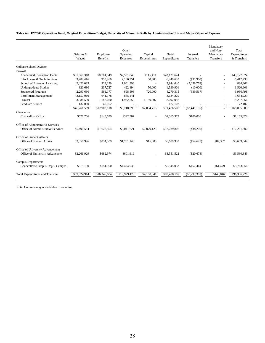#### **Table A4. FY2008 Operations Fund, Original Expenditure Budget, University of Missouri - Rolla by Administrative Unit and Major Object of Expense**

|                                         | Salaries &<br>Wages | Employee<br><b>Benefits</b> | Other<br>Operating<br>Expenses | Capital<br>Expenditures | Total<br>Expenditures | Internal<br><b>Transfers</b> | Mandatory<br>and Non-<br>Mandatory<br>Transfers | Total<br>Expenditures<br>& Transfers |
|-----------------------------------------|---------------------|-----------------------------|--------------------------------|-------------------------|-----------------------|------------------------------|-------------------------------------------------|--------------------------------------|
| College/School/Division                 |                     |                             |                                |                         |                       |                              |                                                 |                                      |
| Provost                                 |                     |                             |                                |                         |                       |                              |                                                 |                                      |
| Academic&Instruction Depts              | \$31,669,318        | \$8,761,849                 | \$2,581,046                    | \$115,411               | \$43,127,624          |                              |                                                 | \$43,127,624                         |
| Info Access & Tech Services             | 3.282.416           | 950,266                     | 2.166.951                      | 50,000                  | 6.449.633             | (S31.900)                    |                                                 | 6,417,733                            |
| School of Extended Learning             | 2,420,085           | 523,159                     | 1,001,396                      | $\overline{a}$          | 3,944,640             | (3,059,778)                  |                                                 | 884,862                              |
| <b>Undergraduate Studies</b>            | 820,680             | 237,727                     | 422,494                        | 50,000                  | 1,530,901             | (10,000)                     |                                                 | 1,520,901                            |
| <b>Sponsored Programs</b>               | 2,290,630           | 561.177                     | 698,508                        | 720,000                 | 4.270.315             | (339,517)                    |                                                 | 3,930,798                            |
| <b>Enrollment Management</b>            | 2,157,910           | 641.178                     | 885.141                        |                         | 3,684,229             |                              |                                                 | 3,684,229                            |
| Provost                                 | 3,988,530           | 1,186,660                   | 1,962,559                      | 1,159,307               | 8,297,056             |                              |                                                 | 8,297,056                            |
| <b>Graduate Studies</b>                 | 132,000             | 40,102                      |                                |                         | 172,102               |                              |                                                 | 172,102                              |
|                                         | \$46,761,569        | \$12,902,118                | \$9,718,095                    | \$2,094,718             | \$71,476,500          | $(\$3,441,195)$              | $\sim$                                          | \$68,035,305                         |
| Chancellor                              |                     |                             |                                |                         |                       |                              |                                                 |                                      |
| <b>Chancellors Office</b>               | \$526,766           | \$145,699                   | \$392,907                      |                         | \$1,065,372           | \$100,000                    |                                                 | \$1,165,372                          |
| Office of Administrative Services       |                     |                             |                                |                         |                       |                              |                                                 |                                      |
| Office of Administrative Services       | \$5,491,554         | \$1,627,504                 | \$3,041,621                    | \$2,079,123             | \$12,239,802          | (\$38,200)                   |                                                 | \$12,201,602                         |
| Office of Student Affairs               |                     |                             |                                |                         |                       |                              |                                                 |                                      |
| Office of Student Affairs               | \$3,058,996         | \$834,809                   | \$1,701,148                    | \$15,000                | \$5,609,953           | $(\$54,678)$                 | \$84,367                                        | \$5,639,642                          |
| Office of University Advancement        |                     |                             |                                |                         |                       |                              |                                                 |                                      |
| Office of University Advanceme          | \$2,266,929         | \$682,974                   | \$601,619                      |                         | \$3,551,522           | $(\$20,673)$                 |                                                 | \$3,530,849                          |
| <b>Campus Departments</b>               |                     |                             |                                |                         |                       |                              |                                                 |                                      |
| Chancellors Campus Dept - Campus        | \$919,100           | \$151,900                   | \$4,474,033                    |                         | \$5,545,033           | \$157,444                    | \$61,479                                        | \$5,763,956                          |
| <b>Total Expenditures and Transfers</b> | \$59,024,914        | \$16,345,004                | \$19,929,423                   | \$4,188,841             | \$99,488,182          | $(\$3,297,302)$              | \$145,846                                       | \$96,336,726                         |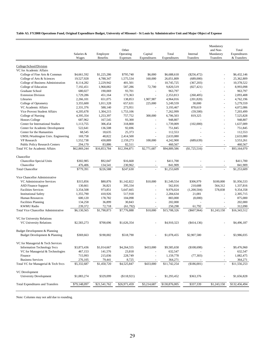#### **Table A5. FY2008 Operations Fund, Original Expenditure Budget, University of Missouri - St Louis by Administrative Unit and Major Object of Expense**

|                                                                         | Salaries &   | Employee        | Other<br>Operating | Capital              | Total         | Internal             | Mandatory<br>and Non-<br>Mandatory | Total<br>Expenditures |
|-------------------------------------------------------------------------|--------------|-----------------|--------------------|----------------------|---------------|----------------------|------------------------------------|-----------------------|
|                                                                         | Wages        | <b>Benefits</b> | Expenses           | Expenditures         | Expenditures  | Transfers            | Transfers                          | & Transfers           |
| College/School/Division                                                 |              |                 |                    |                      |               |                      |                                    |                       |
| VC for Academic Affairs                                                 |              |                 |                    |                      |               |                      |                                    |                       |
| College of Fine Arts & Commun                                           | \$4,661,592  | \$1,225,286     | \$795,740          | \$6,000              | \$6,688,618   | $(\$256,472)$        |                                    | \$6,432,146           |
| College of Arts & Sciences                                              | 19,527,928   | 4,788,347       | 1,575,534          | 160,000              | 26,051,809    | (689,000)            | $\overline{a}$                     | 25,362,809            |
| College of Business Administration                                      | 8,114,282    | 2.229.942       | 401,501            |                      | 10,745,725    | (367,203)            | L,                                 | 10,378,522            |
| College of Education                                                    | 7,192,451    | 1,968,082       | 587,286            | 72,700               | 9,820,519     | (827, 421)           | ÷,                                 | 8,993,098             |
| <b>Graduate School</b>                                                  | 680,027      | 190,069         | 93,701             | $\blacksquare$       | 963,797       |                      | L,                                 | 963,797               |
| <b>Extension Division</b>                                               | 1,729,286    | 451,164         | 173,363            | ÷,                   | 2,353,813     | (260, 405)           | L,                                 | 2,093,408             |
| Libraries                                                               | 2,266,101    | 651,075         | 138,853            | 1,907,987            | 4,964,016     | (201, 820)           | L.                                 | 4,762,196             |
| College of Optometry                                                    | 3,355,600    | 1,011,328       | 657,631            | 225,000              | 5,249,559     | 30,000               | ÷,                                 | 5,279,559             |
| VC Academic Affairs                                                     | 2,331,376    | 588,140         | 273,951            |                      | 3,193,467     | 878,619              | L,                                 | 4,072,086             |
| Vice Provost Student Affairs                                            | 4,205,678    | 1,304,215       | 1,753,106          | ÷,                   | 7,262,999     | (59, 500)            | L,                                 | 7,203,499             |
| College of Nursing                                                      | 4,395,354    | 1,253,397       | 757,752            | 300,000              | 6,706,503     | 819,325              | $\overline{a}$                     | 7,525,828             |
| <b>Honors College</b>                                                   | 687,962      | 167,545         | 93,300             |                      | 948,807       |                      |                                    | 948,807               |
| Center for International Studies                                        | 1,113,755    | 306,454         | 318,800            | ÷,                   | 1,739,009     | (102,000)            | L,                                 | 1,637,009             |
| Center for Academic Development                                         | 522,641      | 136,508         | 92,696             | ÷,                   | 751,845       | $\ddot{\phantom{1}}$ | ÷,                                 | 751,845               |
| Center for the Humanities                                               | 68,545       | 18,635          | 25,373             |                      | 112,553       | L,                   |                                    | 112,553               |
| UMSL/Washington Univ. Engineering                                       | 169,758      | 48,822          | 2,414,500          | ÷,                   | 2,633,080     |                      | L.                                 | 2,633,080             |
| VP Research                                                             | 1,552,738    | 430,889         | 2,159,273          | 100,000              | 4,242,900     | (689, 639)           | L,                                 | 3,553,261             |
| <b>Public Policy Research Centers</b>                                   | 294,170      | 83,886          | 82,511             |                      | 460,567       |                      | $\blacksquare$                     | 460,567               |
| Total VC for Academic Affairs                                           | \$62,869,244 | \$16,853,784    | \$12,394,871       | \$2,771,687          | \$94,889,586  | (\$1,725,516)        |                                    | \$93,164,070          |
| Chancellor                                                              |              |                 |                    |                      |               |                      |                                    |                       |
| Chancellor-Special Units                                                | \$302,985    | \$92,047        | \$16,668           |                      | \$411,700     |                      |                                    | \$411,700             |
| Chancellor                                                              | 476,406      | 134,541         | 230,962            |                      | 841,909       |                      |                                    | 841,909               |
| <b>Total Chancellor</b>                                                 | \$779,391    | \$226,588       | \$247,630          |                      | \$1,253,609   |                      |                                    | \$1,253,609           |
|                                                                         |              |                 |                    |                      |               |                      |                                    |                       |
| Vice Chancellor Administrative                                          |              |                 |                    |                      |               |                      |                                    |                       |
| VC Administrative Services                                              | \$315,856    | \$80,876        | \$1,142,822        | \$10,000             | \$1,549,554   | \$306,979            | \$100,000                          | \$1,956,533           |
| <b>ASD Finance Support</b>                                              | 130,661      | 36,821          | 395,334            |                      | 562,816       | 210,688              | 564,312                            | 1,337,816             |
| <b>Facilities Services</b>                                              | 3,354,508    | 973,851         | 5,647,665          | ä,                   | 9,976,024     | (1,200,504)          | 578,838                            | 9,354,358             |
| <b>Institutional Safety</b>                                             | 1,355,790    | 410,926         | 517,918            | ä,                   | 2,284,634     | 21,081               | ÷,                                 | 2,305,715             |
| Human Resources                                                         | 600,120      | 178,782         | 104,098            | $\ddot{\phantom{1}}$ | 883,000       | (8,000)              |                                    | 875,000               |
| <b>Facilities Planning</b>                                              | 134,258      | 36,899          | 30,843             | ä,                   | 202,000       |                      | $\overline{a}$                     | 202,000               |
| <b>KWMU Radio</b>                                                       | 239,372      | 72,718          | (61, 792)          |                      | 250,298       | 61,792               |                                    | 312,090               |
| Total Vice Chancellor Administrative                                    | \$6,130,565  | \$1,790,873     | \$7,776,888        | \$10,000             | \$15,708,326  | $(\$607,964)$        | \$1,243,150                        | \$16,343,512          |
| VC for University Relations                                             |              |                 |                    |                      |               |                      |                                    |                       |
| <b>VC University Relations</b>                                          | \$2,583,273  | \$700,696       | \$1,626,354        |                      | \$4,910,323   | (\$414,136)          |                                    | \$4,496,187           |
|                                                                         |              |                 |                    |                      |               |                      |                                    |                       |
| Budget Development & Planning                                           |              |                 |                    |                      |               |                      |                                    |                       |
| Budget Development & Planning                                           | \$369,663    | \$190,002       | \$518,790          |                      | \$1,078,455   | \$2,907,580          |                                    | \$3,986,035           |
|                                                                         |              |                 |                    |                      |               |                      |                                    |                       |
| VC for Managerial & Tech Services<br><b>Information Technology Svcs</b> |              |                 |                    |                      |               |                      |                                    |                       |
|                                                                         | \$3,873,436  | \$1,014,667     | \$4,264,555        | \$433,000            | \$9,585,658   | (\$108,698)          |                                    | \$9,476,960           |
| VC for Managerial & Technologies                                        | 467,153      | 141,576         | 23,818             |                      | 632,547       |                      |                                    | 632,547               |
| Finance                                                                 | 715,993      | 215,036         | 228,749            |                      | 1,159,778     | (77, 303)            |                                    | 1,082,475             |
| <b>Business Services</b>                                                | 276,105      | 79,441          | 8,725              |                      | 364,271       |                      |                                    | 364,271               |
| Total VC for Managerial & Tech Svcs                                     | \$5,332,687  | \$1,450,720     | \$4,525,847        | \$433,000            | \$11,742,254  | (\$186,001)          | $\omega$                           | \$11,556,253          |
| VC Development                                                          |              |                 |                    |                      |               |                      |                                    |                       |
| <b>University Development</b>                                           | \$1,083,274  | \$329,099       | (\$118,921)        |                      | \$1,293,452   | \$363,376            |                                    | \$1,656,828           |
|                                                                         |              |                 |                    |                      |               |                      |                                    |                       |
| <b>Total Expenditures and Transfers</b>                                 | \$79,148,097 | \$21,541,762    | \$26,971,459       | \$3,214,687          | \$130,876,005 | \$337,339            | \$1,243,150                        | \$132,456,494         |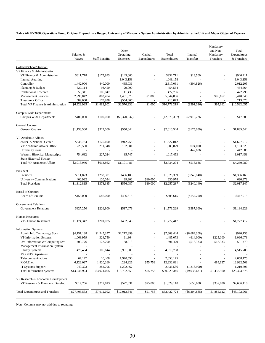**Table A6. FY2008, Operations Fund, Original Expenditure Budget, University of Missouri - System Administration by Administrative Unit and Major Object of Expense**

|                                                        | Salaries &   |                       | Other<br>Operating | Capital      | Total           | Internal                 | Mandatory<br>and Non-<br>Mandatory | Total<br>Expenditures |
|--------------------------------------------------------|--------------|-----------------------|--------------------|--------------|-----------------|--------------------------|------------------------------------|-----------------------|
|                                                        | Wages        | <b>Staff Benefits</b> | Expenses           | Expenditures | Expenditures    | Transfers                | Transfers                          | & Transfers           |
|                                                        |              |                       |                    |              |                 |                          |                                    |                       |
| College/School/Division<br>VP Finance & Administration |              |                       |                    |              |                 |                          |                                    |                       |
| VP Finance & Administration                            | \$611,718    | \$175,993             | \$145,000          |              | \$932,711       | \$13,500                 |                                    | \$946,211             |
| <b>Internal Auditing</b>                               |              |                       | 1,043,158          |              | 1,043,158       |                          |                                    | 1,043,158             |
| Controller                                             | 1,442,000    | 440,000               | 435,031            |              | 2,317,031       | (304, 826)               |                                    | 2,012,205             |
| Planning & Budget                                      | 327,114      | 98,450                | 29,000             | $\sim$       | 454,564         |                          |                                    | 454,564               |
| <b>Institutional Research</b>                          | 355,311      | 106,047               | 11,438             |              | 472,796         |                          |                                    | 472,796               |
| <b>Management Services</b>                             | 2,998,842    | 883,474               | 1,461,570          | \$1,000      | 5,344,886       | $\overline{\phantom{a}}$ | \$95,162                           | 5,440,048             |
| Treasurer's Office                                     | 589,000      | 178,938               | (554, 865)         |              | 213,073         |                          |                                    | 213,073               |
| Total VP Finance & Administration                      | \$6,323,985  | \$1,882,902           | \$2,570,332        | \$1,000      | \$10,778,219    | $(\$291,326)$            | \$95,162                           | \$10,582,055          |
| Campus Wide Departments                                |              |                       |                    |              |                 |                          |                                    |                       |
| Campus Wide Departments                                | \$400,000    | \$100,000             | $(\$3,370,337)$    |              | $(\$2,870,337)$ | \$2,918,226              |                                    | \$47,889              |
| General Counsel                                        |              |                       |                    |              |                 |                          |                                    |                       |
| General Counsel                                        | \$1,133,500  | \$327,000             | \$550,044          |              | \$2,010,544     | (\$175,000)              |                                    | \$1,835,544           |
| VP Academic Affairs                                    |              |                       |                    |              |                 |                          |                                    |                       |
| eMINTS National Center                                 | \$538,764    | \$175,490             | \$912,758          |              | \$1,627,012     |                          |                                    | \$1,627,012           |
| VP Academic Affairs Office                             | 725,500      | 211,348               | 152,981            |              | 1,089,829       | \$74,000                 |                                    | 1,163,829             |
| <b>University Press</b>                                |              |                       |                    |              |                 | 442,686                  |                                    | 442,686               |
| Western Historical Manuscripts                         | 754,682      | 227,024               | 35,747             |              | 1,017,453       |                          |                                    | 1,017,453             |
| <b>State Historical Society</b>                        |              |                       |                    |              |                 |                          |                                    |                       |
| <b>Total VP Academic Affairs</b>                       | \$2,018,946  | \$613,862             | \$1,101,486        |              | \$3,734,294     | \$516,686                |                                    | \$4,250,980           |
| President                                              |              |                       |                    |              |                 |                          |                                    |                       |
| President                                              | \$911,823    | \$258,301             | \$456,185          |              | \$1,626,309     | $(\$240,140)$            |                                    | \$1,386,169           |
| University Communications                              | 400,992      | 120,084               | 99,902             | \$10,000     | 630,978         |                          |                                    | 630,978               |
| <b>Total President</b>                                 | \$1,312,815  | \$378,385             | \$556,087          | \$10,000     | \$2,257,287     | $(\$240,140)$            |                                    | \$2,017,147           |
| <b>Board of Curators</b>                               |              |                       |                    |              |                 |                          |                                    |                       |
| <b>Board of Curators</b>                               | \$153,000    | \$46,000              | \$406,615          |              | \$605,615       | (\$157,700)              |                                    | \$447,915             |
|                                                        |              |                       |                    |              |                 |                          |                                    |                       |
| <b>Government Relations</b>                            |              |                       |                    |              |                 |                          |                                    |                       |
| <b>Government Relations</b>                            | \$827,250    | \$226,900             | \$517,079          | $\sim$       | \$1,571,229     | (\$387,000)              |                                    | \$1,184,229           |
| <b>Human Resources</b>                                 |              |                       |                    |              |                 |                          |                                    |                       |
| VP - Human Resources                                   | \$1,174,347  | \$201,025             | \$402,045          |              | \$1,777,417     |                          |                                    | \$1,777,417           |
| <b>Information Systems</b>                             |              |                       |                    |              |                 |                          |                                    |                       |
| Admin Info Technology Svcs                             | \$4,151,188  | \$1,245,357           | \$2,212,899        |              | \$7,609,444     | ( \$6,689,308)           |                                    | \$920,136             |
| VP Information Systems                                 | 1,068,959    | 324,750               | 91,364             |              | 1,485,073       | (614,000)                | \$225,000                          | 1,096,073             |
| UM Information & Computing Svc                         | 409,776      | 122,790               | 58,913             |              | 591,479         | (518, 333)               | 518,333                            | 591,479               |
| Management Information System                          |              |                       |                    |              |                 |                          |                                    |                       |
| <b>Library Systems</b><br><b>MOBIUS</b> Department     | 478,464      | 105,644               | 3,931,600          |              | 4,515,708       |                          |                                    | 4,515,708             |
| Telecommunications                                     | 67,177       | 20,408                | 1,970,590          |              | 2,058,175       |                          |                                    | 2,058,175             |
| MOREnet                                                | 6,122,037    | 1,820,260             | 4,234,826          | \$55,758     | 12,232,881      | $\overline{a}$           | 689,627                            | 12,922,508            |
| IT Systems Support                                     | 949,323      | 284,796               | 1,202,467          |              | 2,436,586       | (1,216,990)              |                                    | 1,219,596             |
| <b>Total Information Systems</b>                       | \$13,246,924 | \$3,924,005           | \$13,702,659       | \$55,758     | \$30,929,346    | $(\$9,038,631)$          | \$1,432,960                        | \$23,323,675          |
|                                                        |              |                       |                    |              |                 |                          |                                    |                       |
| VP Research & Economic Development                     |              |                       |                    |              |                 |                          |                                    |                       |
| VP Research & Economic Develop                         | \$814,766    | \$212,013             | \$577,331          | \$25,000     | \$1,629,110     | \$650,000                | \$357,000                          | \$2,636,110           |
| Total Expenditures and Transfers                       | \$27,405,533 | \$7,912,092           | \$17,013,341       | \$91,758     | \$52,422,724    | $(\$6,204,885)$          | \$1,885,122                        | \$48,102,961          |
|                                                        |              |                       |                    |              |                 |                          |                                    |                       |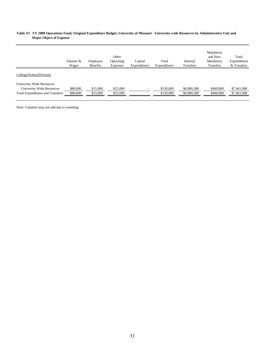#### **Table A7. FY 2008 Operations Fund, Original Expenditure Budget, University of Missouri - University-wide Resources by Administrative Unit and Major Object of Expense**

|                                                                                                   | Salaries &<br>Wages  | Employee<br>Benefits | Other<br>Operating<br>Expenses | Capital<br>Expenditures       | Total<br>Expenditures  | Internal<br>Transfers      | Mandatory<br>and Non-<br>Mandatory<br>Transfers | Total<br>Expenditures<br>& Transfers |
|---------------------------------------------------------------------------------------------------|----------------------|----------------------|--------------------------------|-------------------------------|------------------------|----------------------------|-------------------------------------------------|--------------------------------------|
| College/School/Division                                                                           |                      |                      |                                |                               |                        |                            |                                                 |                                      |
| University Wide Resources<br>University Wide Resources<br><b>Total Expenditures and Transfers</b> | \$80,000<br>\$80,000 | \$15,000<br>\$15,000 | \$25,000<br>\$25,000           | $\overline{\phantom{a}}$<br>٠ | \$120,000<br>\$120,000 | \$6,880,288<br>\$6,880,288 | \$460,800<br>\$460,800                          | \$7,461,088<br>\$7,461,088           |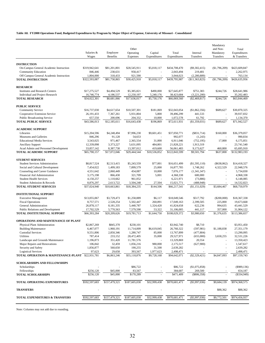#### **Table A8. FY2008 Operations Fund, Budgeted Expenditures by Program by Major Object of Expense, University of Missouri - Consolidated**

|                                                                     | Salaries &<br>Wages        | Employee<br>Benefits      | Other<br>Operating<br>Expenses | Capital<br>Expenditures | Total<br>Expenditures      | Internal<br>Transfers        | Mandatory<br>and Non-<br>Mandatory<br>Transfers | Total<br>Expenditures<br>& Transfers |
|---------------------------------------------------------------------|----------------------------|---------------------------|--------------------------------|-------------------------|----------------------------|------------------------------|-------------------------------------------------|--------------------------------------|
|                                                                     |                            |                           |                                |                         |                            |                              |                                                 |                                      |
| <b>INSTRUCTION</b>                                                  |                            |                           |                                |                         |                            |                              |                                                 |                                      |
| On-Campus General Academic Instruction                              | \$319,942,641              | \$81,201,801              | \$28,545,911                   | \$5,018,117             | \$434,708,470              | $(\$9,302,415)$              | (\$1,796,209)                                   | \$423,609,847                        |
| <b>Community Education</b>                                          | 846,446                    | 238,631                   | 958,417                        | ÷,                      | 2,043,494                  | 219,481                      | ×                                               | 2,262,975                            |
| Off Campus General Academic Instruction<br><b>TOTAL INSTRUCTION</b> | 1,804,000<br>\$322,593,087 | 318,433<br>\$81,758,865   | 921,590                        |                         | 3,044,023<br>\$439,795,987 | (2,280,889)                  |                                                 | 763,134<br>\$426,635,956             |
|                                                                     |                            |                           | \$30,425,918                   | \$5,018,117             |                            | (\$11,363,823)               | (\$1,796,209)                                   |                                      |
| <b>RESEARCH</b>                                                     |                            |                           |                                |                         |                            |                              |                                                 |                                      |
| <b>Institutes and Research Centers</b>                              | \$17,275,527               | \$4,494,529               | \$5,385,821                    | \$490,000               | \$27,645,877               | \$751,383                    | \$244,726                                       | \$28,641,986                         |
| Individual and Project Research                                     | 16,746,774                 | 4,186,537                 | 12,250,197                     | 5,240,176               | 38,423,684                 | (3,221,200)                  |                                                 | 35,202,483                           |
| <b>TOTAL RESEARCH</b>                                               | \$34,022,301               | \$8,681,066               | \$17,636,017                   | \$5,730,176             | \$66,069,560               | (\$2,469,817)                | \$244,726                                       | \$63,844,469                         |
| <b>PUBLIC SERVICE</b>                                               |                            |                           |                                |                         |                            |                              |                                                 |                                      |
| <b>Community Service</b>                                            | \$16,737,030               | \$4,617,654               | \$10,507,301                   | \$181,069               | \$32,043,054               | (\$1,862,356)                | \$689,627                                       | \$30,870,325                         |
| Cooperative Extension Service                                       | 26, 191, 433               | 7,367,261                 | 5,931,804                      | 5,800                   | 39,496,299                 | 441,533                      |                                                 | 39,937,832                           |
| <b>Public Broadcasting Service</b>                                  | 657,550                    | 200,696                   | 204,332                        | 10,000                  | 1,072,578                  | 61,792                       |                                                 | 1,134,370                            |
| <b>TOTAL PUBLIC SERVICE</b>                                         | \$43,586,013               | \$12,185,611              | \$16,643,438                   | \$196,869               | \$72,611,931               | (\$1,359,031)                | \$689,627                                       | \$71,942,527                         |
|                                                                     |                            |                           |                                |                         |                            |                              |                                                 |                                      |
| <b>ACADEMIC SUPPORT</b><br>Libraries                                | \$15,204,596               | \$4,248,494               | \$7,996,230                    | \$9,601,451             | \$37,050,771               | $(\$831,714)$                | \$160,000                                       | \$36,379,057                         |
| Museums and Galleries                                               | 846,296                    | 91,128                    | 54,653                         |                         | 992,077                    | (1,243)                      |                                                 | 990,834                              |
| <b>Educational Media Services</b>                                   | 3,543,025                  | 971,467                   | 2,365,554                      | 31,000                  | 6,911,046                  | (752, 195)                   | 17,000                                          | 6,175,851                            |
| <b>Ancillary Support</b>                                            | 12,339,098                 | 3,373,227                 | 5,631,095                      | 484,801                 | 21,828,221                 | 1,913,319                    |                                                 | 23,741,540                           |
| Acad Admin and Personnel Development                                | 33,857,142                 | 8,387,730                 | 13,397,012                     | 419,600                 | 56,061,483                 | 9,173,627                    | 460,800                                         | 65,695,910                           |
| TOTAL ACADEMIC SUPPORT                                              | \$65,790,157               | \$17,072,046              | \$29,444,544                   | \$10,536,852            | \$122,843,599              | \$9,501,794                  | \$637,800                                       | \$132,983,193                        |
| <b>STUDENT SERVICES</b>                                             |                            |                           |                                |                         |                            |                              |                                                 |                                      |
| <b>Student Services Administration</b>                              | \$8,817,524                | \$2,513,415               | \$5,243,559                    | \$77,001                | \$16,651,499               | (\$1,595,110)                | $(\$638,062)$                                   | \$14,418,327                         |
| Social and Cultural Development                                     | 7,454,022                  | 1,499,183                 | 7,899,579                      | 25,000                  | 16,877,785                 | 1,748,262                    | 4,322,529                                       | 22,948,576                           |
| Counseling and Career Guidance                                      | 4,551,642                  | 2,060,449                 | 454,087                        | 10,000                  | 7,076,177                  | (1,341,347)                  | ×.                                              | 5,734,830                            |
| Financial Aid Administration                                        | 3,175,198                  | 866,430                   | 321,709                        | 5,001                   | 4,368,338                  | 600,000                      |                                                 | 4,968,338                            |
| <b>Student Health Services</b>                                      | 4,150,257                  | 1,110,662                 | 961,052                        |                         | 6,221,971                  | (73,886)                     |                                                 | 6,148,085                            |
| Student Admission & Records<br><b>TOTAL STUDENT SERVICES</b>        | 8,876,297<br>\$37,024,940  | 2,613,722<br>\$10,663,861 | 3,504,248<br>\$18,384,235      | 27,504<br>\$144,506     | 15,021,771<br>\$66,217,541 | (488, 948)<br>(S1, 151, 029) | \$3,684,467                                     | 14,532,823<br>\$68,750,979           |
|                                                                     |                            |                           |                                |                         |                            |                              |                                                 |                                      |
| <b>INSTITUTIONAL SUPPORT</b>                                        |                            |                           |                                |                         |                            |                              |                                                 |                                      |
| <b>Executive Management</b>                                         | \$13,055,067               | \$3,729,473               | \$1,258,889                    | \$6,117                 | \$18,049,546               | \$517,792                    | $(\$200,000)$                                   | \$18,367,338                         |
| <b>Fiscal Operations</b>                                            | 8,757,571                  | 2,528,254                 | 5,502,447                      | 260,891                 | 17,049,163                 | 2,399,505                    | 225,000                                         | 19,673,668                           |
| General Administration                                              | 26,878,117                 | 8,181,335                 | 5,440,787                      | 1,324,420               | 41,824,658                 | 622,236                      | 994,635                                         | 43,441,529                           |
| Public Relations and Development                                    | 17,702,529                 | 5,770,563                 | 7,579,590                      | 53,322                  | 31,106,005                 | 441,117                      | 357,000                                         | 31,904,122                           |
| TOTAL INSTITUTIONAL SUPPORT                                         | \$66,393,284               | \$20,209,626              | \$19,781,713                   | \$1,644,750             | \$108,029,372              | \$3,980,650                  | \$1,376,635                                     | \$113,386,657                        |
| <b>OPERATIONS AND MAINTENANCE OF PLANT</b>                          |                            |                           |                                |                         |                            |                              |                                                 |                                      |
| Physical Plant Administration                                       | \$2,867,269                | \$845,370                 | \$230,101                      |                         | \$3,942,740                | \$8,710                      |                                                 | \$3,951,450                          |
| <b>Building Maintenance</b>                                         | 6,467,077                  | 1,960,191                 | 11,714,009                     | \$6,619,045             | 26,760,322                 | (597, 981)                   | \$1,188,838                                     | 27,351,179                           |
| <b>Custodial Services</b>                                           | 9,551,806                  | 2,850,346                 | 1,280,747                      | 85,000                  | 13,767,899                 | (477, 804)                   |                                                 | 13,290,095                           |
| Utilities                                                           | 787,414                    | 233,152                   | 28,472,405                     | 35,000                  | 29,527,971                 | (655,000)                    | 3,658,255                                       | 32,531,226                           |
| Landscape and Grounds Maintenance                                   | 1,196,873                  | 351,420                   | 11,781,576                     |                         | 13,329,869                 | 20,554                       |                                                 | 13,350,423                           |
| Major Repairs and Renovations                                       | 106,842                    | 32,459                    | 1,056,216                      | 980,000                 | 2,175,517                  | (627,900)                    |                                                 | 1,547,617                            |
| Security and Safety<br><b>Logistical Services</b>                   | 1,856,877<br>97,623        | 560,650<br>29,658         | 190,255<br>393,567             | 31,500<br>1,977,623     | 2,639,282<br>2,498,471     |                              |                                                 | 2,639,282<br>2,498,471               |
| TOTAL OPERATION & MAINTENANCE-PLANT \$22,931,781                    |                            | \$6,863,246               | \$55,118,876                   | \$9,728,168             | \$94,642,071               | $(\$2,329,421)$              | \$4,847,093                                     | \$97,159,743                         |
|                                                                     |                            |                           |                                |                         |                            |                              |                                                 |                                      |
| <b>SCHOLARSHIPS AND FELLOWSHIPS</b>                                 |                            |                           |                                |                         |                            |                              |                                                 |                                      |
| Scholarships                                                        |                            |                           | \$86,722                       |                         | \$86,722                   | (\$1,075,858)                |                                                 | $($ \$989,136)                       |
| Fellowships                                                         | \$256,120                  | \$45,000                  | 83,567                         |                         | 384,687                    | 269,500                      |                                                 | 654,187                              |
| <b>TOTAL SCHOLARSHIPS</b>                                           | \$256,120                  | \$45,000                  | \$170,289                      |                         | \$471,409                  | $(\$806,358)$                |                                                 | (\$334,949)                          |
| TOTAL OPERATING EXPENDITURES                                        | \$592,597,683              | \$157,479,321             | \$187,605,030                  | \$32,999,438            | \$970,681,471              | $(\$5,997,036)$              | \$9,684,139                                     | \$974,368,575                        |
| <b>TRANSFERS</b>                                                    |                            |                           |                                |                         |                            |                              | \$88,362                                        | \$88,362                             |
| <b>TOTAL EXPENDITURES &amp; TRANSFERS</b>                           | \$592,597,683              | \$157,479,321             | \$187,605,030                  | \$32,999,438            | \$970,681,471              | $(\$5,997,036)$              | \$9,772,501                                     | \$974,456,937                        |
|                                                                     |                            |                           |                                |                         |                            |                              |                                                 |                                      |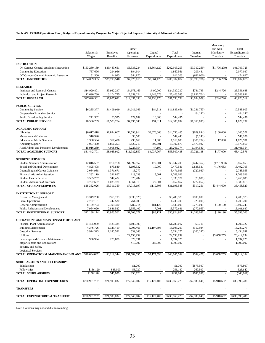#### **Table A9. FY2008 Operations Fund, Budgeted Expenditures by Program by Major Object of Expense, University of Missouri - Columbia**

|                                                                  | Salaries &<br>Wages     | Employee<br><b>Benefits</b> | Other<br>Operating<br>Expenses | Capital<br>Expenditures | Total<br>Expenditures    | Internal<br>Transfers  | Mandatory<br>and Non-<br>Mandatory<br>Transfers | Total<br>Expenditures &<br>Transfers |
|------------------------------------------------------------------|-------------------------|-----------------------------|--------------------------------|-------------------------|--------------------------|------------------------|-------------------------------------------------|--------------------------------------|
|                                                                  |                         |                             |                                |                         |                          |                        |                                                 |                                      |
| <b>INSTRUCTION</b><br>On-Campus General Academic Instruction     | \$153,230,189           | \$39,483,651                | \$6,335,234                    | \$3,864,129             | \$202,913,203            | $(\$9,317,269)$        | (\$1,796,209)                                   | 191,799,725                          |
| <b>Community Education</b>                                       | 757,696                 | 214,956                     | 894,914                        | $\overline{a}$          | 1,867,566                | 209,481                | ÷,                                              | 2,077,047                            |
| Off Campus General Academic Instruction                          | 51,500                  | 14,933                      | 544,870                        |                         | 611,303                  | (686,000)              |                                                 | (74, 697)                            |
| <b>TOTAL INSTRUCTION</b>                                         | \$154,039,385           | \$39,713,540                | \$7,775,018                    | \$3,864,129             | \$205,392,072            | $(\$9,793,788)$        | (\$1,796,209)                                   | 193,802,075                          |
| <b>RESEARCH</b>                                                  |                         |                             |                                |                         |                          |                        |                                                 |                                      |
| <b>Institutes and Research Centers</b>                           | \$14,929,801            | \$3,932,247                 | \$4,978,169                    | \$490,000               | \$24,330,217             | \$781,745              | \$244,726                                       | 25,356,688                           |
| Individual and Project Research                                  | 12,690,760              | 3,104,775                   | 7,359,224                      | 4,248,776               | 27,403,535               | (3,836,704)            |                                                 | 23,566,831                           |
| <b>TOTAL RESEARCH</b>                                            | \$27,620,561            | \$7,037,022                 | \$12,337,393                   | \$4,738,776             | \$51,733,752             | $(\$3,054,959)$        | \$244,726                                       | 48,923,519                           |
| <b>PUBLIC SERVICE</b>                                            |                         |                             |                                |                         |                          |                        |                                                 |                                      |
| <b>Community Service</b>                                         | \$6,235,377             | \$1,499,919                 | \$4,016,049                    | \$84,311                | \$11,835,656             | (\$1,286,753)          |                                                 | 10,548,903                           |
| Cooperative Extension Service                                    |                         |                             |                                | ä,                      |                          | (64, 142)              |                                                 | (64, 142)                            |
| <b>Public Broadcasting Service</b>                               | 271,362                 | 83,375                      | 179,699                        | 10,000                  | 544,436                  |                        |                                                 | 544,436                              |
| <b>TOTAL PUBLIC SERVICE</b>                                      | \$6,506,739             | \$1,583,294                 | \$4,195,748                    | \$94,311                | \$12,380,092             | (\$1,350,895)          |                                                 | 11,029,197                           |
| <b>ACADEMIC SUPPORT</b>                                          |                         |                             |                                |                         |                          |                        |                                                 |                                      |
| Libraries                                                        | \$6,617,418             | \$1,844,067                 | \$2,598,914                    | \$3,670,066             | \$14,730,465             | $(\$629,894)$          | \$160,000                                       | 14.260.571                           |
| Museums and Galleries                                            | 510,940                 |                             | 38,503                         |                         | 549,443                  | (1,243)                |                                                 | 548,200                              |
| <b>Educational Media Services</b>                                | 1,300,594               | 317,420                     | 290,869                        | 11,000                  | 1,919,883                | (308, 292)             | 17,000                                          | 1,628,591                            |
| <b>Ancillary Support</b><br>Acad Admin and Personnel Development | 7,097,460<br>15,916,289 | 1,866,393<br>4,018,032      | 3,829,219<br>5.225.354         | 309,801<br>47,100       | 13,102,873<br>25,206,774 | 2,470,987<br>6,194,580 |                                                 | 15,573,860<br>31,401,354             |
| <b>TOTAL ACADEMIC SUPPORT</b>                                    | \$31,442,701            | \$8,045,912                 | \$11,982,859                   | \$4,037,967             | \$55,509,438             | \$7,726,138            | \$177,000                                       | 63,412,576                           |
| <b>STUDENT SERVICES</b>                                          |                         |                             |                                |                         |                          |                        |                                                 |                                      |
| <b>Student Services Administration</b>                           | \$2,816,587             | \$760,768                   | \$1,392,852                    | \$77,001                | \$5,047,208              | $(\$447,362)$          | $(\$731,993)$                                   | 3,867,853                            |
| Social and Cultural Development                                  | 4,895,408               | 873,840                     | 3,698,332                      | 10,000                  | 9,477,581                | 1,838,531              | 4,176,683                                       | 15,492,795                           |
| Counseling and Career Guidance                                   | 2,084,988               | 1,371,671                   | 15,277                         | ×,                      | 3,471,935                | (727,980)              | $\overline{\phantom{a}}$                        | 2,743,955                            |
| Financial Aid Administration                                     | 1,262,119               | 321,867                     | 119,039                        | 5,001                   | 1,708,026                |                        |                                                 | 1,708,026                            |
| <b>Student Health Services</b>                                   | 3,565,257               | 947,432                     | 826,282                        |                         | 5,338,971                | (73,886)               | ÷,                                              | 5,265,085                            |
| Student Admission & Records                                      | 3,727,667               | 1,035,781                   | 1,861,915                      | 27,504                  | 6,652,867                | (272, 052)             |                                                 | 6,380,815                            |
| <b>TOTAL STUDENT SERVICES</b>                                    | \$18,352,026            | \$5,311,359                 | \$7,913,697                    | \$119,506               | \$31,696,588             | \$317,251              | \$3,444,690                                     | 35,458,529                           |
| <b>INSTITUTIONAL SUPPORT</b>                                     |                         |                             |                                |                         |                          |                        |                                                 |                                      |
| <b>Executive Management</b>                                      | \$3,349,200             | \$965,199                   | $(\$830,826)$                  | ×,                      | \$3,483,573              | \$800,000              |                                                 | 4,283,573                            |
| <b>Fiscal Operations</b>                                         | 2,727,161               | 742,530                     | 761,009                        | ä,                      | 4,230,700                | (25,000)               |                                                 | 4,205,700                            |
| General Administration                                           | 8,139,793               | 2,399,310                   | (782, 214)                     | \$81,120                | 9,838,008                | 3,779,045              | \$190,190                                       | 13,807,243                           |
| Public Relations and Development                                 | 7,964,020               | 2,846,522                   | 2,555,102                      | 7,001                   | 13,372,646               | (270, 959)             |                                                 | 13,101,687                           |
| TOTAL INSTITUTIONAL SUPPORT                                      | \$22,180,174            | \$6,953,562                 | \$1,703,071                    | \$88,121                | \$30,924,927             | \$4,283,086            | \$190,190                                       | 35,398,203                           |
| <b>OPERATIONS AND MAINTENANCE OF PLANT</b>                       |                         |                             |                                |                         |                          |                        |                                                 |                                      |
| Physical Plant Administration                                    | \$1,455,989             | \$435,334                   | (\$103,306)                    |                         | \$1,788,017              | \$8,710                |                                                 | 1.796.727                            |
| <b>Building Maintenance</b>                                      | 4,376,726               | 1,325,419                   | 5,705,466                      | \$2,197,598             | 13,605,209               | (317,934)              |                                                 | 13,287,275                           |
| <b>Custodial Services</b>                                        | 3,914,323               | 1,180,591                   | 539,363                        |                         | 5,634,277                | (200, 247)             |                                                 | 5,434,031                            |
| Utilities<br>Landscape and Grounds Maintenance                   | 936,994                 | 278,000                     | 24,753,939                     |                         | 24,753,939               |                        | \$3,658,255                                     | 28,412,194<br>1,594,125              |
| Major Repairs and Renovations                                    |                         |                             | 379,131<br>410,002             | 980,000                 | 1,594,125<br>1,390,002   |                        |                                                 | 1,390,002                            |
| Security and Safety                                              |                         |                             |                                |                         |                          |                        |                                                 |                                      |
| <b>Logistical Services</b>                                       |                         |                             |                                |                         |                          |                        |                                                 |                                      |
| TOTAL OPERATION & MAINTENANCE-PLANT \$10,684,032                 |                         | \$3,219,344                 | \$31,684,595                   | \$3,177,598             | \$48,765,569             | $(\$509,471)$          | \$3,658,255                                     | 51,914,354                           |
| <b>SCHOLARSHIPS AND FELLOWSHIPS</b>                              |                         |                             |                                |                         |                          |                        |                                                 |                                      |
| Scholarships                                                     |                         |                             | \$1,700                        |                         | \$1,700                  | $(\$875,507)$          |                                                 | (873, 807)                           |
| Fellowships                                                      | \$156,120               | \$45,000                    | 55,020                         |                         | 256,140                  | 269,500                |                                                 | 525,640                              |
| <b>TOTAL SCHOLARSHIPS</b>                                        | \$156,120               | \$45,000                    | \$56,720                       |                         | \$257,840                | $(\$606,007)$          |                                                 | (348, 167)                           |
| TOTAL OPERATING EXPENDITURES                                     | \$270,981,737           | \$71,909,032                | \$77,649,102                   | \$16,120,408            | \$436,660,279            | (\$2,988,646)          | \$5,918,652                                     | 439,590,286                          |
| <b>TRANSFERS</b>                                                 |                         |                             |                                |                         |                          |                        |                                                 |                                      |
| <b>TOTAL EXPENDITURES &amp; TRANSFERS</b>                        | \$270,981,737           | \$71,909,032                | \$77,649,102                   | \$16,120,408            | \$436,660,279            | $(\$2,988,646)$        | \$5,918,652                                     | \$439,590,286                        |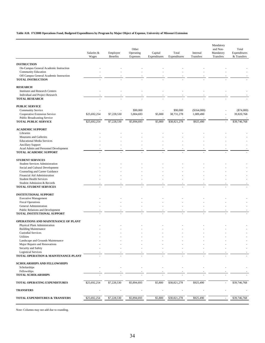#### **Table A10. FY2008 Operations Fund, Budgeted Expenditures by Program by Major Object of Expense, University of Missouri Extension**

|                                                                     | Salaries &<br>Wages | Employee<br>Benefits | Other<br>Operating<br>Expenses | Capital<br>Expenditures | Total<br>Expenditures | Internal<br>Transfers | Mandatory<br>and Non-<br>Mandatory<br>Transfers | Total<br>Expenditures<br>& Transfers |
|---------------------------------------------------------------------|---------------------|----------------------|--------------------------------|-------------------------|-----------------------|-----------------------|-------------------------------------------------|--------------------------------------|
| <b>INSTRUCTION</b>                                                  |                     |                      |                                |                         |                       |                       |                                                 |                                      |
| On-Campus General Academic Instruction                              |                     |                      |                                |                         |                       |                       |                                                 |                                      |
| <b>Community Education</b>                                          |                     |                      |                                |                         |                       |                       |                                                 |                                      |
| Off Campus General Academic Instruction                             |                     |                      |                                |                         |                       |                       |                                                 |                                      |
| <b>TOTAL INSTRUCTION</b>                                            |                     |                      |                                |                         |                       |                       |                                                 |                                      |
| <b>RESEARCH</b>                                                     |                     |                      |                                |                         |                       |                       |                                                 |                                      |
| <b>Institutes and Research Centers</b>                              |                     |                      |                                |                         |                       |                       |                                                 |                                      |
| Individual and Project Research<br><b>TOTAL RESEARCH</b>            |                     |                      |                                |                         |                       |                       |                                                 |                                      |
|                                                                     |                     |                      |                                |                         |                       |                       |                                                 |                                      |
| <b>PUBLIC SERVICE</b>                                               |                     |                      |                                |                         |                       |                       |                                                 |                                      |
| <b>Community Service</b>                                            |                     |                      | \$90,000                       |                         | \$90,000              | (\$164,000)           |                                                 | $(\$74,000)$                         |
| Cooperative Extension Service<br><b>Public Broadcasting Service</b> | \$25,692,254        | \$7,228,530          | 5,804,693                      | \$5,800                 | 38,731,278            | 1,089,490             |                                                 | 39,820,768                           |
| <b>TOTAL PUBLIC SERVICE</b>                                         | \$25,692,254        | \$7,228,530          | \$5,894,693                    | \$5,800                 | \$38,821,278          | \$925,490             | ×,                                              | \$39,746,768                         |
|                                                                     |                     |                      |                                |                         |                       |                       |                                                 |                                      |
| <b>ACADEMIC SUPPORT</b>                                             |                     |                      |                                |                         |                       |                       |                                                 |                                      |
| Libraries                                                           |                     |                      |                                |                         |                       |                       |                                                 |                                      |
| Museums and Galleries<br><b>Educational Media Services</b>          |                     |                      |                                |                         |                       |                       |                                                 |                                      |
| <b>Ancillary Support</b>                                            |                     |                      |                                |                         |                       |                       |                                                 |                                      |
| Acad Admin and Personnel Development                                |                     |                      |                                |                         |                       |                       |                                                 |                                      |
| TOTAL ACADEMIC SUPPORT                                              |                     |                      |                                |                         |                       |                       |                                                 |                                      |
| <b>STUDENT SERVICES</b>                                             |                     |                      |                                |                         |                       |                       |                                                 |                                      |
| <b>Student Services Administration</b>                              |                     |                      |                                |                         |                       |                       |                                                 |                                      |
| Social and Cultural Development                                     |                     |                      |                                |                         |                       |                       |                                                 |                                      |
| Counseling and Career Guidance                                      |                     |                      |                                |                         |                       |                       |                                                 |                                      |
| Financial Aid Administration                                        |                     |                      |                                |                         |                       |                       |                                                 |                                      |
| <b>Student Health Services</b><br>Student Admission & Records       |                     |                      |                                |                         |                       |                       |                                                 |                                      |
| <b>TOTAL STUDENT SERVICES</b>                                       |                     |                      |                                |                         |                       |                       |                                                 |                                      |
|                                                                     |                     |                      |                                |                         |                       |                       |                                                 |                                      |
| <b>INSTITUTIONAL SUPPORT</b>                                        |                     |                      |                                |                         |                       |                       |                                                 |                                      |
| <b>Executive Management</b>                                         |                     |                      |                                |                         |                       |                       |                                                 |                                      |
| <b>Fiscal Operations</b><br>General Administration                  |                     |                      |                                |                         |                       |                       |                                                 |                                      |
| Public Relations and Development                                    |                     |                      |                                |                         |                       |                       |                                                 |                                      |
| TOTAL INSTITUTIONAL SUPPORT                                         |                     |                      |                                |                         |                       |                       |                                                 |                                      |
|                                                                     |                     |                      |                                |                         |                       |                       |                                                 |                                      |
| OPERATIONS AND MAINTENANCE OF PLANT                                 |                     |                      |                                |                         |                       |                       |                                                 |                                      |
| Physical Plant Administration<br><b>Building Maintenance</b>        |                     |                      |                                |                         |                       |                       |                                                 |                                      |
| <b>Custodial Services</b>                                           |                     |                      |                                |                         |                       |                       |                                                 |                                      |
| Utilities                                                           |                     |                      |                                |                         |                       |                       |                                                 |                                      |
| Landscape and Grounds Maintenance                                   |                     |                      |                                |                         |                       |                       |                                                 |                                      |
| Major Repairs and Renovations<br>Security and Safety                |                     |                      |                                |                         |                       |                       |                                                 |                                      |
| <b>Logistical Services</b>                                          |                     |                      |                                |                         |                       |                       |                                                 |                                      |
| TOTAL OPERATION & MAINTENANCE-PLANT                                 |                     |                      |                                |                         |                       |                       |                                                 |                                      |
|                                                                     |                     |                      |                                |                         |                       |                       |                                                 |                                      |
| <b>SCHOLARSHIPS AND FELLOWSHIPS</b>                                 |                     |                      |                                |                         |                       |                       |                                                 |                                      |
| Scholarships<br>Fellowships                                         |                     |                      |                                |                         |                       |                       |                                                 |                                      |
| <b>TOTAL SCHOLARSHIPS</b>                                           |                     |                      |                                |                         |                       |                       |                                                 |                                      |
| TOTAL OPERATING EXPENDITURES                                        | \$25,692,254        | \$7,228,530          | \$5,894,693                    | \$5,800                 | \$38,821,278          | \$925,490             |                                                 | \$39,746,768                         |
| <b>TRANSFERS</b>                                                    |                     |                      |                                |                         |                       |                       |                                                 |                                      |
|                                                                     |                     |                      |                                |                         |                       |                       |                                                 |                                      |
| <b>TOTAL EXPENDITURES &amp; TRANSFERS</b>                           | \$25,692,254        | \$7,228,530          | \$5,894,693                    | \$5,800                 | \$38,821,278          | \$925,490             |                                                 | \$39,746,768                         |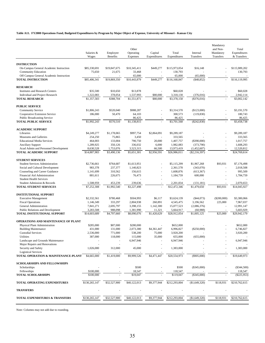#### **Table A11. FY2008 Operations Fund, Budgeted Expenditures by Program by Major Object of Expense, University of Missouri - Kansas City**

|                                                                      | Salaries &             | Employee               | Other<br>Operating             | Capital          | Total                     | Internal                 | Mandatory<br>and Non-<br>Mandatory | Total<br>Expenditures     |
|----------------------------------------------------------------------|------------------------|------------------------|--------------------------------|------------------|---------------------------|--------------------------|------------------------------------|---------------------------|
|                                                                      | Wages                  | Benefits               | Expenses                       | Expenditures     | Expenditures              | Transfers                | Transfers                          | & Transfers               |
| <b>INSTRUCTION</b>                                                   |                        |                        |                                |                  |                           |                          |                                    |                           |
| On-Campus General Academic Instruction<br><b>Community Education</b> | \$85,330,691<br>75,650 | \$19,847,675<br>21,675 | \$10,345,411<br>33,468         | \$449,277        | \$115,973,054<br>130,793  | \$16,148                 |                                    | \$115,989,202<br>130,793  |
| Off Campus General Academic Instruction                              |                        |                        | 65,000                         |                  | 65,000                    | (65,000)                 |                                    |                           |
| <b>TOTAL INSTRUCTION</b>                                             | \$85,406,341           | \$19,869,350           | \$10,443,879                   | \$449,277        | \$116,168,847             | (\$48,852)               |                                    | \$116,119,995             |
| <b>RESEARCH</b>                                                      |                        |                        |                                |                  |                           |                          |                                    |                           |
| <b>Institutes and Research Centers</b>                               | \$35,500               | \$10,650               | \$13,878                       | ä,               | \$60,028                  |                          | ä,                                 | \$60,028                  |
| Individual and Project Research                                      | 1,322,083              | 378,054                | 1,537,993                      | \$80,000         | 3,318,130                 | (376,016)                | ÷,                                 | 2,942,114                 |
| <b>TOTAL RESEARCH</b>                                                | \$1,357,583            | \$388,704              | \$1,551,871                    | \$80,000         | \$3,378,158               | (\$376,016)              |                                    | \$3,002,142               |
| <b>PUBLIC SERVICE</b>                                                |                        |                        |                                |                  |                           |                          |                                    |                           |
| <b>Community Service</b>                                             | \$1,806,243            | \$520,040              | \$988,287                      |                  | \$3,314,570               | (\$123,000)              |                                    | \$3,191,570               |
| Cooperative Extension Service                                        | 186,000                | 50,470                 | 64,103                         |                  | 300,573                   | (119, 830)               |                                    | 180,743                   |
| <b>Public Broadcasting Service</b>                                   |                        |                        | 86,425                         |                  | 86,425                    |                          |                                    | 86,425                    |
| <b>TOTAL PUBLIC SERVICE</b>                                          | \$1,992,243            | \$570,510              | \$1,138,815                    |                  | \$3,701,568               | (\$242,830)              |                                    | \$3,458,738               |
| <b>ACADEMIC SUPPORT</b>                                              |                        |                        |                                |                  |                           |                          |                                    |                           |
| Libraries                                                            | \$4,249,277            | \$1,178,065            | \$997,754                      | \$2,864,091      | \$9,289,187               |                          |                                    | \$9,289,187               |
| Museums and Galleries                                                | 254,250                | 75,865                 | 3,450                          |                  | 333,565                   |                          |                                    | 333.565                   |
| <b>Educational Media Services</b>                                    | 464,003                | 133,004                | 790,750                        | 20,000           | 1,407,757                 | (\$390,000)              |                                    | 1,017,757                 |
| <b>Ancillary Support</b><br>Acad Admin and Personnel Development     | 1,289,925<br>8,630,528 | 350,126<br>1,753,076   | 336,032<br>3,523,315           | 6,000<br>66,500  | 1,982,083<br>13,973,419   | (373,790)<br>(1,452,607) | J.                                 | 1,608,293<br>12,520,812   |
| TOTAL ACADEMIC SUPPORT                                               | \$14,887,983           | \$3,490,136            | \$5,651,301                    | \$2,956,591      | \$26,986,011              | $(\$2,216,397)$          |                                    | \$24,769,614              |
| <b>STUDENT SERVICES</b>                                              |                        |                        |                                |                  |                           |                          |                                    |                           |
| <b>Student Services Administration</b>                               | \$2,736,661            | \$764,687              | \$1,613,951                    |                  | \$5,115,299               | \$1,967,268              | \$93,931                           | \$7,176,498               |
| Social and Cultural Development                                      | 983,378                | 237,377                | 1,140,823                      | ä,               | 2,361,578                 | (343,070)                | ä,                                 | 2,018,508                 |
| Counseling and Career Guidance                                       | 1,141,699              | 310,562                | 156,615                        |                  | 1,608,876                 | (613, 367)               | ÷.                                 | 995,509                   |
| Financial Aid Administration                                         | 881,611                | 226,675                | 76,473                         | ÷.               | 1,184,759                 | 600,000                  | ÷,                                 | 1,784,759                 |
| <b>Student Health Services</b>                                       |                        |                        |                                |                  |                           |                          |                                    |                           |
| Student Admission & Records                                          | 1,508,959              | 453,239                | 239,636                        |                  | 2,201,834                 | (131, 181)               |                                    | 2,070,653                 |
| <b>TOTAL STUDENT SERVICES</b>                                        | \$7,252,308            | \$1,992,540            | \$3,227,498                    |                  | \$12,472,346              | \$1,479,650              | \$93,931                           | \$14,045,927              |
| <b>INSTITUTIONAL SUPPORT</b>                                         |                        |                        |                                |                  |                           |                          |                                    |                           |
| <b>Executive Management</b>                                          | \$2,332,561            | \$780,468              | \$504,993                      | \$6,117          | \$3,624,139               | $(\$44,073)$             | $(\$200,000)$                      | \$3,380,066               |
| <b>Fiscal Operations</b>                                             | 1,146,349              | 333,297                | 2,804,938                      | 260,891          | 4,545,475                 | 3,196,562                | 225,000                            | 7,967,037                 |
| General Administration                                               | 7,841,271              | 2,695,797              | 3,398,155                      | 1,142,300        | 15,077,523                | (2,086,376)              | ÷,                                 | 12,991,147                |
| Public Relations and Development                                     | 3,283,508              | 988,098                | 1,381,990                      | 11,321           | 5,664,917<br>\$28,912,054 | (60,988)                 |                                    | 5,603,929<br>\$29,942,179 |
| TOTAL INSTITUTIONAL SUPPORT                                          | \$14,603,689           | \$4,797,660            | \$8,090,076                    | \$1,420,629      |                           | \$1,005,125              | \$25,000                           |                           |
| <b>OPERATIONS AND MAINTENANCE OF PLANT</b>                           |                        |                        |                                |                  |                           |                          |                                    |                           |
| Physical Plant Administration                                        | \$285,000              | \$87,000               | \$280,000                      |                  | \$652,000                 |                          |                                    | \$652,000                 |
| <b>Building Maintenance</b>                                          | 431,000                | 131,000                | 2,073,380                      | \$4,361,447      | 6,996,827                 | $(\$250,000)$            |                                    | 6,746,827                 |
| <b>Custodial Services</b><br>Utilities                               | 2,536,000<br>387,000   | 771,000<br>118,000     | 538,200<br>115,000             | 75,000<br>35,000 | 3,920,200<br>655,000      | (655,000)                |                                    | 3,920,200                 |
| Landscape and Grounds Maintenance                                    |                        |                        | 6,947,946                      |                  | 6,947,946                 |                          |                                    | 6,947,946                 |
| Major Repairs and Renovations                                        |                        |                        |                                |                  |                           |                          |                                    |                           |
| Security and Safety                                                  | 1,026,000              | 312,000                | 45,000                         |                  | 1,383,000                 |                          |                                    | 1,383,000                 |
| <b>Logistical Services</b>                                           |                        |                        |                                |                  |                           |                          |                                    |                           |
| TOTAL OPERATION & MAINTENANCE-PLANT                                  | \$4,665,000            | \$1,419,000            | \$9,999,526                    | \$4,471,447      | \$20,554,973              | (\$905,000)              |                                    | \$19,649,973              |
| <b>SCHOLARSHIPS AND FELLOWSHIPS</b>                                  |                        |                        |                                |                  |                           |                          |                                    |                           |
| Scholarships                                                         |                        |                        | \$500                          |                  | \$500                     | $(\$345,000)$            |                                    | $(\$344,500)$             |
| Fellowships<br><b>TOTAL SCHOLARSHIPS</b>                             | \$100,000<br>\$100,000 |                        | 18,547<br>$\overline{$}19,047$ |                  | 118,547<br>\$119,047      | (\$345,000)              |                                    | 118,547<br>$(\$225,953)$  |
|                                                                      |                        |                        |                                |                  |                           |                          |                                    |                           |
| TOTAL OPERATING EXPENDITURES                                         | \$130,265,147          | \$32,527,900           | \$40,122,013                   | \$9,377,944      | \$212,293,004             | (\$1,649,320)            | \$118,931                          | \$210,762,615             |
| <b>TRANSFERS</b>                                                     |                        |                        |                                |                  |                           |                          |                                    |                           |
| TOTAL EXPENDITURES & TRANSFERS                                       | \$130,265,147          | \$32,527,900           | \$40,122,013                   | \$9,377,944      | \$212,293,004             | (\$1,649,320)            | \$118,931                          | \$210,762,615             |
|                                                                      |                        |                        |                                |                  |                           |                          |                                    |                           |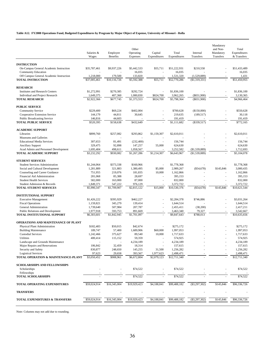#### **Table A12. FY2008 Operations Fund, Budgeted Expenditures by Program by Major Object of Expense, University of Missouri - Rolla**

|                                                                      | Salaries &<br>Wages       | Employee<br>Benefits    | Other<br>Operating<br>Expenses | Capital<br>Expenditures | Total<br>Expenditures     | Internal<br>Transfers        | Mandatory<br>and Non-<br>Mandatory<br>Transfers | Total<br>Expenditures<br>& Transfers |
|----------------------------------------------------------------------|---------------------------|-------------------------|--------------------------------|-------------------------|---------------------------|------------------------------|-------------------------------------------------|--------------------------------------|
|                                                                      |                           |                         |                                |                         |                           |                              |                                                 |                                      |
| <b>INSTRUCTION</b>                                                   |                           |                         |                                |                         |                           |                              |                                                 |                                      |
| On-Campus General Academic Instruction                               | \$35,787,461              | \$9,937,226             | \$5,442,533                    | \$55,711                | \$51,222,931              | \$210,558                    |                                                 | \$51,433,489                         |
| <b>Community Education</b>                                           |                           |                         | 16,035                         |                         | 16,035                    |                              |                                                 | 16,035                               |
| Off Campus General Academic Instruction<br><b>TOTAL INSTRUCTION</b>  | 1,218,000<br>\$37,005,461 | 179,500<br>\$10,116,726 | 133,820<br>\$5,592,388         | \$55,711                | 1,531,320<br>\$52,770,286 | (1,529,889)<br>(\$1,319,331) |                                                 | 1,431<br>\$51,450,955                |
|                                                                      |                           |                         |                                |                         |                           |                              |                                                 |                                      |
| <b>RESEARCH</b>                                                      |                           |                         |                                |                         |                           |                              |                                                 |                                      |
| <b>Institutes and Research Centers</b>                               | \$1,272,991               | \$270,385               | \$292,724                      | ä,                      | \$1,836,100               |                              |                                                 | \$1,836,100                          |
| Individual and Project Research                                      | 1,649,375                 | 407,360                 | 1,080,830                      | \$824,700               | 3,962,265                 | (\$831,900)                  |                                                 | 3,130,365                            |
| <b>TOTAL RESEARCH</b>                                                | \$2,922,366               | \$677,745               | \$1,373,553                    | \$824,700               | \$5,798,364               | (\$831,900)                  |                                                 | \$4,966,464                          |
|                                                                      |                           |                         |                                |                         |                           |                              |                                                 |                                      |
| <b>PUBLIC SERVICE</b>                                                |                           |                         |                                |                         |                           |                              |                                                 |                                      |
| <b>Community Service</b>                                             | \$229,400                 | \$69,224                | \$402,004                      |                         | \$700,628                 | (\$150,000)                  |                                                 | \$550,628                            |
| Cooperative Extension Service<br><b>Public Broadcasting Service</b>  | 144,179<br>146,816        | 44,811<br>44,603        | 30,645                         |                         | 219,635<br>191,419        | (189, 517)                   | $\sim$                                          | 30,118<br>191,419                    |
| <b>TOTAL PUBLIC SERVICE</b>                                          | \$520,395                 | \$158,638               | \$432,649                      |                         | \$1,111,682               | (\$339,517)                  |                                                 | \$772,165                            |
|                                                                      |                           |                         |                                |                         |                           |                              |                                                 |                                      |
| <b>ACADEMIC SUPPORT</b>                                              |                           |                         |                                |                         |                           |                              |                                                 |                                      |
| Libraries                                                            | \$899,760                 | \$257,082               | \$293,862                      | \$1,159,307             | \$2,610,011               |                              |                                                 | \$2,610,011                          |
| Museums and Galleries                                                |                           |                         |                                |                         |                           |                              |                                                 |                                      |
| <b>Educational Media Services</b>                                    | 307,653                   | 81,491                  | (232, 400)                     |                         | 156,744                   |                              |                                                 | 156,744                              |
| <b>Ancillary Support</b>                                             | 329,475                   | 92,898                  | 147,257                        | 55,000                  | 624,630                   |                              |                                                 | 624,630                              |
| Acad Admin and Personnel Development                                 | 1,695,404                 | 498,611                 | 1,058,567                      |                         | 3,252,582                 | (\$1,539,889)                |                                                 | 1,712,693                            |
| <b>TOTAL ACADEMIC SUPPORT</b>                                        | \$3,232,292               | \$930,082               | \$1,267,286                    | \$1,214,307             | \$6,643,967               | (\$1,539,889)                |                                                 | \$5,104,078                          |
|                                                                      |                           |                         |                                |                         |                           |                              |                                                 |                                      |
| <b>STUDENT SERVICES</b>                                              |                           |                         |                                |                         |                           |                              |                                                 |                                      |
| <b>Student Services Administration</b>                               | \$1,244,064               | \$373,338               | \$160,966                      | ÷,                      | \$1,778,368               |                              |                                                 | \$1,778,368                          |
| Social and Cultural Development                                      | 1,281,889                 | 321,883                 | 1,380,495                      | \$5,000                 | 2,989,267                 | (\$54,678)                   | \$145,846                                       | 3,080,435                            |
| Counseling and Career Guidance<br>Financial Aid Administration       | 751,955<br>281,068        | 219,076<br>85,388       | 181,835<br>28,697              | 10,000<br>$\sim$        | 1,162,866<br>395,153      |                              | $\sim$                                          | 1,162,866<br>395,153                 |
| <b>Student Health Services</b>                                       | 582,000                   | 163,000                 | 87,000                         | ×.                      | 832,000                   |                              |                                                 | 832,000                              |
| Student Admission & Records                                          | 1,849,371                 | 547,222                 | 976,129                        |                         | 3,372,722                 |                              |                                                 | 3,372,722                            |
| <b>TOTAL STUDENT SERVICES</b>                                        | \$5,990,347               | \$1,709,907             | \$2,815,122                    | \$15,000                | \$10,530,376              | (\$54,678)                   | \$145,846                                       | \$10,621,544                         |
|                                                                      |                           |                         |                                |                         |                           |                              |                                                 |                                      |
| <b>INSTITUTIONAL SUPPORT</b>                                         |                           |                         |                                |                         |                           |                              |                                                 |                                      |
| <b>Executive Management</b>                                          | \$1,426,222               | \$395,929               | \$462,227                      |                         | \$2,284,378               | \$746,886                    |                                                 | \$3,031,264                          |
| <b>Fiscal Operations</b>                                             | 1,159,821                 | 345,279                 | 139,414                        |                         | 1,644,514                 |                              |                                                 | 1,644,514                            |
| General Administration                                               | 1,739,640                 | 507,984                 | 207,787                        |                         | 2,455,411                 | (38,200)                     |                                                 | 2,417,211                            |
| Public Relations and Development                                     | 1,977,918                 | 593,753                 | 891,669                        |                         | 3,463,340                 | 79,327                       |                                                 | 3,542,667                            |
| TOTAL INSTITUTIONAL SUPPORT                                          | \$6,303,601               | \$1,842,945             | \$1,701,097                    |                         | \$9,847,643               | \$788,013                    |                                                 | \$10,635,656                         |
|                                                                      |                           |                         |                                |                         |                           |                              |                                                 |                                      |
| OPERATIONS AND MAINTENANCE OF PLANT<br>Physical Plant Administration | \$182,483                 | \$50,015                | \$42,674                       |                         | \$275,172                 |                              |                                                 | \$275,172                            |
| <b>Building Maintenance</b>                                          | 189,747                   | 57,400                  | 1,689,906                      | \$60,000                | 1,997,053                 |                              |                                                 | 1,997,053                            |
| <b>Custodial Services</b>                                            | 1.242,466                 | 375,627                 | 89.540                         | 10,000                  | 1,717,633                 |                              |                                                 | 1,717,633                            |
| Utilities                                                            | 400,414                   | 115,152                 | 59,359                         |                         | 574,925                   |                              |                                                 | 574,925                              |
| Landscape and Grounds Maintenance                                    |                           |                         | 4,234,189                      |                         | 4,234,189                 |                              |                                                 | 4,234,189                            |
| Major Repairs and Renovations                                        | 106,842                   | 32,459                  | 18,314                         |                         | 157,615                   |                              |                                                 | 157,615                              |
| Security and Safety                                                  | 830,877                   | 248,650                 | 145,255                        | 31,500                  | 1,256,282                 |                              |                                                 | 1,256,282                            |
| <b>Logistical Services</b>                                           | 97,623                    | 29,658                  | 393,567                        | 1,977,623               | 2,498,471                 |                              |                                                 | 2,498,471                            |
| TOTAL OPERATION & MAINTENANCE-PLANT                                  | \$3,050,452               | \$908,961               | \$6,672,804                    | \$2,079,123             | \$12,711,340              |                              |                                                 | \$12,711,340                         |
|                                                                      |                           |                         |                                |                         |                           |                              |                                                 |                                      |
| <b>SCHOLARSHIPS AND FELLOWSHIPS</b>                                  |                           |                         |                                |                         |                           |                              |                                                 |                                      |
| Scholarships                                                         |                           |                         | \$74,522                       |                         | \$74,522                  |                              |                                                 | \$74,522                             |
| Fellowships                                                          |                           |                         |                                |                         |                           |                              |                                                 |                                      |
| <b>TOTAL SCHOLARSHIPS</b>                                            |                           |                         | \$74,522                       |                         | \$74,522                  |                              |                                                 | \$74,522                             |
| TOTAL OPERATING EXPENDITURES                                         | \$59,024,914              | \$16,345,004            | \$19,929,423                   | \$4,188,841             | \$99,488,182              | $(\$3,297,302)$              | \$145,846                                       | \$96,336,726                         |
| <b>TRANSFERS</b>                                                     |                           |                         |                                |                         |                           |                              |                                                 |                                      |
| TOTAL EXPENDITURES & TRANSFERS                                       | \$59,024,914              | \$16,345,004            | \$19,929,423                   | \$4,188,841             | \$99,488,182              | $(\$3,297,302)$              | \$145,846                                       | \$96,336,726                         |
|                                                                      |                           |                         |                                |                         |                           |                              |                                                 |                                      |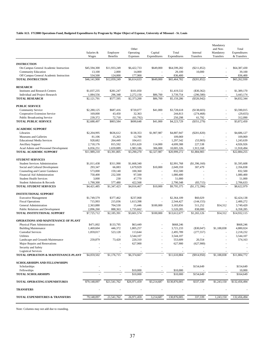#### **Table A13. FY2008 Operations Fund, Budgeted Expenditures by Program by Major Object of Expense, University of Missouri - St. Louis**

|                                                                   | Salaries &        | Employee               | Other<br>Operating       | Capital      | Total                    | Internal                 | Mandatory<br>and Non-<br>Mandatory | Total<br>Expenditures    |
|-------------------------------------------------------------------|-------------------|------------------------|--------------------------|--------------|--------------------------|--------------------------|------------------------------------|--------------------------|
|                                                                   | Wages             | <b>Benefits</b>        | Expenses                 | Expenditures | Expenditures             | Transfers                | Transfers                          | & Transfers              |
| <b>INSTRUCTION</b>                                                |                   |                        |                          |              |                          |                          |                                    |                          |
| On-Campus General Academic Instruction                            | \$45,594,300      | \$11,933,249           | \$6,422,733              | \$649,000    | \$64,599,282             | (\$211,852)              |                                    | \$64,387,430             |
| <b>Community Education</b>                                        | 13,100            | 2,000                  | 14,000                   | ÷,           | 29,100                   | 10,000                   |                                    | 39,100                   |
| Off Campus General Academic Instruction                           | 534,500           | 124,000                | 177,900                  |              | 836,400                  |                          |                                    | 836,400                  |
| <b>TOTAL INSTRUCTION</b>                                          | \$46,141,900      | \$12,059,249           | \$6,614,633              | \$649,000    | \$65,464,782             | $(\$201,852)$            |                                    | \$65,262,930             |
| <b>RESEARCH</b>                                                   |                   |                        |                          |              |                          |                          |                                    |                          |
| <b>Institutes and Research Centers</b>                            | \$1,037,235       | \$281,247              | \$101,050                |              | \$1,419,532              | (\$30,362)               |                                    | \$1,389,170              |
| Individual and Project Research                                   | 1,084,556         | 296,348                | 2,272,150                | \$86,700     | 3,739,754                | (296, 580)               |                                    | 3,443,174                |
| <b>TOTAL RESEARCH</b>                                             | \$2,121,791       | \$577,595              | \$2,373,200              | \$86,700     | \$5,159,286              | (\$326,942)              |                                    | \$4,832,344              |
| <b>PUBLIC SERVICE</b>                                             |                   |                        |                          |              |                          |                          |                                    |                          |
| <b>Community Service</b>                                          | \$2,280,125       | \$687,416              | \$720,077                | \$41,000     | \$3,728,618              | (\$138,603)              |                                    | \$3,590,015              |
| Cooperative Extension Service                                     | 169,000           | 43,450                 | 32,363                   |              | 244,813                  | (274, 468)               |                                    | (29, 655)                |
| <b>Public Broadcasting Service</b>                                | 239,372           | 72,718                 | (61, 792)                |              | 250,298                  | 61,792                   |                                    | 312,090                  |
| <b>TOTAL PUBLIC SERVICE</b>                                       | \$2,688,497       | \$803,584              | \$690,648                | \$41,000     | \$4,223,729              | (\$351,279)              |                                    | \$3,872,450              |
|                                                                   |                   |                        |                          |              |                          |                          |                                    |                          |
| <b>ACADEMIC SUPPORT</b>                                           |                   |                        |                          |              |                          |                          |                                    |                          |
| Libraries<br>Museums and Galleries                                | \$2,204,995       | \$636,612              | \$138,353<br>12,700      | \$1,907,987  | \$4,887,947<br>109,069   | $(\$201,820)$            |                                    | \$4,686,127<br>109,069   |
| <b>Educational Media Services</b>                                 | 81,106<br>928,682 | 15,263<br>264,449      | 104,411                  | ä,           | 1,297,542                | (53,903)                 |                                    | 1,243,639                |
| <b>Ancillary Support</b>                                          | 2,718,176         | 815,592                | 1,051,620                | 114,000      | 4,699,388                | 227,538                  |                                    | 4,926,926                |
| Acad Admin and Personnel Development                              | 6,056,251         | 1,659,889              | 1,983,186                | 306,000      | 10,005,326               | 1,913,168                |                                    | 11,918,494               |
| TOTAL ACADEMIC SUPPORT                                            | \$11,989,210      | \$3,391,805            | \$3,290,270              | \$2,327,987  | \$20,999,272             | \$1,884,983              |                                    | \$22,884,255             |
|                                                                   |                   |                        |                          |              |                          |                          |                                    |                          |
| <b>STUDENT SERVICES</b>                                           | \$1.011.438       |                        |                          |              |                          |                          |                                    |                          |
| <b>Student Services Administration</b>                            | 293,347           | \$311,990<br>66,083    | \$1,668,340<br>1,679,929 | \$10,000     | \$2,991,768<br>2,049,359 | (\$1,396,160)<br>307,479 |                                    | \$1,595,608<br>2,356,838 |
| Social and Cultural Development<br>Counseling and Career Guidance | 573,000           | 159,140                | 100,360                  |              | 832,500                  |                          |                                    | 832,500                  |
| Financial Aid Administration                                      | 750,400           | 232,500                | 97,500                   |              | 1,080,400                |                          |                                    | 1,080,400                |
| <b>Student Health Services</b>                                    | 3,000             | 230                    | 47,770                   |              | 51,000                   |                          |                                    | 51,000                   |
| Student Admission & Records                                       | 1,790,300         | 577,480                | 422,568                  |              | 2,790,348                | (83,715)                 |                                    | 2,706,633                |
| TOTAL STUDENT SERVICES                                            | \$4,421,485       | $\overline{1,347,423}$ | \$4,016,467              | \$10,000     | \$9,795,375              | (\$1,172,396)            |                                    | \$8,622,979              |
| <b>INSTITUTIONAL SUPPORT</b>                                      |                   |                        |                          |              |                          |                          |                                    |                          |
| <b>Executive Management</b>                                       | \$1,749,579       | \$377,462              | \$237,068                |              | \$2,364,109              | \$60,029                 |                                    | \$2,424,138              |
| <b>Fiscal Operations</b>                                          | 715,993           | 215,036                | 1,613,398                | ä,           | 2,544,427                | (144, 155)               |                                    | 2,400,272                |
| General Administration                                            | 2,363,880         | 704,530                | 15,446                   | \$100,000    | 3,183,856                | 511,252                  | \$54,312                           | 3,749,420                |
| Public Relations and Development                                  | 2,896,260         | 888,363                | 1,735,662                |              | 5,520,285                | 838,000                  |                                    | 6,358,285                |
| TOTAL INSTITUTIONAL SUPPORT                                       | \$7,725,712       | \$2,185,391            | \$3,601,574              | \$100,000    | \$13,612,677             | \$1,265,126              | \$54,312                           | \$14,932,115             |
| <b>OPERATIONS AND MAINTENANCE OF PLANT</b>                        |                   |                        |                          |              |                          |                          |                                    |                          |
| Physical Plant Administration                                     | \$471,002         | \$133,795              | \$63,449                 |              | \$668,246                |                          |                                    | \$668,246                |
| <b>Building Maintenance</b>                                       | 1,469,604         | 446,372                | 1.805.257                |              | 3,721,233                | (\$30,047)               | \$1,188,838                        | 4,880,024                |
| <b>Custodial Services</b>                                         | 1,859,017         | 523,128                | 113,644                  |              | 2,495,789                | (277, 557)               |                                    | 2,218,232                |
| Utilities                                                         |                   |                        | 3,544,107                |              | 3,544,107                |                          |                                    | 3,544,107                |
| Landscape and Grounds Maintenance                                 | 259,879           | 73,420                 | 220,310                  |              | 553,609                  | 20,554                   |                                    | 574,163                  |
| Major Repairs and Renovations                                     |                   |                        | 627,900                  |              | 627,900                  | (627,900)                |                                    |                          |
| Security and Safety                                               |                   |                        |                          |              |                          |                          |                                    |                          |
| <b>Logistical Services</b>                                        |                   |                        |                          |              |                          |                          |                                    |                          |
| TOTAL OPERATION & MAINTENANCE-PLANT                               | \$4,059,502       | \$1,176,715            | \$6,374,667              |              | \$11,610,884             | (\$914,950)              | \$1,188,838                        | \$11,884,772             |
| <b>SCHOLARSHIPS AND FELLOWSHIPS</b>                               |                   |                        |                          |              |                          |                          |                                    |                          |
| Scholarships                                                      |                   |                        |                          |              |                          | \$154,649                |                                    | \$154,649                |
| Fellowships                                                       |                   |                        | \$10,000                 |              | \$10,000                 |                          |                                    | 10,000                   |
| <b>TOTAL SCHOLARSHIPS</b>                                         |                   |                        | \$10,000                 |              | \$10,000                 | $\overline{$}154,649$    |                                    | \$164,649                |
| TOTAL OPERATING EXPENDITURES                                      | \$79,148,097      | \$21,541,762           | \$26,971,459             | \$3,214,687  | \$130,876,005            | \$337,339                | \$1,243,150                        | \$132,456,494            |
| <b>TRANSFERS</b>                                                  |                   |                        |                          |              |                          |                          |                                    |                          |
|                                                                   |                   |                        |                          |              |                          |                          |                                    |                          |
| TOTAL EXPENDITURES & TRANSFERS                                    | 79,148,097        | 21,541,762             | 26,971,459               | 3,214,687    | 130,876,005              | 337,339                  | 1,243,150                          | 132,456,494              |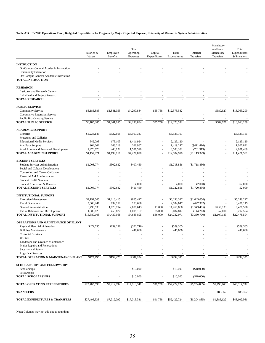#### **Table A14. FY2008 Operations Fund, Budgeted Expenditures by Program by Major Object of Expense, University of Missouri - System Administration**

|                                                                  | Salaries &<br>Wages  | Employee<br>Benefits | Other<br>Operating<br>Expenses | Capital<br>Expenditures | Total<br>Expenditures  | Internal<br>Transfers     | Mandatory<br>and Non-<br>Mandatory<br>Transfers | Total<br>Expenditures<br>& Transfers |
|------------------------------------------------------------------|----------------------|----------------------|--------------------------------|-------------------------|------------------------|---------------------------|-------------------------------------------------|--------------------------------------|
| <b>INSTRUCTION</b>                                               |                      |                      |                                |                         |                        |                           |                                                 |                                      |
| On-Campus General Academic Instruction                           |                      |                      |                                |                         |                        |                           |                                                 |                                      |
| <b>Community Education</b>                                       |                      |                      |                                |                         |                        |                           |                                                 |                                      |
| Off Campus General Academic Instruction                          |                      |                      |                                |                         |                        |                           |                                                 |                                      |
| <b>TOTAL INSTRUCTION</b>                                         |                      |                      |                                |                         |                        |                           |                                                 |                                      |
| <b>RESEARCH</b>                                                  |                      |                      |                                |                         |                        |                           |                                                 |                                      |
| Institutes and Research Centers                                  |                      |                      |                                |                         |                        |                           |                                                 |                                      |
| Individual and Project Research                                  |                      |                      |                                |                         |                        |                           |                                                 |                                      |
| <b>TOTAL RESEARCH</b>                                            |                      |                      |                                |                         |                        |                           |                                                 |                                      |
| <b>PUBLIC SERVICE</b>                                            |                      |                      |                                |                         |                        |                           |                                                 |                                      |
| <b>Community Service</b>                                         | \$6,185,885          | \$1,841,055          | \$4,290,884                    | \$55,758                | \$12,373,582           |                           | \$689,627                                       | \$13,063,209                         |
| Cooperative Extension Service                                    |                      |                      |                                |                         |                        |                           |                                                 |                                      |
| <b>Public Broadcasting Service</b>                               |                      |                      |                                |                         |                        |                           |                                                 |                                      |
| <b>TOTAL PUBLIC SERVICE</b>                                      | \$6,185,885          | \$1,841,055          | \$4,290,884                    | \$55,758                | \$12,373,582           |                           | \$689,627                                       | \$13,063,209                         |
| <b>ACADEMIC SUPPORT</b>                                          |                      |                      |                                |                         |                        |                           |                                                 |                                      |
| Libraries                                                        | \$1,233,146          | \$332,668            | \$3,967,347                    |                         | \$5,533,161            |                           |                                                 | \$5,533,161                          |
| Museums and Galleries                                            |                      |                      |                                |                         |                        |                           |                                                 |                                      |
| <b>Educational Media Services</b>                                | 542,093              | 175,103              | 1,411,924                      |                         | 2,129,120              |                           |                                                 | 2,129,120                            |
| <b>Ancillary Support</b><br>Acad Admin and Personnel Development | 904,062<br>1,478,670 | 248,218<br>443,122   | 266,967<br>1,581,590           |                         | 1,419,247<br>3,503,382 | (\$411,416)<br>(701, 913) |                                                 | 1,007,831<br>2,801,469               |
| <b>TOTAL ACADEMIC SUPPORT</b>                                    | \$4,157,971          | \$1,199,111          | \$7,227,828                    |                         | \$12,584,910           | ( \$1,113,329)            |                                                 | \$11,471,581                         |
| <b>STUDENT SERVICES</b>                                          |                      |                      |                                |                         |                        |                           |                                                 |                                      |
| <b>Student Services Administration</b>                           | \$1,008,774          | \$302,632            | \$407,450                      |                         | \$1,718,856            | (\$1,718,856)             |                                                 |                                      |
| Social and Cultural Development                                  |                      |                      |                                |                         |                        |                           |                                                 |                                      |
| Counseling and Career Guidance                                   |                      |                      |                                |                         |                        |                           |                                                 |                                      |
| Financial Aid Administration                                     |                      |                      |                                |                         |                        |                           |                                                 |                                      |
| <b>Student Health Services</b>                                   |                      |                      |                                |                         |                        |                           |                                                 |                                      |
| Student Admission & Records                                      |                      |                      | 4,000                          |                         | 4,000                  | (2,000)                   |                                                 | \$2,000                              |
| TOTAL STUDENT SERVICES                                           | \$1,008,774          | \$302,632            | \$411,450                      |                         | \$1,722,856            | (\$1,720,856)             |                                                 | \$2,000                              |
| <b>INSTITUTIONAL SUPPORT</b>                                     |                      |                      |                                |                         |                        |                           |                                                 |                                      |
| <b>Executive Management</b>                                      | \$4,197,505          | \$1,210,415          | \$885,427                      |                         | \$6,293,347            | (\$1,045,050)             |                                                 | \$5,248,297                          |
| <b>Fiscal Operations</b>                                         | 3,008,247            | 892,112              | 183,688                        |                         | 4,084,047              | (627,902)                 |                                                 | 3,456,145                            |
| General Administration                                           | 6,793,533            | 1,873,714            | 2,601,613                      | \$1,000                 | 11,269,860             | (1,543,485)               | \$750,133                                       | 10,476,508                           |
| Public Relations and Development                                 | 1,580,823            | 453,827              | 1,015,167                      | 35,000                  | 3,084,817              | (144, 263)                | 357,000                                         | 3,297,554                            |
| TOTAL INSTITUTIONAL SUPPORT                                      | \$15,580,108         | \$4,430,068          | \$4,685,895                    | \$36,000                | \$24,732,071           | $(\$3,360,700)$           | \$1,107,133                                     | \$22,478,504                         |
| OPERATIONS AND MAINTENANCE OF PLANT                              |                      |                      |                                |                         |                        |                           |                                                 |                                      |
| Physical Plant Administration                                    | \$472,795            | \$139,226            | $(\$52,716)$                   |                         | \$559,305              |                           |                                                 | \$559,305                            |
| <b>Building Maintenance</b>                                      |                      |                      | 440,000                        |                         | 440,000                |                           |                                                 | 440,000                              |
| <b>Custodial Services</b><br>Utilities                           |                      |                      |                                |                         |                        |                           |                                                 |                                      |
| Landscape and Grounds Maintenance                                |                      |                      |                                |                         |                        |                           |                                                 |                                      |
| Major Repairs and Renovations                                    |                      |                      |                                |                         |                        |                           |                                                 |                                      |
| Security and Safety                                              |                      |                      |                                |                         |                        |                           |                                                 |                                      |
| <b>Logistical Services</b>                                       |                      |                      |                                |                         |                        |                           |                                                 |                                      |
| TOTAL OPERATION & MAINTENANCE-PLANT                              | \$472,795            | \$139,226            | \$387,284                      |                         | \$999,305              |                           |                                                 | \$999,305                            |
| <b>SCHOLARSHIPS AND FELLOWSHIPS</b>                              |                      |                      |                                |                         |                        |                           |                                                 |                                      |
| Scholarships                                                     |                      |                      | \$10,000                       |                         | \$10,000               | (\$10,000)                |                                                 |                                      |
| Fellowships                                                      |                      |                      |                                |                         |                        |                           |                                                 |                                      |
| <b>TOTAL SCHOLARSHIPS</b>                                        |                      |                      | \$10,000                       |                         | \$10,000               | (\$10,000)                |                                                 |                                      |
| TOTAL OPERATING EXPENDITURES                                     | \$27,405,533         | \$7,912,092          | \$17,013,341                   | \$91,758                | \$52,422,724           | $(\$6,204,885)$           | \$1,796,760                                     | \$48,014,599                         |
| <b>TRANSFERS</b>                                                 |                      |                      |                                |                         |                        |                           | \$88,362                                        | \$88,362                             |
| TOTAL EXPENDITURES & TRANSFERS                                   | \$27,405,533         | \$7,912,092          | \$17,013,341                   | \$91,758                | \$52,422,724           | $(\$6,204,885)$           | \$1,885,122                                     | \$48,102,961                         |
|                                                                  |                      |                      |                                |                         |                        |                           |                                                 |                                      |